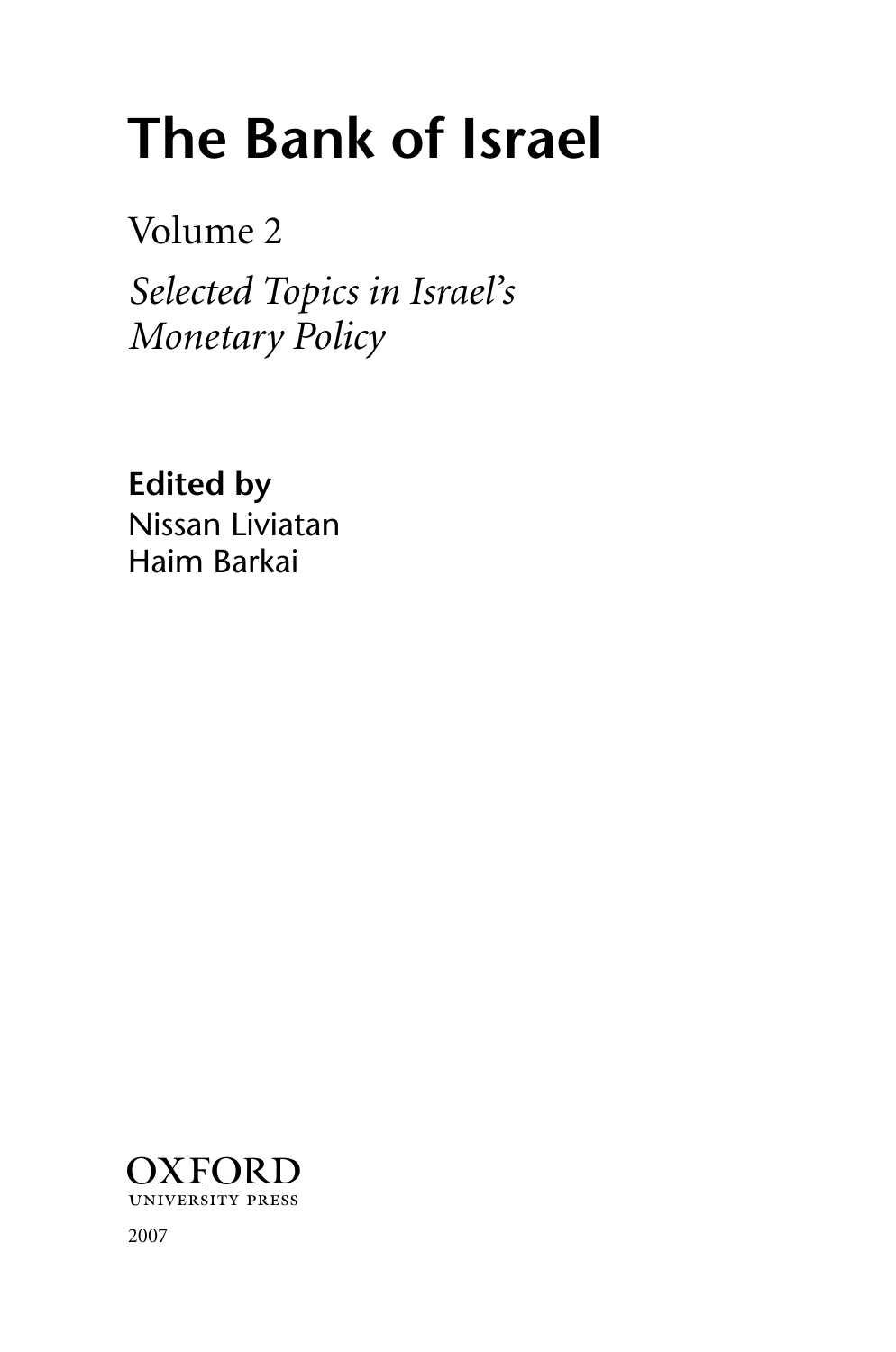# **The Bank of Israel**

Volume 2

*Selected Topics in Israel's Monetary Policy*

**Edited by** Nissan Liviatan Haim Barkai

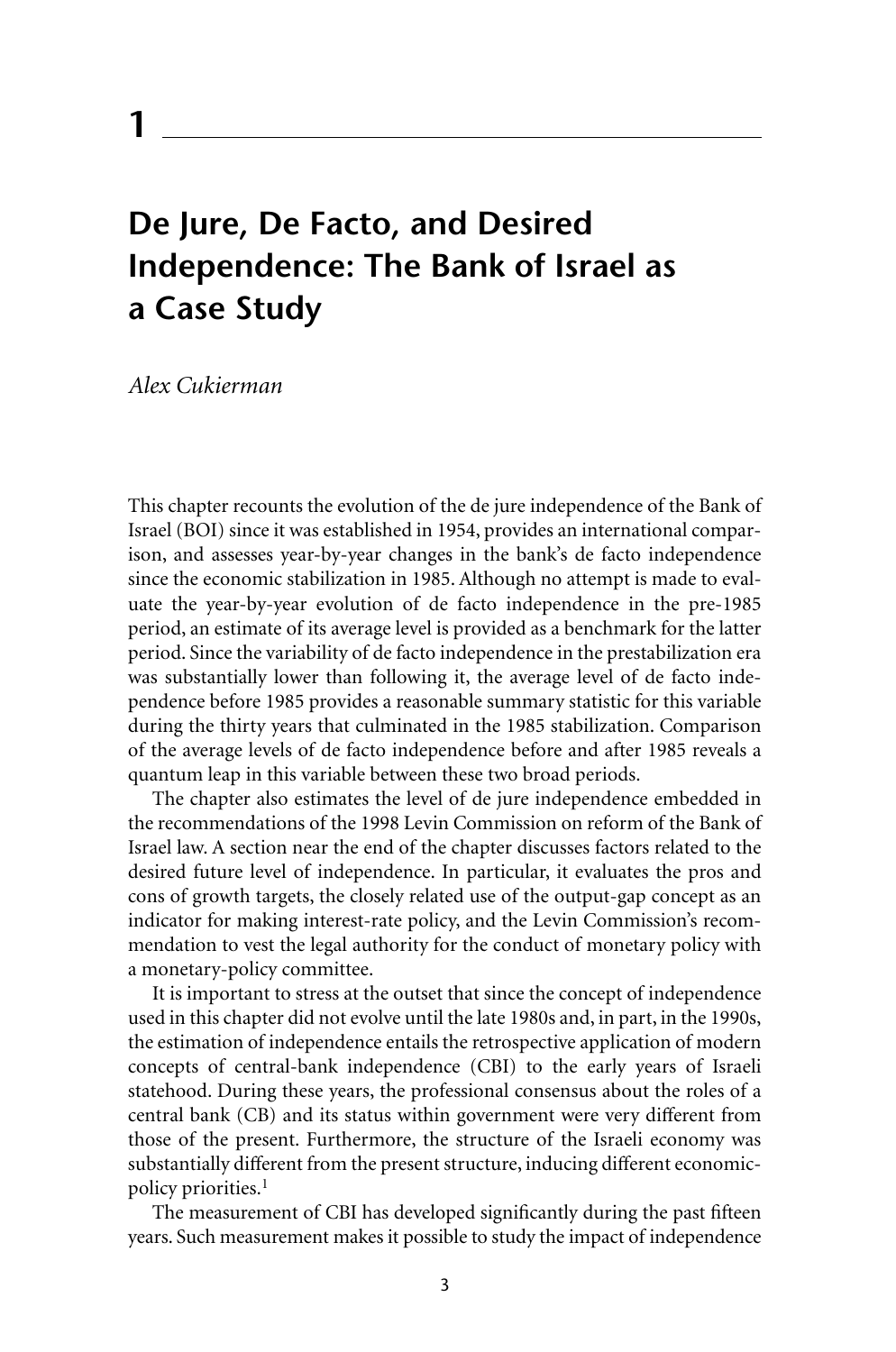# **De Jure, De Facto, and Desired Independence: The Bank of Israel as a Case Study**

*Alex Cukierman*

**1**

This chapter recounts the evolution of the de jure independence of the Bank of Israel (BOI) since it was established in 1954, provides an international comparison, and assesses year-by-year changes in the bank's de facto independence since the economic stabilization in 1985. Although no attempt is made to evaluate the year-by-year evolution of de facto independence in the pre-1985 period, an estimate of its average level is provided as a benchmark for the latter period. Since the variability of de facto independence in the prestabilization era was substantially lower than following it, the average level of de facto independence before 1985 provides a reasonable summary statistic for this variable during the thirty years that culminated in the 1985 stabilization. Comparison of the average levels of de facto independence before and after 1985 reveals a quantum leap in this variable between these two broad periods.

The chapter also estimates the level of de jure independence embedded in the recommendations of the 1998 Levin Commission on reform of the Bank of Israel law. A section near the end of the chapter discusses factors related to the desired future level of independence. In particular, it evaluates the pros and cons of growth targets, the closely related use of the output-gap concept as an indicator for making interest-rate policy, and the Levin Commission's recommendation to vest the legal authority for the conduct of monetary policy with a monetary-policy committee.

It is important to stress at the outset that since the concept of independence used in this chapter did not evolve until the late 1980s and, in part, in the 1990s, the estimation of independence entails the retrospective application of modern concepts of central-bank independence (CBI) to the early years of Israeli statehood. During these years, the professional consensus about the roles of a central bank (CB) and its status within government were very different from those of the present. Furthermore, the structure of the Israeli economy was substantially different from the present structure, inducing different economicpolicy priorities.<sup>1</sup>

The measurement of CBI has developed significantly during the past fifteen years. Such measurement makes it possible to study the impact of independence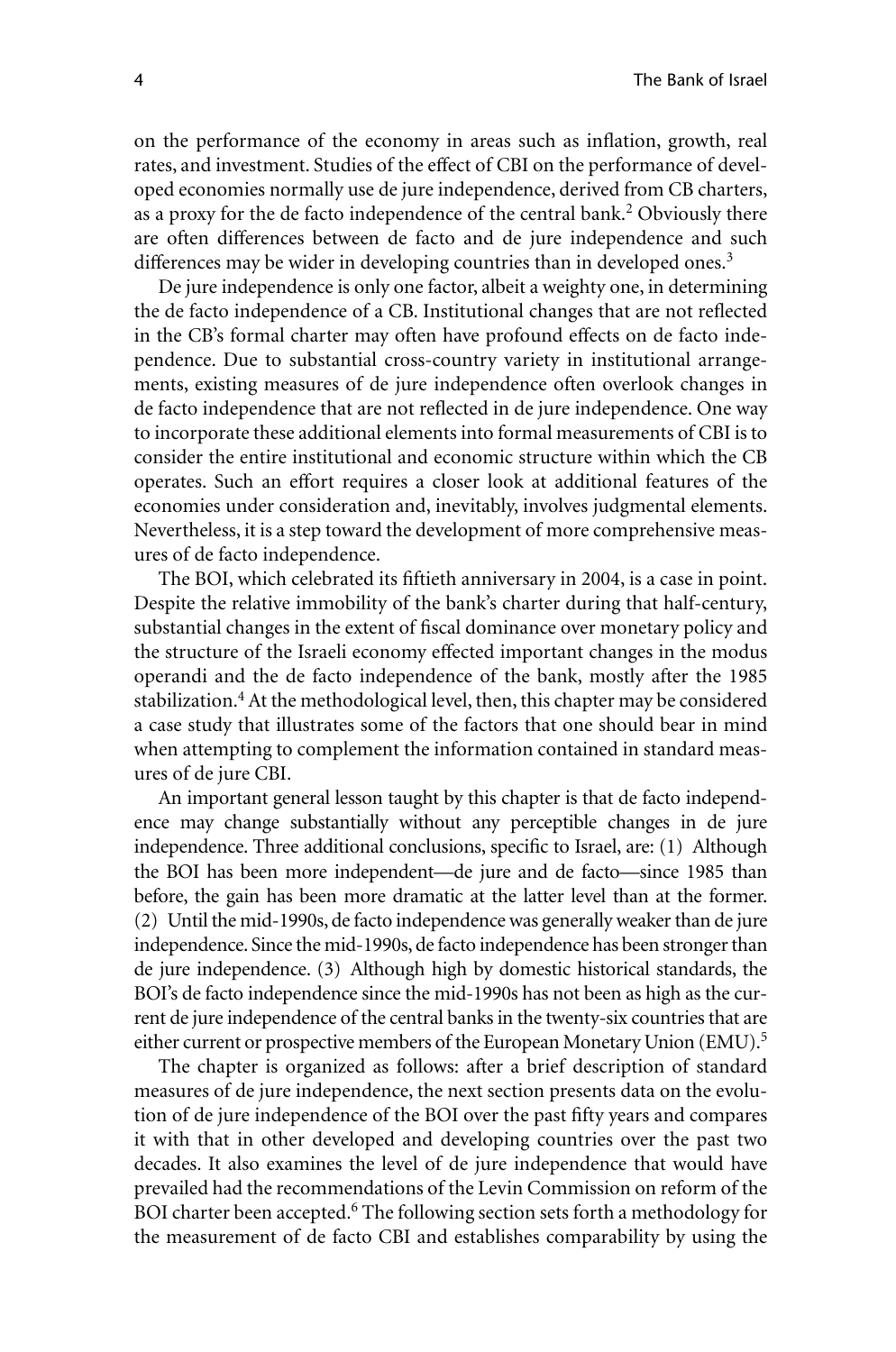on the performance of the economy in areas such as inflation, growth, real rates, and investment. Studies of the effect of CBI on the performance of developed economies normally use de jure independence, derived from CB charters, as a proxy for the de facto independence of the central bank.<sup>2</sup> Obviously there are often differences between de facto and de jure independence and such differences may be wider in developing countries than in developed ones.<sup>3</sup>

De jure independence is only one factor, albeit a weighty one, in determining the de facto independence of a CB. Institutional changes that are not reflected in the CB's formal charter may often have profound effects on de facto independence. Due to substantial cross-country variety in institutional arrangements, existing measures of de jure independence often overlook changes in de facto independence that are not reflected in de jure independence. One way to incorporate these additional elements into formal measurements of CBI is to consider the entire institutional and economic structure within which the CB operates. Such an effort requires a closer look at additional features of the economies under consideration and, inevitably, involves judgmental elements. Nevertheless, it is a step toward the development of more comprehensive measures of de facto independence.

The BOI, which celebrated its fiftieth anniversary in 2004, is a case in point. Despite the relative immobility of the bank's charter during that half-century, substantial changes in the extent of fiscal dominance over monetary policy and the structure of the Israeli economy effected important changes in the modus operandi and the de facto independence of the bank, mostly after the 1985 stabilization.<sup>4</sup> At the methodological level, then, this chapter may be considered a case study that illustrates some of the factors that one should bear in mind when attempting to complement the information contained in standard measures of de jure CBI.

An important general lesson taught by this chapter is that de facto independence may change substantially without any perceptible changes in de jure independence. Three additional conclusions, specific to Israel, are: (1) Although the BOI has been more independent—de jure and de facto—since 1985 than before, the gain has been more dramatic at the latter level than at the former. (2) Until the mid-1990s, de facto independence was generally weaker than de jure independence. Since the mid-1990s, de facto independence has been stronger than de jure independence. (3) Although high by domestic historical standards, the BOI's de facto independence since the mid-1990s has not been as high as the current de jure independence of the central banks in the twenty-six countries that are either current or prospective members of the European Monetary Union (EMU).<sup>5</sup>

The chapter is organized as follows: after a brief description of standard measures of de jure independence, the next section presents data on the evolution of de jure independence of the BOI over the past fifty years and compares it with that in other developed and developing countries over the past two decades. It also examines the level of de jure independence that would have prevailed had the recommendations of the Levin Commission on reform of the BOI charter been accepted.<sup>6</sup> The following section sets forth a methodology for the measurement of de facto CBI and establishes comparability by using the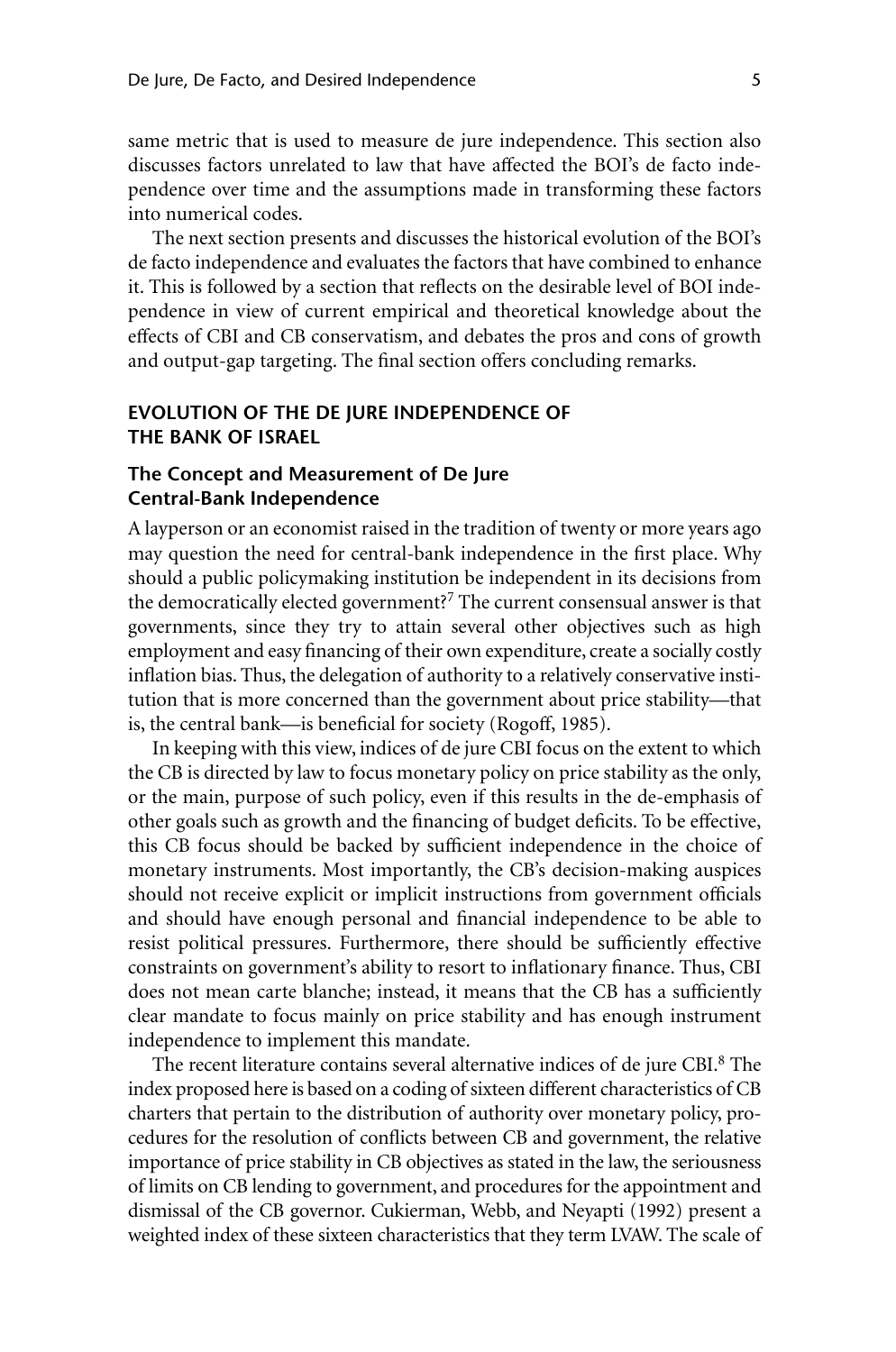same metric that is used to measure de jure independence. This section also discusses factors unrelated to law that have affected the BOI's de facto independence over time and the assumptions made in transforming these factors into numerical codes.

The next section presents and discusses the historical evolution of the BOI's de facto independence and evaluates the factors that have combined to enhance it. This is followed by a section that reflects on the desirable level of BOI independence in view of current empirical and theoretical knowledge about the effects of CBI and CB conservatism, and debates the pros and cons of growth and output-gap targeting. The final section offers concluding remarks.

#### **EVOLUTION OF THE DE JURE INDEPENDENCE OF THE BANK OF ISRAEL**

# **The Concept and Measurement of De Jure Central-Bank Independence**

A layperson or an economist raised in the tradition of twenty or more years ago may question the need for central-bank independence in the first place. Why should a public policymaking institution be independent in its decisions from the democratically elected government?<sup>7</sup> The current consensual answer is that governments, since they try to attain several other objectives such as high employment and easy financing of their own expenditure, create a socially costly inflation bias. Thus, the delegation of authority to a relatively conservative institution that is more concerned than the government about price stability—that is, the central bank—is beneficial for society (Rogoff, 1985).

In keeping with this view, indices of de jure CBI focus on the extent to which the CB is directed by law to focus monetary policy on price stability as the only, or the main, purpose of such policy, even if this results in the de-emphasis of other goals such as growth and the financing of budget deficits. To be effective, this CB focus should be backed by sufficient independence in the choice of monetary instruments. Most importantly, the CB's decision-making auspices should not receive explicit or implicit instructions from government officials and should have enough personal and financial independence to be able to resist political pressures. Furthermore, there should be sufficiently effective constraints on government's ability to resort to inflationary finance. Thus, CBI does not mean carte blanche; instead, it means that the CB has a sufficiently clear mandate to focus mainly on price stability and has enough instrument independence to implement this mandate.

The recent literature contains several alternative indices of de jure CBI.<sup>8</sup> The index proposed here is based on a coding of sixteen different characteristics of CB charters that pertain to the distribution of authority over monetary policy, procedures for the resolution of conflicts between CB and government, the relative importance of price stability in CB objectives as stated in the law, the seriousness of limits on CB lending to government, and procedures for the appointment and dismissal of the CB governor. Cukierman, Webb, and Neyapti (1992) present a weighted index of these sixteen characteristics that they term LVAW. The scale of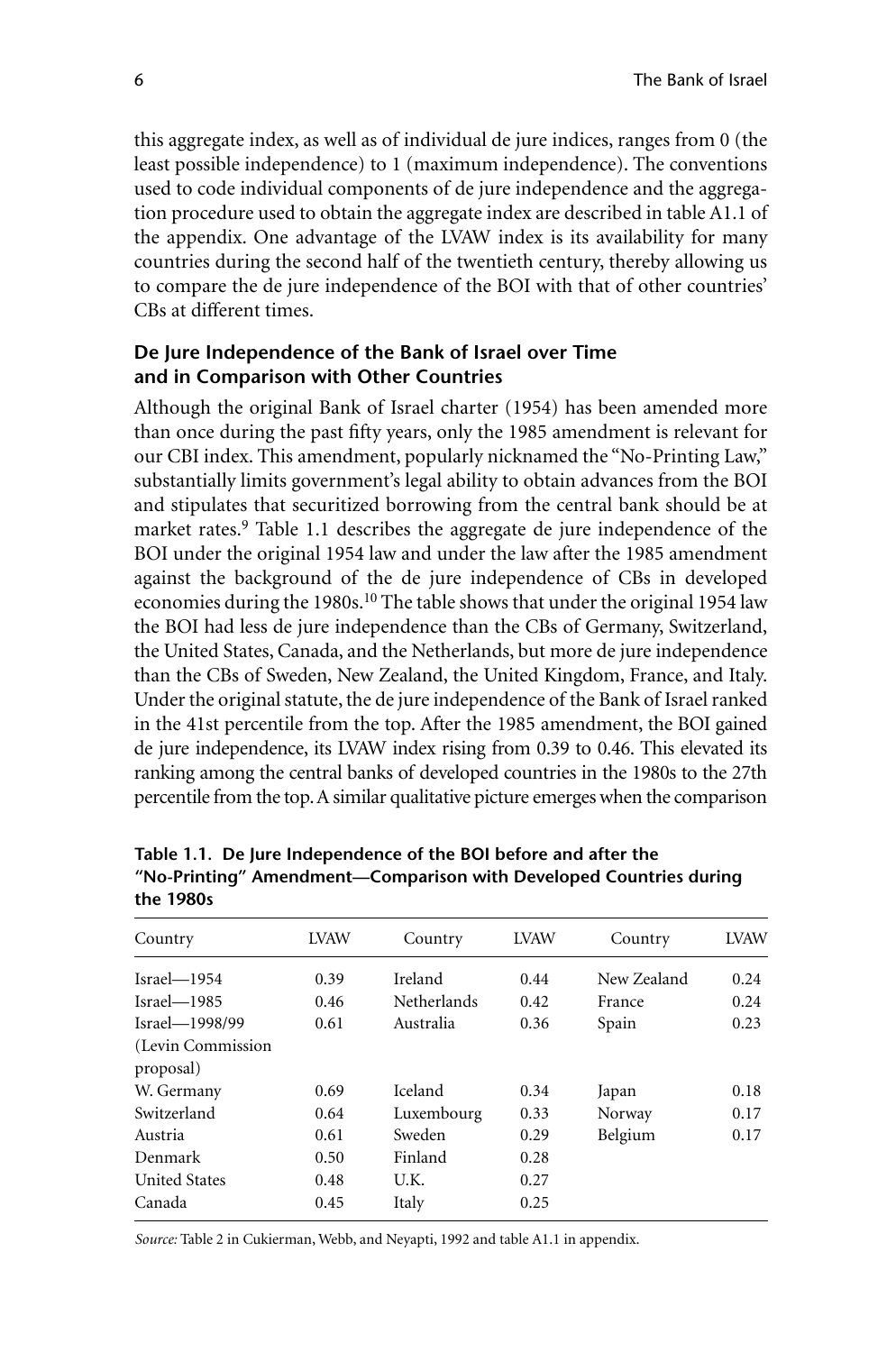this aggregate index, as well as of individual de jure indices, ranges from 0 (the least possible independence) to 1 (maximum independence). The conventions used to code individual components of de jure independence and the aggregation procedure used to obtain the aggregate index are described in table A1.1 of the appendix. One advantage of the LVAW index is its availability for many countries during the second half of the twentieth century, thereby allowing us to compare the de jure independence of the BOI with that of other countries' CBs at different times.

# **De Jure Independence of the Bank of Israel over Time and in Comparison with Other Countries**

Although the original Bank of Israel charter (1954) has been amended more than once during the past fifty years, only the 1985 amendment is relevant for our CBI index. This amendment, popularly nicknamed the "No-Printing Law," substantially limits government's legal ability to obtain advances from the BOI and stipulates that securitized borrowing from the central bank should be at market rates.<sup>9</sup> Table 1.1 describes the aggregate de jure independence of the BOI under the original 1954 law and under the law after the 1985 amendment against the background of the de jure independence of CBs in developed economies during the 1980s.<sup>10</sup> The table shows that under the original 1954 law the BOI had less de jure independence than the CBs of Germany, Switzerland, the United States, Canada, and the Netherlands, but more de jure independence than the CBs of Sweden, New Zealand, the United Kingdom, France, and Italy. Under the original statute, the de jure independence of the Bank of Israel ranked in the 41st percentile from the top. After the 1985 amendment, the BOI gained de jure independence, its LVAW index rising from 0.39 to 0.46. This elevated its ranking among the central banks of developed countries in the 1980s to the 27th percentile from the top.A similar qualitative picture emerges when the comparison

| Country                         | <b>LVAW</b> | Country            | <b>LVAW</b> | Country     | <b>LVAW</b> |
|---------------------------------|-------------|--------------------|-------------|-------------|-------------|
| $Israel - 1954$                 | 0.39        | Ireland            | 0.44        | New Zealand | 0.24        |
| $Israel - 1985$                 | 0.46        | <b>Netherlands</b> | 0.42        | France      | 0.24        |
| Israel-1998/99                  | 0.61        | Australia          | 0.36        | Spain       | 0.23        |
| (Levin Commission)<br>proposal) |             |                    |             |             |             |
| W. Germany                      | 0.69        | Iceland            | 0.34        | Japan       | 0.18        |
| Switzerland                     | 0.64        | Luxembourg         | 0.33        | Norway      | 0.17        |
| Austria                         | 0.61        | Sweden             | 0.29        | Belgium     | 0.17        |
| Denmark                         | 0.50        | Finland            | 0.28        |             |             |
| <b>United States</b>            | 0.48        | U.K.               | 0.27        |             |             |
| Canada                          | 0.45        | Italy              | 0.25        |             |             |

**Table 1.1. De Jure Independence of the BOI before and after the "No-Printing" Amendment—Comparison with Developed Countries during the 1980s**

*Source:* Table 2 in Cukierman, Webb, and Neyapti, 1992 and table A1.1 in appendix.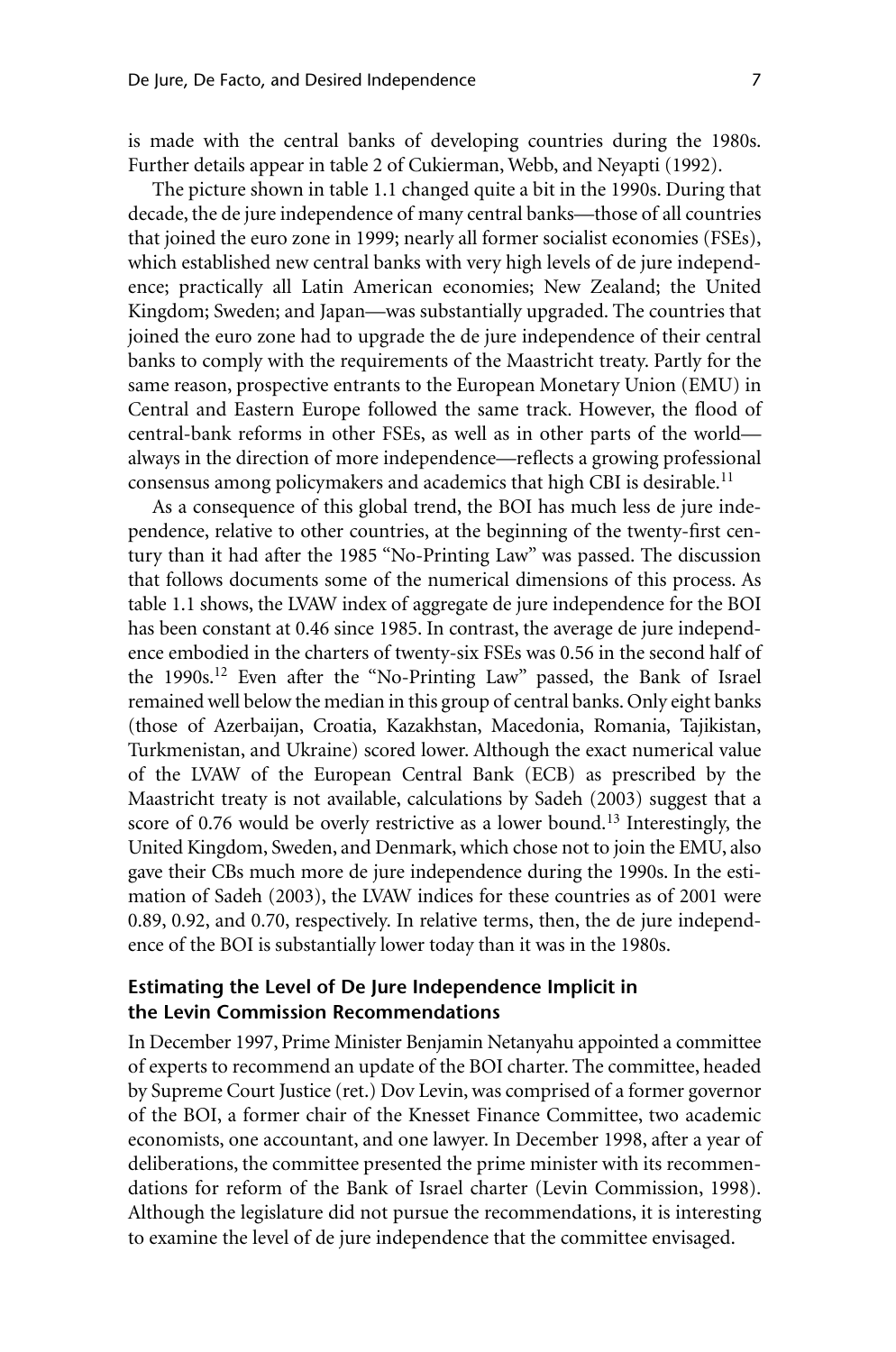is made with the central banks of developing countries during the 1980s. Further details appear in table 2 of Cukierman, Webb, and Neyapti (1992).

The picture shown in table 1.1 changed quite a bit in the 1990s. During that decade, the de jure independence of many central banks—those of all countries that joined the euro zone in 1999; nearly all former socialist economies (FSEs), which established new central banks with very high levels of de jure independence; practically all Latin American economies; New Zealand; the United Kingdom; Sweden; and Japan—was substantially upgraded. The countries that joined the euro zone had to upgrade the de jure independence of their central banks to comply with the requirements of the Maastricht treaty. Partly for the same reason, prospective entrants to the European Monetary Union (EMU) in Central and Eastern Europe followed the same track. However, the flood of central-bank reforms in other FSEs, as well as in other parts of the world always in the direction of more independence—reflects a growing professional consensus among policymakers and academics that high CBI is desirable.<sup>11</sup>

As a consequence of this global trend, the BOI has much less de jure independence, relative to other countries, at the beginning of the twenty-first century than it had after the 1985 "No-Printing Law" was passed. The discussion that follows documents some of the numerical dimensions of this process. As table 1.1 shows, the LVAW index of aggregate de jure independence for the BOI has been constant at 0.46 since 1985. In contrast, the average de jure independence embodied in the charters of twenty-six FSEs was 0.56 in the second half of the 1990s.12 Even after the "No-Printing Law" passed, the Bank of Israel remained well below the median in this group of central banks. Only eight banks (those of Azerbaijan, Croatia, Kazakhstan, Macedonia, Romania, Tajikistan, Turkmenistan, and Ukraine) scored lower. Although the exact numerical value of the LVAW of the European Central Bank (ECB) as prescribed by the Maastricht treaty is not available, calculations by Sadeh (2003) suggest that a score of 0.76 would be overly restrictive as a lower bound.<sup>13</sup> Interestingly, the United Kingdom, Sweden, and Denmark, which chose not to join the EMU, also gave their CBs much more de jure independence during the 1990s. In the estimation of Sadeh (2003), the LVAW indices for these countries as of 2001 were 0.89, 0.92, and 0.70, respectively. In relative terms, then, the de jure independence of the BOI is substantially lower today than it was in the 1980s.

# **Estimating the Level of De Jure Independence Implicit in the Levin Commission Recommendations**

In December 1997, Prime Minister Benjamin Netanyahu appointed a committee of experts to recommend an update of the BOI charter. The committee, headed by Supreme Court Justice (ret.) Dov Levin, was comprised of a former governor of the BOI, a former chair of the Knesset Finance Committee, two academic economists, one accountant, and one lawyer. In December 1998, after a year of deliberations, the committee presented the prime minister with its recommendations for reform of the Bank of Israel charter (Levin Commission, 1998). Although the legislature did not pursue the recommendations, it is interesting to examine the level of de jure independence that the committee envisaged.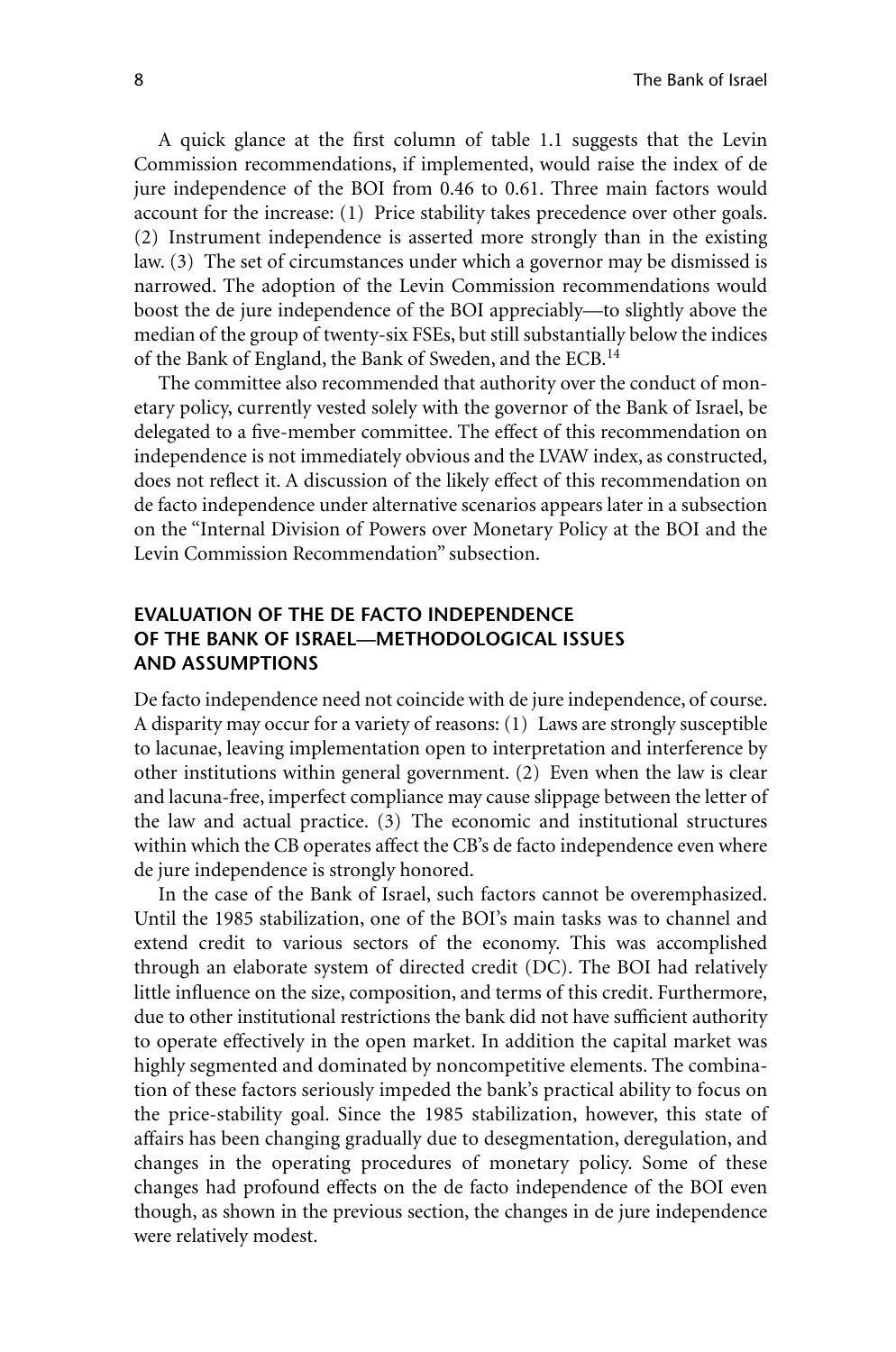A quick glance at the first column of table 1.1 suggests that the Levin Commission recommendations, if implemented, would raise the index of de jure independence of the BOI from 0.46 to 0.61. Three main factors would account for the increase: (1) Price stability takes precedence over other goals. (2) Instrument independence is asserted more strongly than in the existing law. (3) The set of circumstances under which a governor may be dismissed is narrowed. The adoption of the Levin Commission recommendations would boost the de jure independence of the BOI appreciably—to slightly above the median of the group of twenty-six FSEs, but still substantially below the indices of the Bank of England, the Bank of Sweden, and the ECB.14

The committee also recommended that authority over the conduct of monetary policy, currently vested solely with the governor of the Bank of Israel, be delegated to a five-member committee. The effect of this recommendation on independence is not immediately obvious and the LVAW index, as constructed, does not reflect it. A discussion of the likely effect of this recommendation on de facto independence under alternative scenarios appears later in a subsection on the "Internal Division of Powers over Monetary Policy at the BOI and the Levin Commission Recommendation" subsection.

# **EVALUATION OF THE DE FACTO INDEPENDENCE OF THE BANK OF ISRAEL—METHODOLOGICAL ISSUES AND ASSUMPTIONS**

De facto independence need not coincide with de jure independence, of course. A disparity may occur for a variety of reasons: (1) Laws are strongly susceptible to lacunae, leaving implementation open to interpretation and interference by other institutions within general government. (2) Even when the law is clear and lacuna-free, imperfect compliance may cause slippage between the letter of the law and actual practice. (3) The economic and institutional structures within which the CB operates affect the CB's de facto independence even where de jure independence is strongly honored.

In the case of the Bank of Israel, such factors cannot be overemphasized. Until the 1985 stabilization, one of the BOI's main tasks was to channel and extend credit to various sectors of the economy. This was accomplished through an elaborate system of directed credit (DC). The BOI had relatively little influence on the size, composition, and terms of this credit. Furthermore, due to other institutional restrictions the bank did not have sufficient authority to operate effectively in the open market. In addition the capital market was highly segmented and dominated by noncompetitive elements. The combination of these factors seriously impeded the bank's practical ability to focus on the price-stability goal. Since the 1985 stabilization, however, this state of affairs has been changing gradually due to desegmentation, deregulation, and changes in the operating procedures of monetary policy. Some of these changes had profound effects on the de facto independence of the BOI even though, as shown in the previous section, the changes in de jure independence were relatively modest.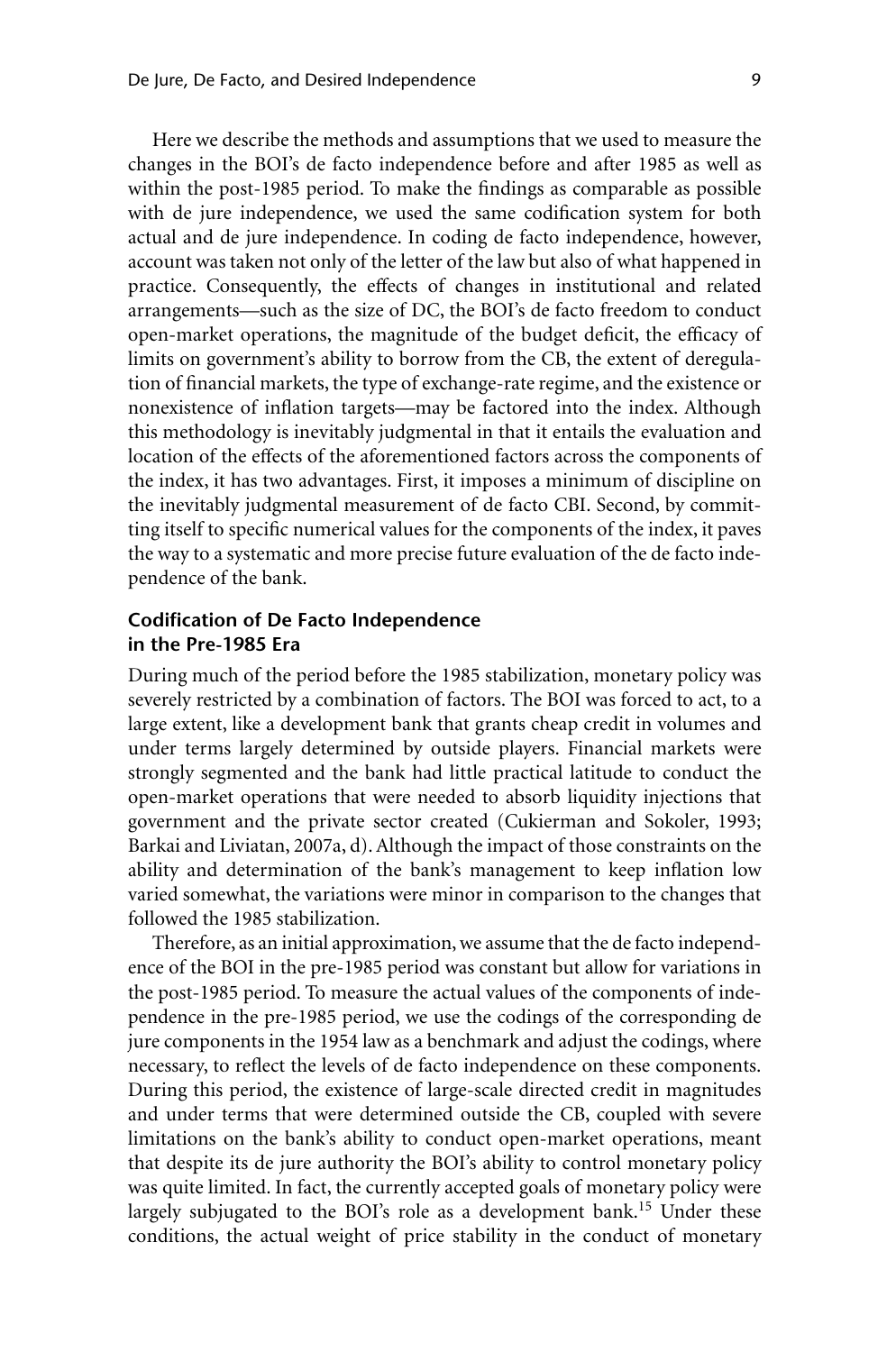Here we describe the methods and assumptions that we used to measure the changes in the BOI's de facto independence before and after 1985 as well as within the post-1985 period. To make the findings as comparable as possible with de jure independence, we used the same codification system for both actual and de jure independence. In coding de facto independence, however, account was taken not only of the letter of the law but also of what happened in practice. Consequently, the effects of changes in institutional and related arrangements—such as the size of DC, the BOI's de facto freedom to conduct open-market operations, the magnitude of the budget deficit, the efficacy of limits on government's ability to borrow from the CB, the extent of deregulation of financial markets, the type of exchange-rate regime, and the existence or nonexistence of inflation targets—may be factored into the index. Although this methodology is inevitably judgmental in that it entails the evaluation and location of the effects of the aforementioned factors across the components of the index, it has two advantages. First, it imposes a minimum of discipline on the inevitably judgmental measurement of de facto CBI. Second, by committing itself to specific numerical values for the components of the index, it paves the way to a systematic and more precise future evaluation of the de facto independence of the bank.

# **Codification of De Facto Independence in the Pre-1985 Era**

During much of the period before the 1985 stabilization, monetary policy was severely restricted by a combination of factors. The BOI was forced to act, to a large extent, like a development bank that grants cheap credit in volumes and under terms largely determined by outside players. Financial markets were strongly segmented and the bank had little practical latitude to conduct the open-market operations that were needed to absorb liquidity injections that government and the private sector created (Cukierman and Sokoler, 1993; Barkai and Liviatan, 2007a, d). Although the impact of those constraints on the ability and determination of the bank's management to keep inflation low varied somewhat, the variations were minor in comparison to the changes that followed the 1985 stabilization.

Therefore, as an initial approximation, we assume that the de facto independence of the BOI in the pre-1985 period was constant but allow for variations in the post-1985 period. To measure the actual values of the components of independence in the pre-1985 period, we use the codings of the corresponding de jure components in the 1954 law as a benchmark and adjust the codings, where necessary, to reflect the levels of de facto independence on these components. During this period, the existence of large-scale directed credit in magnitudes and under terms that were determined outside the CB, coupled with severe limitations on the bank's ability to conduct open-market operations, meant that despite its de jure authority the BOI's ability to control monetary policy was quite limited. In fact, the currently accepted goals of monetary policy were largely subjugated to the BOI's role as a development bank.<sup>15</sup> Under these conditions, the actual weight of price stability in the conduct of monetary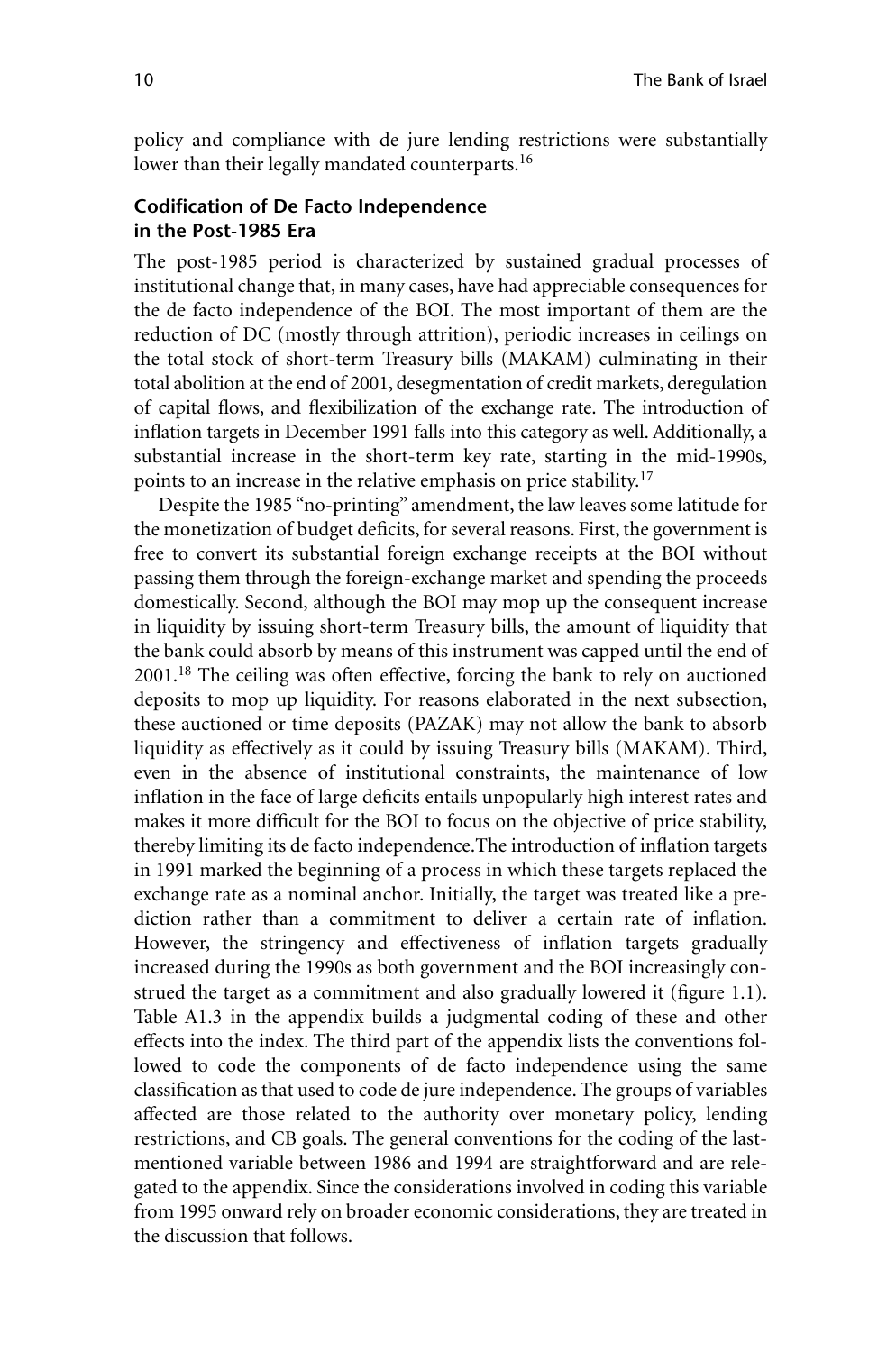policy and compliance with de jure lending restrictions were substantially lower than their legally mandated counterparts.<sup>16</sup>

# **Codification of De Facto Independence in the Post-1985 Era**

The post-1985 period is characterized by sustained gradual processes of institutional change that, in many cases, have had appreciable consequences for the de facto independence of the BOI. The most important of them are the reduction of DC (mostly through attrition), periodic increases in ceilings on the total stock of short-term Treasury bills (MAKAM) culminating in their total abolition at the end of 2001, desegmentation of credit markets, deregulation of capital flows, and flexibilization of the exchange rate. The introduction of inflation targets in December 1991 falls into this category as well. Additionally, a substantial increase in the short-term key rate, starting in the mid-1990s, points to an increase in the relative emphasis on price stability.<sup>17</sup>

Despite the 1985 "no-printing" amendment, the law leaves some latitude for the monetization of budget deficits, for several reasons. First, the government is free to convert its substantial foreign exchange receipts at the BOI without passing them through the foreign-exchange market and spending the proceeds domestically. Second, although the BOI may mop up the consequent increase in liquidity by issuing short-term Treasury bills, the amount of liquidity that the bank could absorb by means of this instrument was capped until the end of 2001.18 The ceiling was often effective, forcing the bank to rely on auctioned deposits to mop up liquidity. For reasons elaborated in the next subsection, these auctioned or time deposits (PAZAK) may not allow the bank to absorb liquidity as effectively as it could by issuing Treasury bills (MAKAM). Third, even in the absence of institutional constraints, the maintenance of low inflation in the face of large deficits entails unpopularly high interest rates and makes it more difficult for the BOI to focus on the objective of price stability, thereby limiting its de facto independence.The introduction of inflation targets in 1991 marked the beginning of a process in which these targets replaced the exchange rate as a nominal anchor. Initially, the target was treated like a prediction rather than a commitment to deliver a certain rate of inflation. However, the stringency and effectiveness of inflation targets gradually increased during the 1990s as both government and the BOI increasingly construed the target as a commitment and also gradually lowered it (figure 1.1). Table A1.3 in the appendix builds a judgmental coding of these and other effects into the index. The third part of the appendix lists the conventions followed to code the components of de facto independence using the same classification as that used to code de jure independence. The groups of variables affected are those related to the authority over monetary policy, lending restrictions, and CB goals. The general conventions for the coding of the lastmentioned variable between 1986 and 1994 are straightforward and are relegated to the appendix. Since the considerations involved in coding this variable from 1995 onward rely on broader economic considerations, they are treated in the discussion that follows.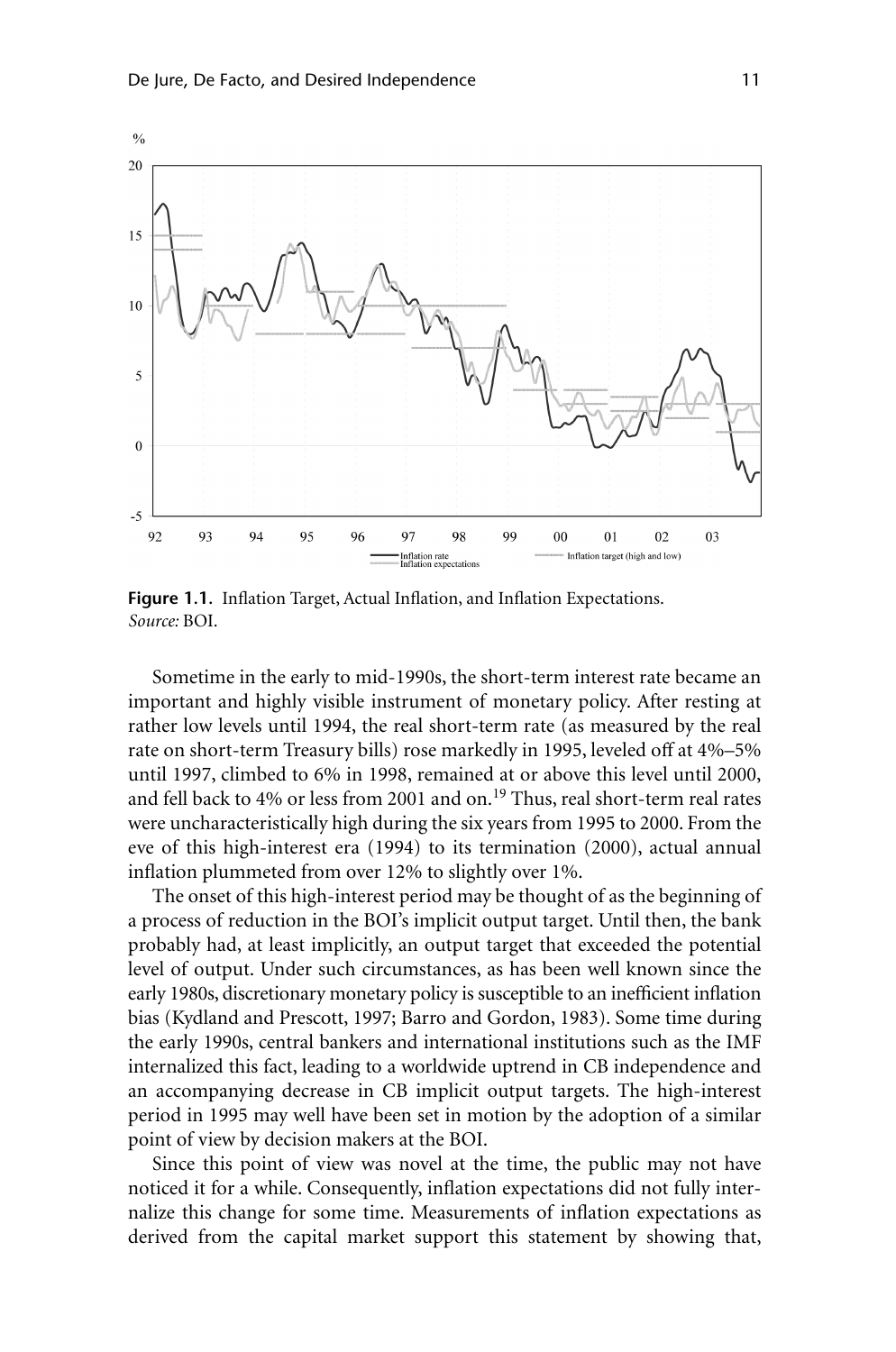



**Figure 1.1.** Inflation Target, Actual Inflation, and Inflation Expectations. *Source:* BOI.

Sometime in the early to mid-1990s, the short-term interest rate became an important and highly visible instrument of monetary policy. After resting at rather low levels until 1994, the real short-term rate (as measured by the real rate on short-term Treasury bills) rose markedly in 1995, leveled off at 4%–5% until 1997, climbed to 6% in 1998, remained at or above this level until 2000, and fell back to 4% or less from 2001 and on.<sup>19</sup> Thus, real short-term real rates were uncharacteristically high during the six years from 1995 to 2000. From the eve of this high-interest era (1994) to its termination (2000), actual annual inflation plummeted from over 12% to slightly over 1%.

The onset of this high-interest period may be thought of as the beginning of a process of reduction in the BOI's implicit output target. Until then, the bank probably had, at least implicitly, an output target that exceeded the potential level of output. Under such circumstances, as has been well known since the early 1980s, discretionary monetary policy is susceptible to an inefficient inflation bias (Kydland and Prescott, 1997; Barro and Gordon, 1983). Some time during the early 1990s, central bankers and international institutions such as the IMF internalized this fact, leading to a worldwide uptrend in CB independence and an accompanying decrease in CB implicit output targets. The high-interest period in 1995 may well have been set in motion by the adoption of a similar point of view by decision makers at the BOI.

Since this point of view was novel at the time, the public may not have noticed it for a while. Consequently, inflation expectations did not fully internalize this change for some time. Measurements of inflation expectations as derived from the capital market support this statement by showing that,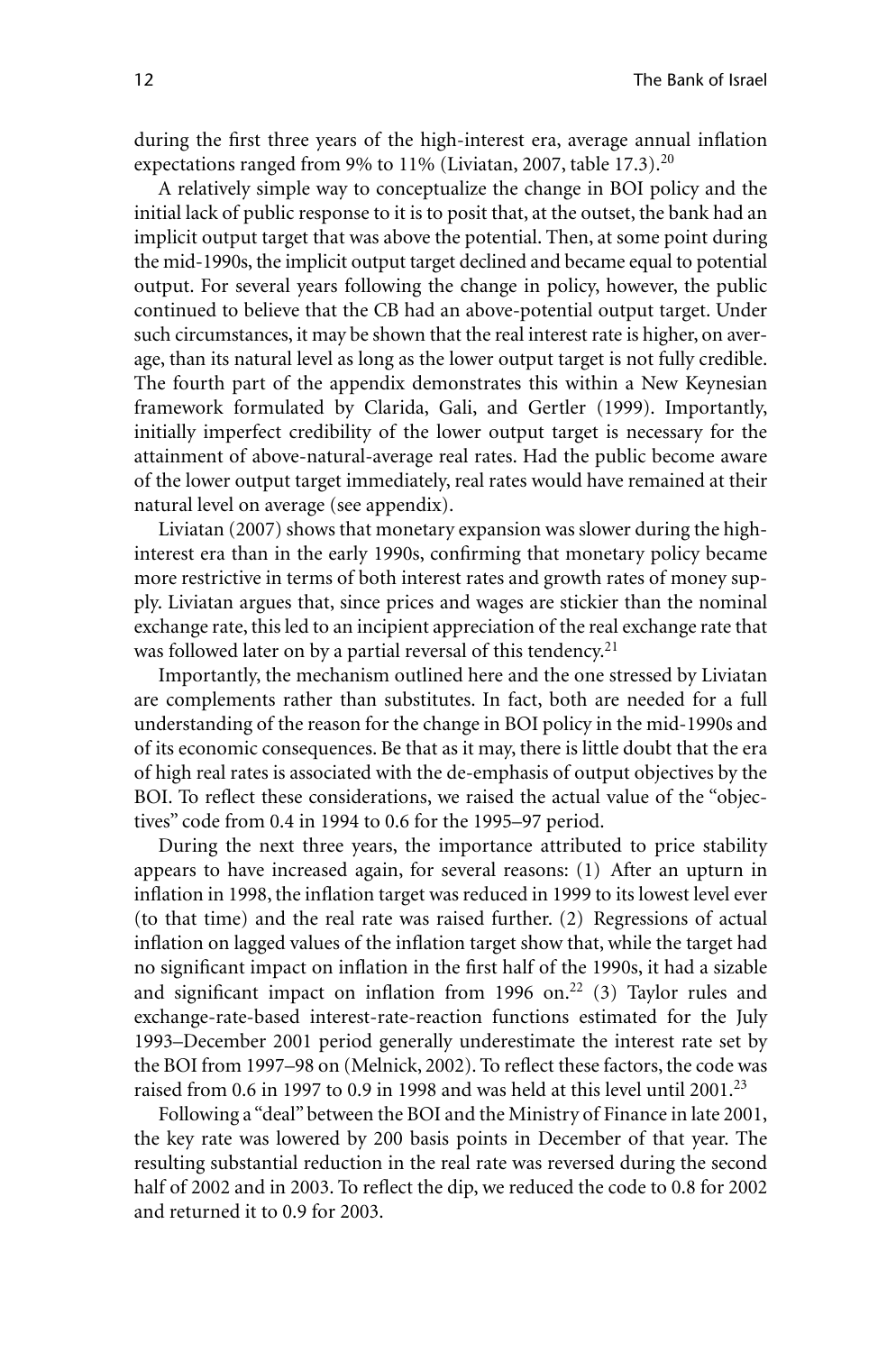during the first three years of the high-interest era, average annual inflation expectations ranged from 9% to 11% (Liviatan, 2007, table 17.3).<sup>20</sup>

A relatively simple way to conceptualize the change in BOI policy and the initial lack of public response to it is to posit that, at the outset, the bank had an implicit output target that was above the potential. Then, at some point during the mid-1990s, the implicit output target declined and became equal to potential output. For several years following the change in policy, however, the public continued to believe that the CB had an above-potential output target. Under such circumstances, it may be shown that the real interest rate is higher, on average, than its natural level as long as the lower output target is not fully credible. The fourth part of the appendix demonstrates this within a New Keynesian framework formulated by Clarida, Gali, and Gertler (1999). Importantly, initially imperfect credibility of the lower output target is necessary for the attainment of above-natural-average real rates. Had the public become aware of the lower output target immediately, real rates would have remained at their natural level on average (see appendix).

Liviatan (2007) shows that monetary expansion was slower during the highinterest era than in the early 1990s, confirming that monetary policy became more restrictive in terms of both interest rates and growth rates of money supply. Liviatan argues that, since prices and wages are stickier than the nominal exchange rate, this led to an incipient appreciation of the real exchange rate that was followed later on by a partial reversal of this tendency.<sup>21</sup>

Importantly, the mechanism outlined here and the one stressed by Liviatan are complements rather than substitutes. In fact, both are needed for a full understanding of the reason for the change in BOI policy in the mid-1990s and of its economic consequences. Be that as it may, there is little doubt that the era of high real rates is associated with the de-emphasis of output objectives by the BOI. To reflect these considerations, we raised the actual value of the "objectives" code from 0.4 in 1994 to 0.6 for the 1995–97 period.

During the next three years, the importance attributed to price stability appears to have increased again, for several reasons: (1) After an upturn in inflation in 1998, the inflation target was reduced in 1999 to its lowest level ever (to that time) and the real rate was raised further. (2) Regressions of actual inflation on lagged values of the inflation target show that, while the target had no significant impact on inflation in the first half of the 1990s, it had a sizable and significant impact on inflation from 1996 on.<sup>22</sup> (3) Taylor rules and exchange-rate-based interest-rate-reaction functions estimated for the July 1993–December 2001 period generally underestimate the interest rate set by the BOI from 1997–98 on (Melnick, 2002). To reflect these factors, the code was raised from 0.6 in 1997 to 0.9 in 1998 and was held at this level until  $2001<sup>23</sup>$ 

Following a "deal" between the BOI and the Ministry of Finance in late 2001, the key rate was lowered by 200 basis points in December of that year. The resulting substantial reduction in the real rate was reversed during the second half of 2002 and in 2003. To reflect the dip, we reduced the code to 0.8 for 2002 and returned it to 0.9 for 2003.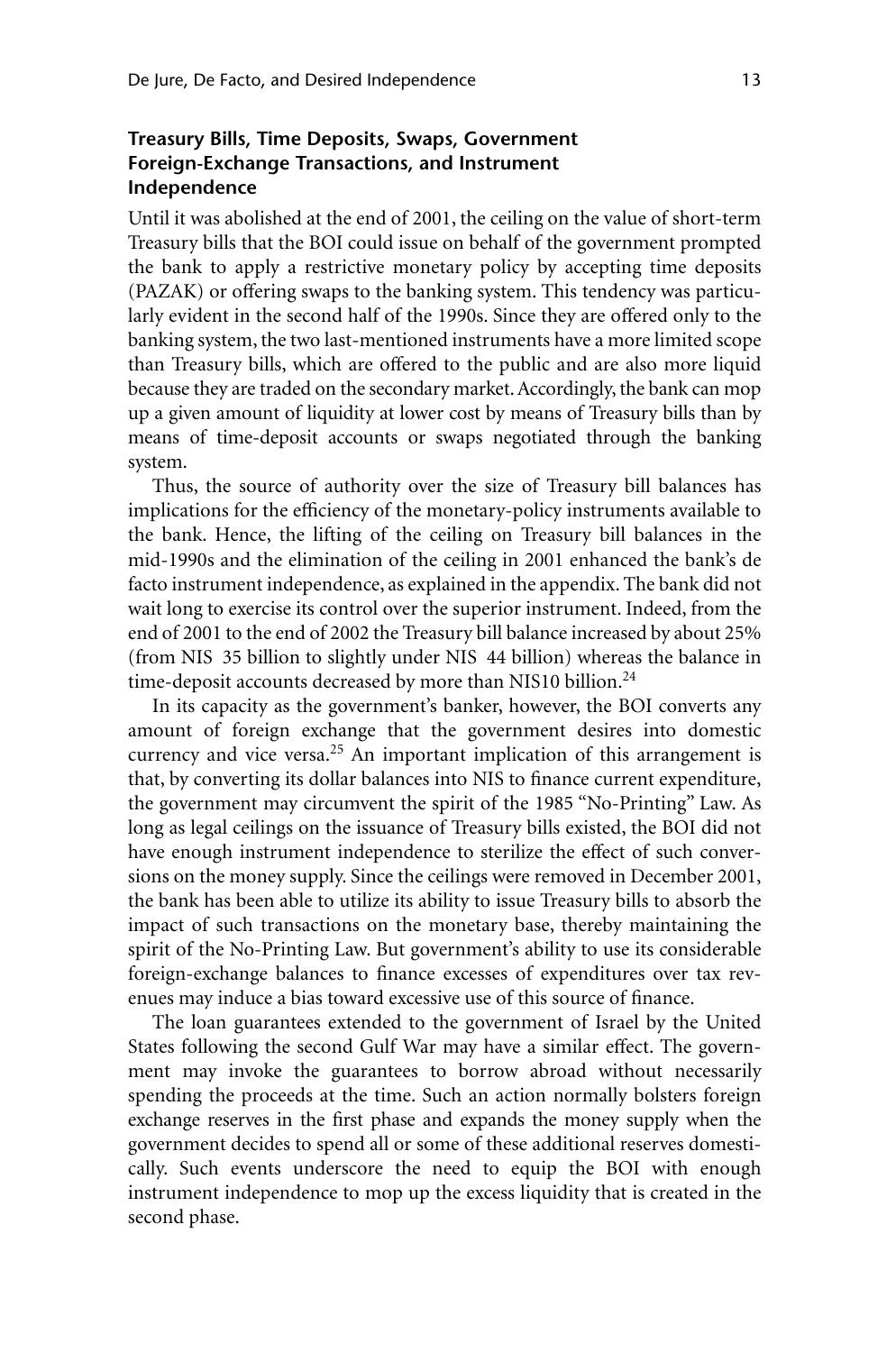# **Treasury Bills, Time Deposits, Swaps, Government Foreign-Exchange Transactions, and Instrument Independence**

Until it was abolished at the end of 2001, the ceiling on the value of short-term Treasury bills that the BOI could issue on behalf of the government prompted the bank to apply a restrictive monetary policy by accepting time deposits (PAZAK) or offering swaps to the banking system. This tendency was particularly evident in the second half of the 1990s. Since they are offered only to the banking system, the two last-mentioned instruments have a more limited scope than Treasury bills, which are offered to the public and are also more liquid because they are traded on the secondary market. Accordingly, the bank can mop up a given amount of liquidity at lower cost by means of Treasury bills than by means of time-deposit accounts or swaps negotiated through the banking system.

Thus, the source of authority over the size of Treasury bill balances has implications for the efficiency of the monetary-policy instruments available to the bank. Hence, the lifting of the ceiling on Treasury bill balances in the mid-1990s and the elimination of the ceiling in 2001 enhanced the bank's de facto instrument independence, as explained in the appendix. The bank did not wait long to exercise its control over the superior instrument. Indeed, from the end of 2001 to the end of 2002 the Treasury bill balance increased by about 25% (from NIS 35 billion to slightly under NIS 44 billion) whereas the balance in time-deposit accounts decreased by more than NIS10 billion.<sup>24</sup>

In its capacity as the government's banker, however, the BOI converts any amount of foreign exchange that the government desires into domestic currency and vice versa.<sup>25</sup> An important implication of this arrangement is that, by converting its dollar balances into NIS to finance current expenditure, the government may circumvent the spirit of the 1985 "No-Printing" Law. As long as legal ceilings on the issuance of Treasury bills existed, the BOI did not have enough instrument independence to sterilize the effect of such conversions on the money supply. Since the ceilings were removed in December 2001, the bank has been able to utilize its ability to issue Treasury bills to absorb the impact of such transactions on the monetary base, thereby maintaining the spirit of the No-Printing Law. But government's ability to use its considerable foreign-exchange balances to finance excesses of expenditures over tax revenues may induce a bias toward excessive use of this source of finance.

The loan guarantees extended to the government of Israel by the United States following the second Gulf War may have a similar effect. The government may invoke the guarantees to borrow abroad without necessarily spending the proceeds at the time. Such an action normally bolsters foreign exchange reserves in the first phase and expands the money supply when the government decides to spend all or some of these additional reserves domestically. Such events underscore the need to equip the BOI with enough instrument independence to mop up the excess liquidity that is created in the second phase.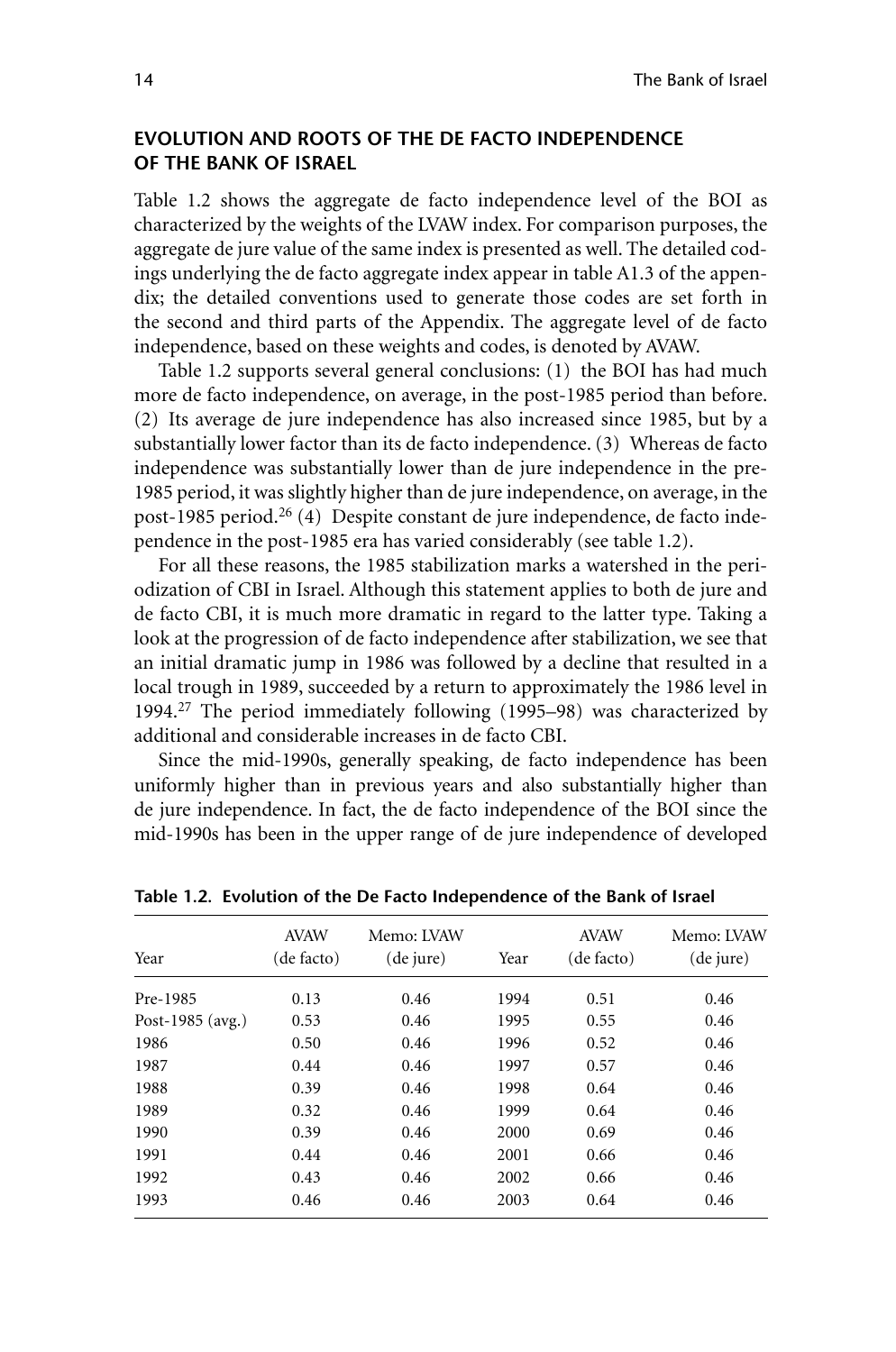# **EVOLUTION AND ROOTS OF THE DE FACTO INDEPENDENCE OF THE BANK OF ISRAEL**

Table 1.2 shows the aggregate de facto independence level of the BOI as characterized by the weights of the LVAW index. For comparison purposes, the aggregate de jure value of the same index is presented as well. The detailed codings underlying the de facto aggregate index appear in table A1.3 of the appendix; the detailed conventions used to generate those codes are set forth in the second and third parts of the Appendix. The aggregate level of de facto independence, based on these weights and codes, is denoted by AVAW.

Table 1.2 supports several general conclusions: (1) the BOI has had much more de facto independence, on average, in the post-1985 period than before. (2) Its average de jure independence has also increased since 1985, but by a substantially lower factor than its de facto independence. (3) Whereas de facto independence was substantially lower than de jure independence in the pre-1985 period, it was slightly higher than de jure independence, on average, in the post-1985 period.<sup>26</sup> (4) Despite constant de jure independence, de facto independence in the post-1985 era has varied considerably (see table 1.2).

For all these reasons, the 1985 stabilization marks a watershed in the periodization of CBI in Israel. Although this statement applies to both de jure and de facto CBI, it is much more dramatic in regard to the latter type. Taking a look at the progression of de facto independence after stabilization, we see that an initial dramatic jump in 1986 was followed by a decline that resulted in a local trough in 1989, succeeded by a return to approximately the 1986 level in 1994.27 The period immediately following (1995–98) was characterized by additional and considerable increases in de facto CBI.

Since the mid-1990s, generally speaking, de facto independence has been uniformly higher than in previous years and also substantially higher than de jure independence. In fact, the de facto independence of the BOI since the mid-1990s has been in the upper range of de jure independence of developed

| Year             | <b>AVAW</b><br>(de facto) | Memo: LVAW<br>(de jure) | Year | <b>AVAW</b><br>(de facto) | Memo: LVAW<br>(de jure) |
|------------------|---------------------------|-------------------------|------|---------------------------|-------------------------|
| Pre-1985         | 0.13                      | 0.46                    | 1994 | 0.51                      | 0.46                    |
| Post-1985 (avg.) | 0.53                      | 0.46                    | 1995 | 0.55                      | 0.46                    |
| 1986             | 0.50                      | 0.46                    | 1996 | 0.52                      | 0.46                    |
| 1987             | 0.44                      | 0.46                    | 1997 | 0.57                      | 0.46                    |
| 1988             | 0.39                      | 0.46                    | 1998 | 0.64                      | 0.46                    |
| 1989             | 0.32                      | 0.46                    | 1999 | 0.64                      | 0.46                    |
| 1990             | 0.39                      | 0.46                    | 2000 | 0.69                      | 0.46                    |
| 1991             | 0.44                      | 0.46                    | 2001 | 0.66                      | 0.46                    |
| 1992             | 0.43                      | 0.46                    | 2002 | 0.66                      | 0.46                    |
| 1993             | 0.46                      | 0.46                    | 2003 | 0.64                      | 0.46                    |

**Table 1.2. Evolution of the De Facto Independence of the Bank of Israel**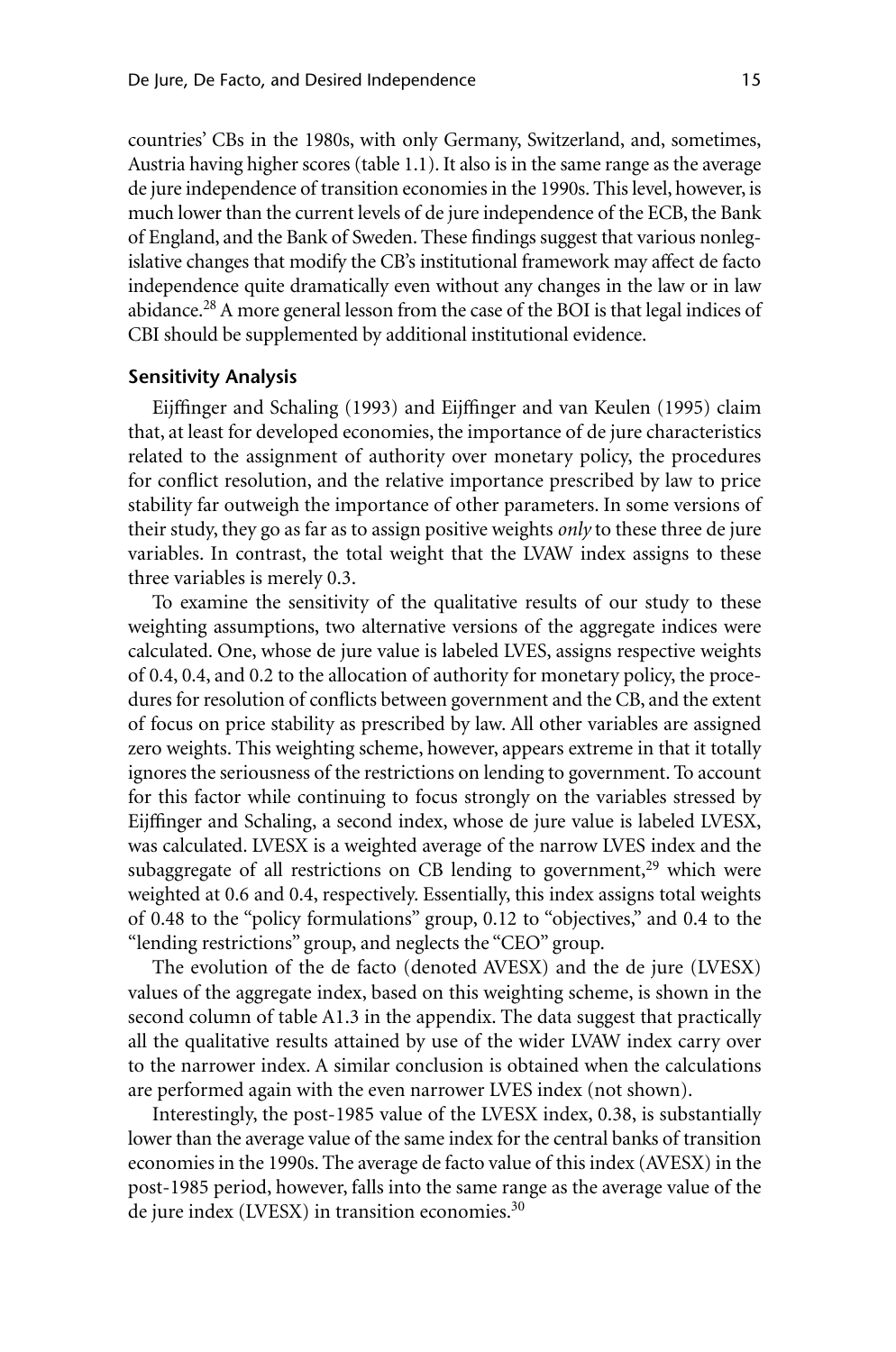countries' CBs in the 1980s, with only Germany, Switzerland, and, sometimes, Austria having higher scores (table 1.1). It also is in the same range as the average de jure independence of transition economies in the 1990s. This level, however, is much lower than the current levels of de jure independence of the ECB, the Bank of England, and the Bank of Sweden. These findings suggest that various nonlegislative changes that modify the CB's institutional framework may affect de facto independence quite dramatically even without any changes in the law or in law abidance.28 A more general lesson from the case of the BOI is that legal indices of CBI should be supplemented by additional institutional evidence.

#### **Sensitivity Analysis**

Eijffinger and Schaling (1993) and Eijffinger and van Keulen (1995) claim that, at least for developed economies, the importance of de jure characteristics related to the assignment of authority over monetary policy, the procedures for conflict resolution, and the relative importance prescribed by law to price stability far outweigh the importance of other parameters. In some versions of their study, they go as far as to assign positive weights *only* to these three de jure variables. In contrast, the total weight that the LVAW index assigns to these three variables is merely 0.3.

To examine the sensitivity of the qualitative results of our study to these weighting assumptions, two alternative versions of the aggregate indices were calculated. One, whose de jure value is labeled LVES, assigns respective weights of 0.4, 0.4, and 0.2 to the allocation of authority for monetary policy, the procedures for resolution of conflicts between government and the CB, and the extent of focus on price stability as prescribed by law. All other variables are assigned zero weights. This weighting scheme, however, appears extreme in that it totally ignores the seriousness of the restrictions on lending to government. To account for this factor while continuing to focus strongly on the variables stressed by Eijffinger and Schaling, a second index, whose de jure value is labeled LVESX, was calculated. LVESX is a weighted average of the narrow LVES index and the subaggregate of all restrictions on CB lending to government,<sup>29</sup> which were weighted at 0.6 and 0.4, respectively. Essentially, this index assigns total weights of 0.48 to the "policy formulations" group, 0.12 to "objectives," and 0.4 to the "lending restrictions" group, and neglects the "CEO" group.

The evolution of the de facto (denoted AVESX) and the de jure (LVESX) values of the aggregate index, based on this weighting scheme, is shown in the second column of table A1.3 in the appendix. The data suggest that practically all the qualitative results attained by use of the wider LVAW index carry over to the narrower index. A similar conclusion is obtained when the calculations are performed again with the even narrower LVES index (not shown).

Interestingly, the post-1985 value of the LVESX index, 0.38, is substantially lower than the average value of the same index for the central banks of transition economies in the 1990s. The average de facto value of this index (AVESX) in the post-1985 period, however, falls into the same range as the average value of the de jure index (LVESX) in transition economies.30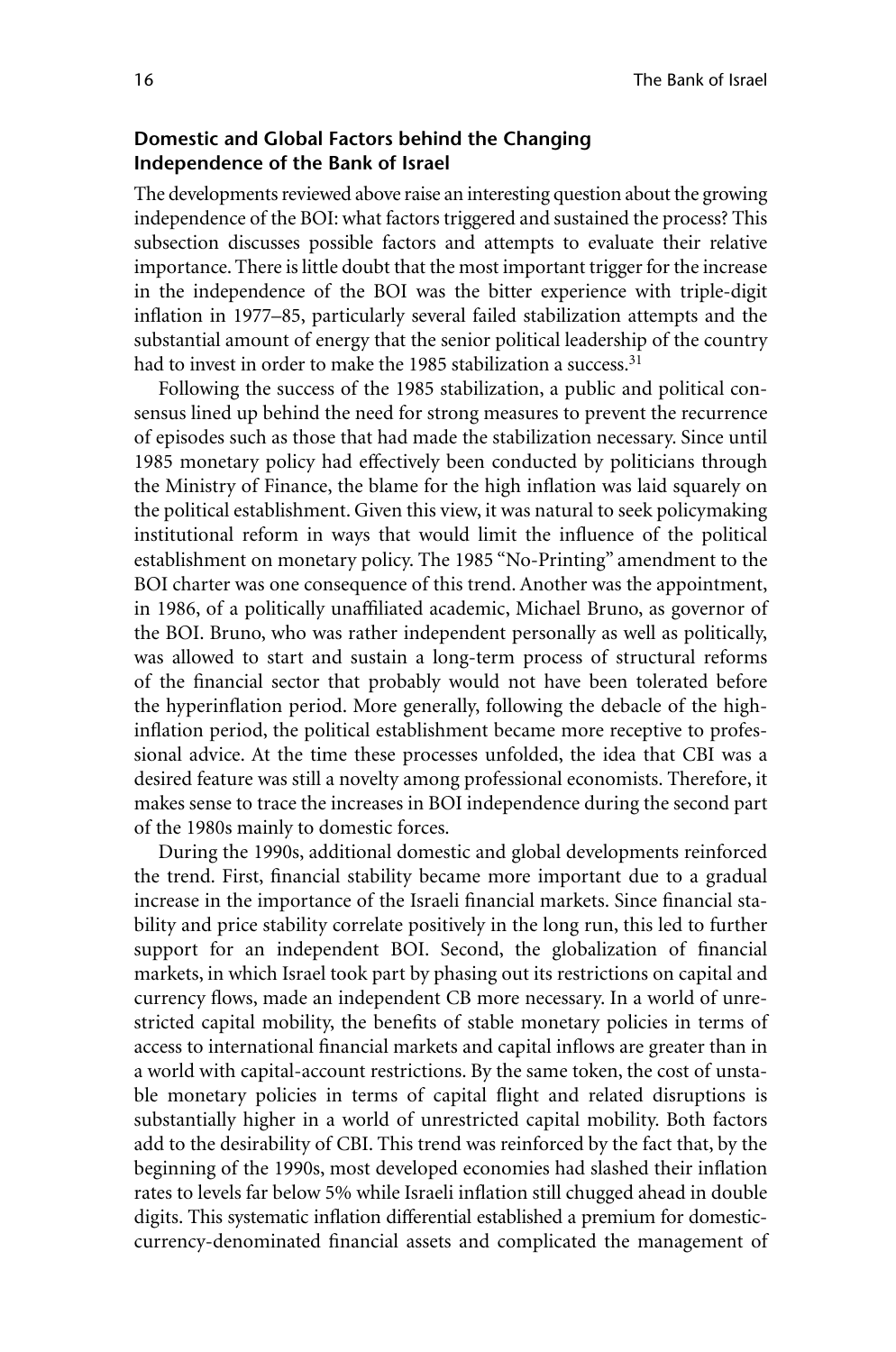# **Domestic and Global Factors behind the Changing Independence of the Bank of Israel**

The developments reviewed above raise an interesting question about the growing independence of the BOI: what factors triggered and sustained the process? This subsection discusses possible factors and attempts to evaluate their relative importance. There is little doubt that the most important trigger for the increase in the independence of the BOI was the bitter experience with triple-digit inflation in 1977–85, particularly several failed stabilization attempts and the substantial amount of energy that the senior political leadership of the country had to invest in order to make the 1985 stabilization a success.<sup>31</sup>

Following the success of the 1985 stabilization, a public and political consensus lined up behind the need for strong measures to prevent the recurrence of episodes such as those that had made the stabilization necessary. Since until 1985 monetary policy had effectively been conducted by politicians through the Ministry of Finance, the blame for the high inflation was laid squarely on the political establishment. Given this view, it was natural to seek policymaking institutional reform in ways that would limit the influence of the political establishment on monetary policy. The 1985 "No-Printing" amendment to the BOI charter was one consequence of this trend. Another was the appointment, in 1986, of a politically unaffiliated academic, Michael Bruno, as governor of the BOI. Bruno, who was rather independent personally as well as politically, was allowed to start and sustain a long-term process of structural reforms of the financial sector that probably would not have been tolerated before the hyperinflation period. More generally, following the debacle of the highinflation period, the political establishment became more receptive to professional advice. At the time these processes unfolded, the idea that CBI was a desired feature was still a novelty among professional economists. Therefore, it makes sense to trace the increases in BOI independence during the second part of the 1980s mainly to domestic forces.

During the 1990s, additional domestic and global developments reinforced the trend. First, financial stability became more important due to a gradual increase in the importance of the Israeli financial markets. Since financial stability and price stability correlate positively in the long run, this led to further support for an independent BOI. Second, the globalization of financial markets, in which Israel took part by phasing out its restrictions on capital and currency flows, made an independent CB more necessary. In a world of unrestricted capital mobility, the benefits of stable monetary policies in terms of access to international financial markets and capital inflows are greater than in a world with capital-account restrictions. By the same token, the cost of unstable monetary policies in terms of capital flight and related disruptions is substantially higher in a world of unrestricted capital mobility. Both factors add to the desirability of CBI. This trend was reinforced by the fact that, by the beginning of the 1990s, most developed economies had slashed their inflation rates to levels far below 5% while Israeli inflation still chugged ahead in double digits. This systematic inflation differential established a premium for domesticcurrency-denominated financial assets and complicated the management of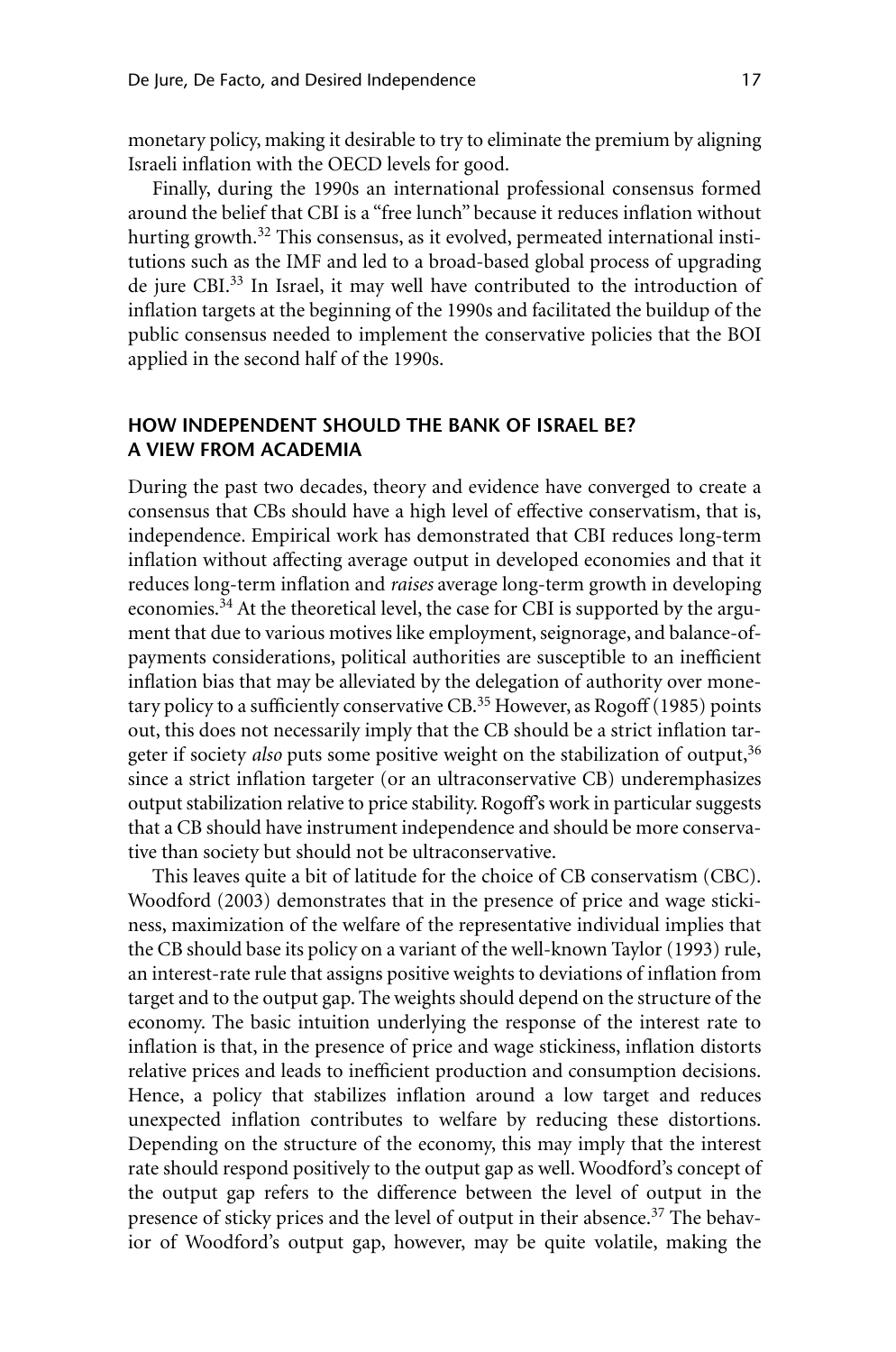monetary policy, making it desirable to try to eliminate the premium by aligning Israeli inflation with the OECD levels for good.

Finally, during the 1990s an international professional consensus formed around the belief that CBI is a "free lunch" because it reduces inflation without hurting growth.<sup>32</sup> This consensus, as it evolved, permeated international institutions such as the IMF and led to a broad-based global process of upgrading de jure CBI.33 In Israel, it may well have contributed to the introduction of inflation targets at the beginning of the 1990s and facilitated the buildup of the public consensus needed to implement the conservative policies that the BOI applied in the second half of the 1990s.

# **HOW INDEPENDENT SHOULD THE BANK OF ISRAEL BE? A VIEW FROM ACADEMIA**

During the past two decades, theory and evidence have converged to create a consensus that CBs should have a high level of effective conservatism, that is, independence. Empirical work has demonstrated that CBI reduces long-term inflation without affecting average output in developed economies and that it reduces long-term inflation and *raises* average long-term growth in developing economies.<sup>34</sup> At the theoretical level, the case for CBI is supported by the argument that due to various motives like employment, seignorage, and balance-ofpayments considerations, political authorities are susceptible to an inefficient inflation bias that may be alleviated by the delegation of authority over monetary policy to a sufficiently conservative  $CB<sup>35</sup>$  However, as Rogoff (1985) points out, this does not necessarily imply that the CB should be a strict inflation targeter if society *also* puts some positive weight on the stabilization of output,<sup>36</sup> since a strict inflation targeter (or an ultraconservative CB) underemphasizes output stabilization relative to price stability. Rogoff's work in particular suggests that a CB should have instrument independence and should be more conservative than society but should not be ultraconservative.

This leaves quite a bit of latitude for the choice of CB conservatism (CBC). Woodford (2003) demonstrates that in the presence of price and wage stickiness, maximization of the welfare of the representative individual implies that the CB should base its policy on a variant of the well-known Taylor (1993) rule, an interest-rate rule that assigns positive weights to deviations of inflation from target and to the output gap. The weights should depend on the structure of the economy. The basic intuition underlying the response of the interest rate to inflation is that, in the presence of price and wage stickiness, inflation distorts relative prices and leads to inefficient production and consumption decisions. Hence, a policy that stabilizes inflation around a low target and reduces unexpected inflation contributes to welfare by reducing these distortions. Depending on the structure of the economy, this may imply that the interest rate should respond positively to the output gap as well. Woodford's concept of the output gap refers to the difference between the level of output in the presence of sticky prices and the level of output in their absence.<sup>37</sup> The behavior of Woodford's output gap, however, may be quite volatile, making the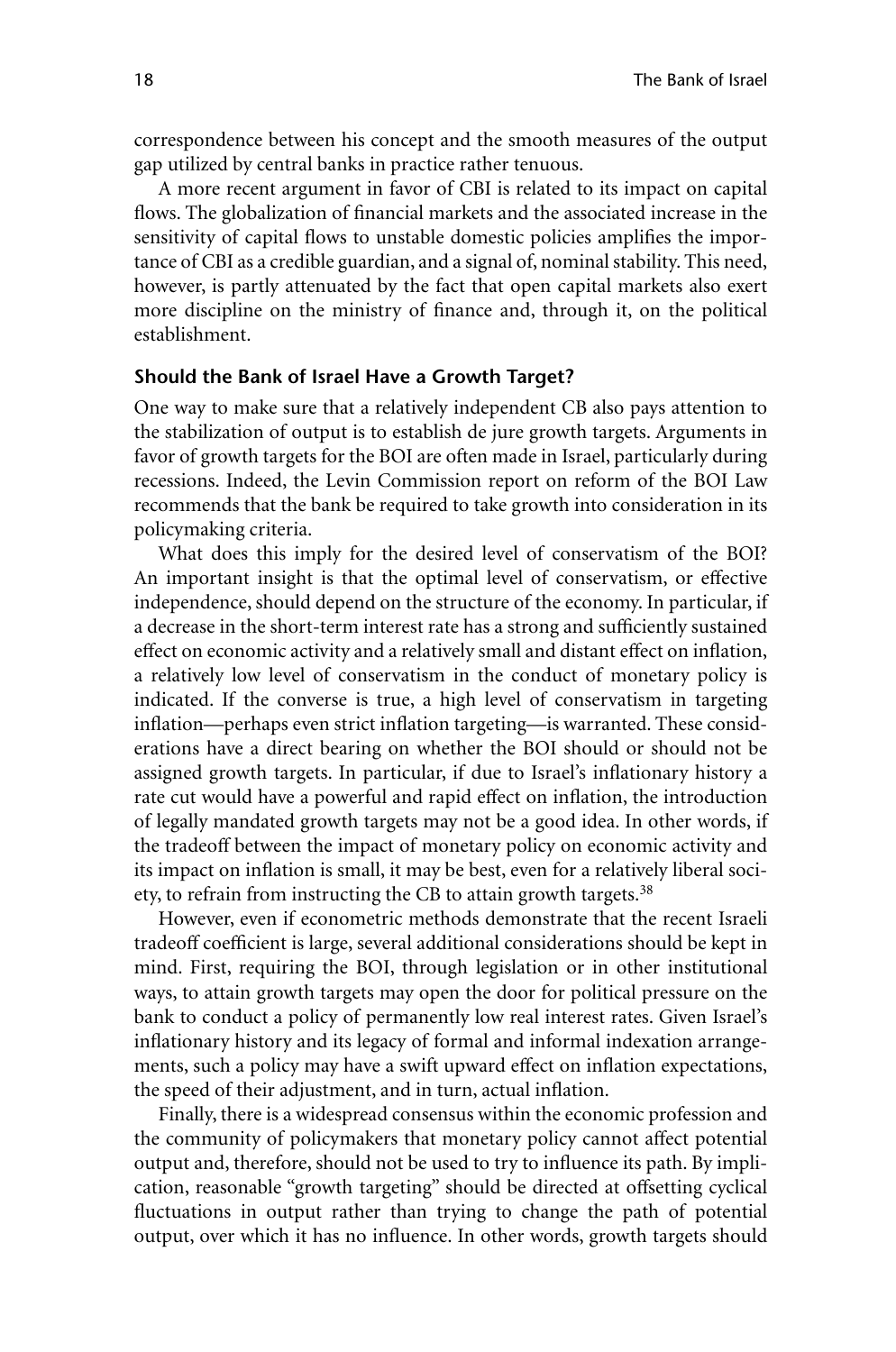correspondence between his concept and the smooth measures of the output gap utilized by central banks in practice rather tenuous.

A more recent argument in favor of CBI is related to its impact on capital flows. The globalization of financial markets and the associated increase in the sensitivity of capital flows to unstable domestic policies amplifies the importance of CBI as a credible guardian, and a signal of, nominal stability. This need, however, is partly attenuated by the fact that open capital markets also exert more discipline on the ministry of finance and, through it, on the political establishment.

#### **Should the Bank of Israel Have a Growth Target?**

One way to make sure that a relatively independent CB also pays attention to the stabilization of output is to establish de jure growth targets. Arguments in favor of growth targets for the BOI are often made in Israel, particularly during recessions. Indeed, the Levin Commission report on reform of the BOI Law recommends that the bank be required to take growth into consideration in its policymaking criteria.

What does this imply for the desired level of conservatism of the BOI? An important insight is that the optimal level of conservatism, or effective independence, should depend on the structure of the economy. In particular, if a decrease in the short-term interest rate has a strong and sufficiently sustained effect on economic activity and a relatively small and distant effect on inflation, a relatively low level of conservatism in the conduct of monetary policy is indicated. If the converse is true, a high level of conservatism in targeting inflation—perhaps even strict inflation targeting—is warranted. These considerations have a direct bearing on whether the BOI should or should not be assigned growth targets. In particular, if due to Israel's inflationary history a rate cut would have a powerful and rapid effect on inflation, the introduction of legally mandated growth targets may not be a good idea. In other words, if the tradeoff between the impact of monetary policy on economic activity and its impact on inflation is small, it may be best, even for a relatively liberal society, to refrain from instructing the CB to attain growth targets.<sup>38</sup>

However, even if econometric methods demonstrate that the recent Israeli tradeoff coefficient is large, several additional considerations should be kept in mind. First, requiring the BOI, through legislation or in other institutional ways, to attain growth targets may open the door for political pressure on the bank to conduct a policy of permanently low real interest rates. Given Israel's inflationary history and its legacy of formal and informal indexation arrangements, such a policy may have a swift upward effect on inflation expectations, the speed of their adjustment, and in turn, actual inflation.

Finally, there is a widespread consensus within the economic profession and the community of policymakers that monetary policy cannot affect potential output and, therefore, should not be used to try to influence its path. By implication, reasonable "growth targeting" should be directed at offsetting cyclical fluctuations in output rather than trying to change the path of potential output, over which it has no influence. In other words, growth targets should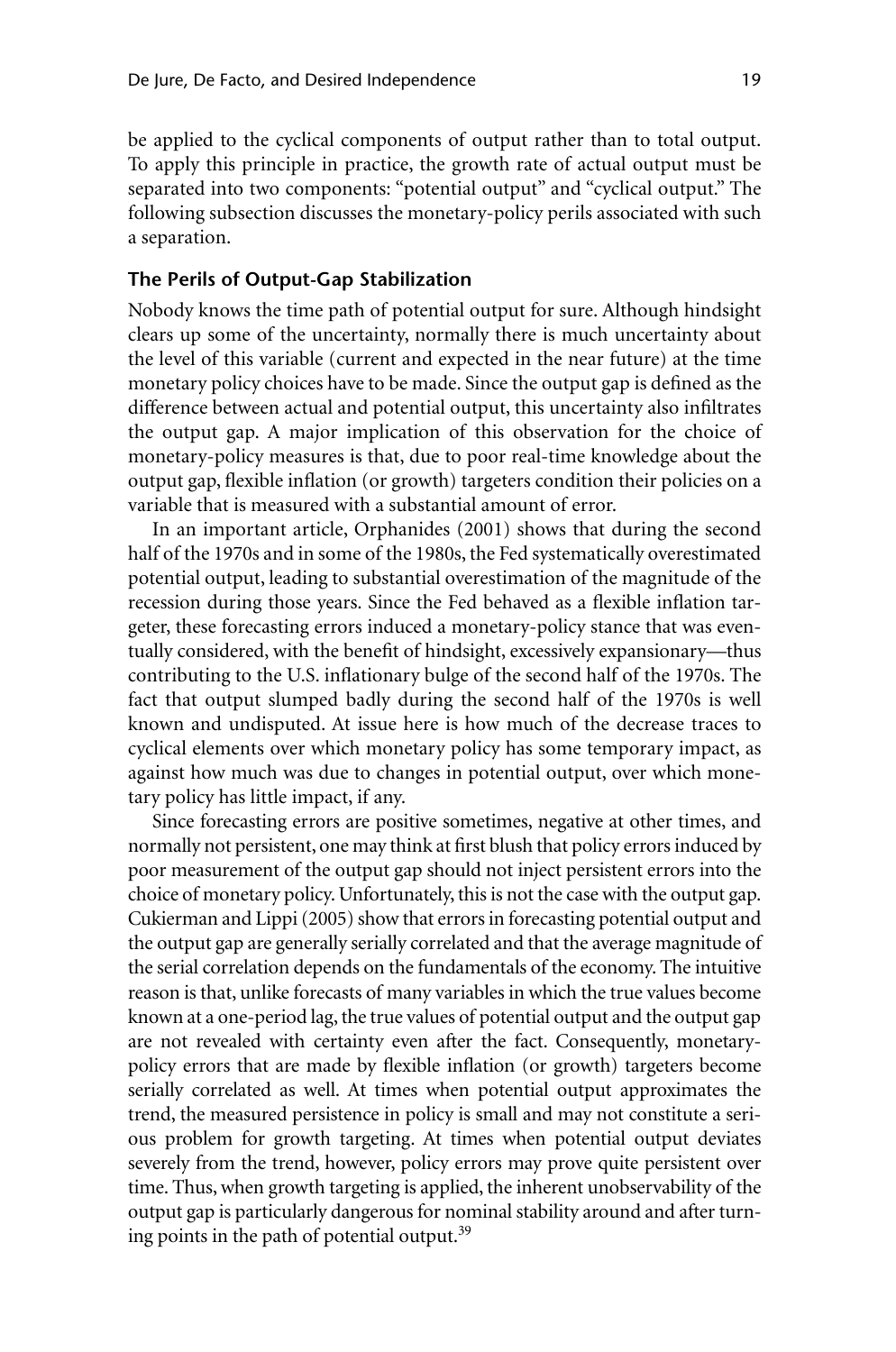be applied to the cyclical components of output rather than to total output. To apply this principle in practice, the growth rate of actual output must be separated into two components: "potential output" and "cyclical output." The following subsection discusses the monetary-policy perils associated with such a separation.

#### **The Perils of Output-Gap Stabilization**

Nobody knows the time path of potential output for sure. Although hindsight clears up some of the uncertainty, normally there is much uncertainty about the level of this variable (current and expected in the near future) at the time monetary policy choices have to be made. Since the output gap is defined as the difference between actual and potential output, this uncertainty also infiltrates the output gap. A major implication of this observation for the choice of monetary-policy measures is that, due to poor real-time knowledge about the output gap, flexible inflation (or growth) targeters condition their policies on a variable that is measured with a substantial amount of error.

In an important article, Orphanides (2001) shows that during the second half of the 1970s and in some of the 1980s, the Fed systematically overestimated potential output, leading to substantial overestimation of the magnitude of the recession during those years. Since the Fed behaved as a flexible inflation targeter, these forecasting errors induced a monetary-policy stance that was eventually considered, with the benefit of hindsight, excessively expansionary—thus contributing to the U.S. inflationary bulge of the second half of the 1970s. The fact that output slumped badly during the second half of the 1970s is well known and undisputed. At issue here is how much of the decrease traces to cyclical elements over which monetary policy has some temporary impact, as against how much was due to changes in potential output, over which monetary policy has little impact, if any.

Since forecasting errors are positive sometimes, negative at other times, and normally not persistent, one may think at first blush that policy errors induced by poor measurement of the output gap should not inject persistent errors into the choice of monetary policy. Unfortunately, this is not the case with the output gap. Cukierman and Lippi (2005) show that errors in forecasting potential output and the output gap are generally serially correlated and that the average magnitude of the serial correlation depends on the fundamentals of the economy. The intuitive reason is that, unlike forecasts of many variables in which the true values become known at a one-period lag, the true values of potential output and the output gap are not revealed with certainty even after the fact. Consequently, monetarypolicy errors that are made by flexible inflation (or growth) targeters become serially correlated as well. At times when potential output approximates the trend, the measured persistence in policy is small and may not constitute a serious problem for growth targeting. At times when potential output deviates severely from the trend, however, policy errors may prove quite persistent over time. Thus, when growth targeting is applied, the inherent unobservability of the output gap is particularly dangerous for nominal stability around and after turning points in the path of potential output.39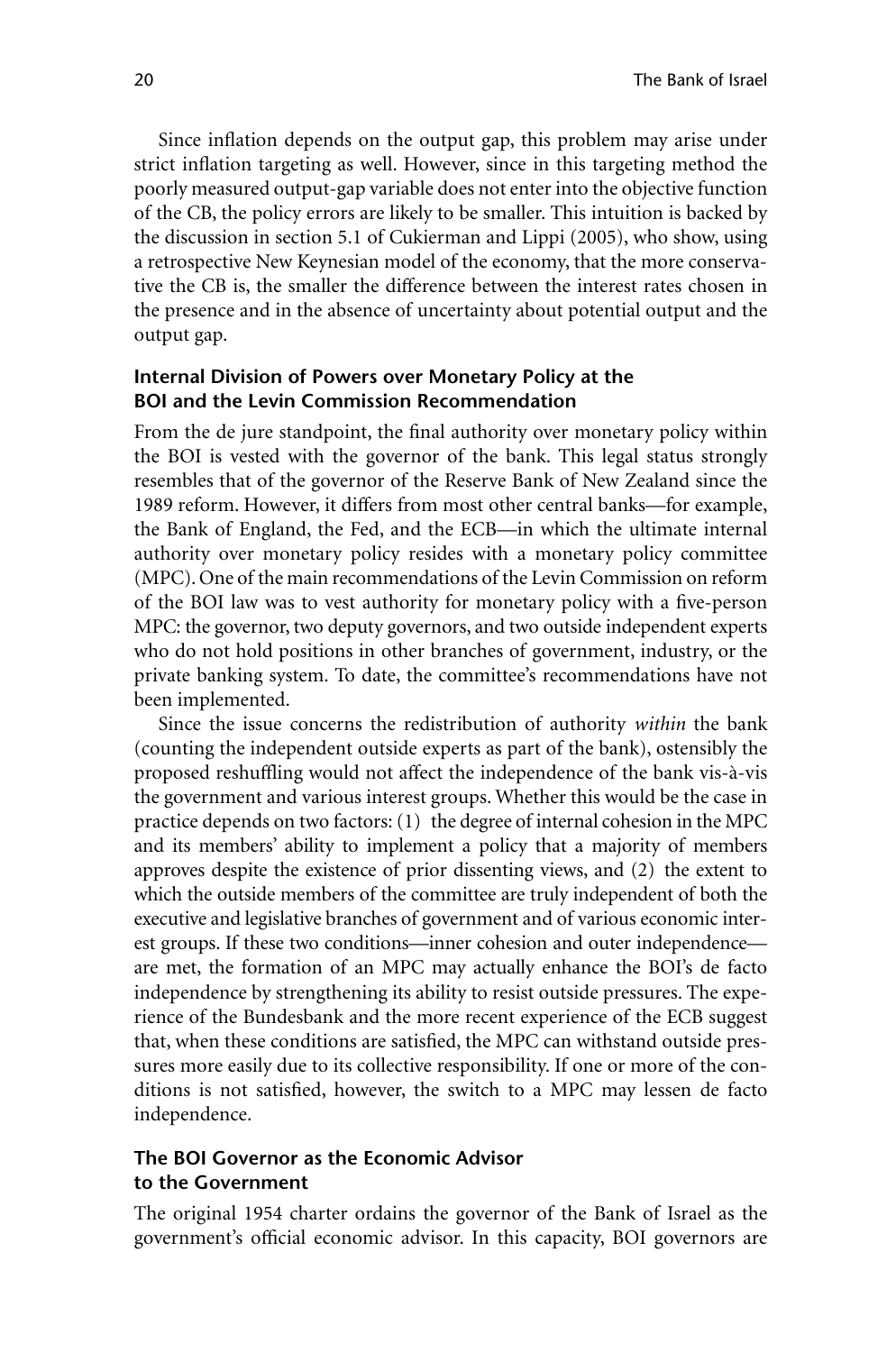Since inflation depends on the output gap, this problem may arise under strict inflation targeting as well. However, since in this targeting method the poorly measured output-gap variable does not enter into the objective function of the CB, the policy errors are likely to be smaller. This intuition is backed by the discussion in section 5.1 of Cukierman and Lippi (2005), who show, using a retrospective New Keynesian model of the economy, that the more conservative the CB is, the smaller the difference between the interest rates chosen in the presence and in the absence of uncertainty about potential output and the output gap.

# **Internal Division of Powers over Monetary Policy at the BOI and the Levin Commission Recommendation**

From the de jure standpoint, the final authority over monetary policy within the BOI is vested with the governor of the bank. This legal status strongly resembles that of the governor of the Reserve Bank of New Zealand since the 1989 reform. However, it differs from most other central banks—for example, the Bank of England, the Fed, and the ECB—in which the ultimate internal authority over monetary policy resides with a monetary policy committee (MPC). One of the main recommendations of the Levin Commission on reform of the BOI law was to vest authority for monetary policy with a five-person MPC: the governor, two deputy governors, and two outside independent experts who do not hold positions in other branches of government, industry, or the private banking system. To date, the committee's recommendations have not been implemented.

Since the issue concerns the redistribution of authority *within* the bank (counting the independent outside experts as part of the bank), ostensibly the proposed reshuffling would not affect the independence of the bank vis-à-vis the government and various interest groups. Whether this would be the case in practice depends on two factors:(1) the degree of internal cohesion in the MPC and its members' ability to implement a policy that a majority of members approves despite the existence of prior dissenting views, and (2) the extent to which the outside members of the committee are truly independent of both the executive and legislative branches of government and of various economic interest groups. If these two conditions—inner cohesion and outer independence are met, the formation of an MPC may actually enhance the BOI's de facto independence by strengthening its ability to resist outside pressures. The experience of the Bundesbank and the more recent experience of the ECB suggest that, when these conditions are satisfied, the MPC can withstand outside pressures more easily due to its collective responsibility. If one or more of the conditions is not satisfied, however, the switch to a MPC may lessen de facto independence.

# **The BOI Governor as the Economic Advisor to the Government**

The original 1954 charter ordains the governor of the Bank of Israel as the government's official economic advisor. In this capacity, BOI governors are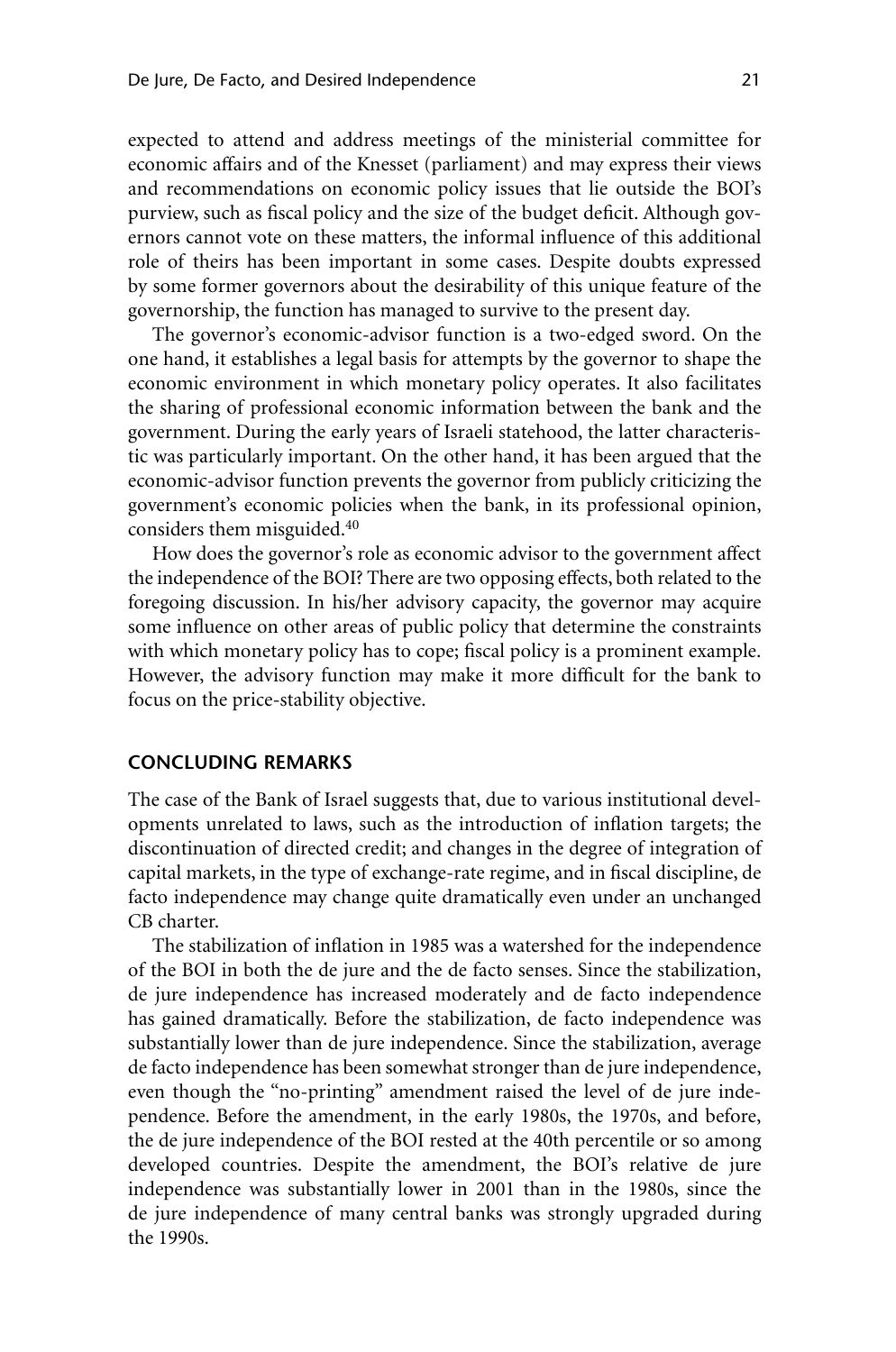expected to attend and address meetings of the ministerial committee for economic affairs and of the Knesset (parliament) and may express their views and recommendations on economic policy issues that lie outside the BOI's purview, such as fiscal policy and the size of the budget deficit. Although governors cannot vote on these matters, the informal influence of this additional role of theirs has been important in some cases. Despite doubts expressed by some former governors about the desirability of this unique feature of the governorship, the function has managed to survive to the present day.

The governor's economic-advisor function is a two-edged sword. On the one hand, it establishes a legal basis for attempts by the governor to shape the economic environment in which monetary policy operates. It also facilitates the sharing of professional economic information between the bank and the government. During the early years of Israeli statehood, the latter characteristic was particularly important. On the other hand, it has been argued that the economic-advisor function prevents the governor from publicly criticizing the government's economic policies when the bank, in its professional opinion, considers them misguided.40

How does the governor's role as economic advisor to the government affect the independence of the BOI? There are two opposing effects, both related to the foregoing discussion. In his/her advisory capacity, the governor may acquire some influence on other areas of public policy that determine the constraints with which monetary policy has to cope; fiscal policy is a prominent example. However, the advisory function may make it more difficult for the bank to focus on the price-stability objective.

#### **CONCLUDING REMARKS**

The case of the Bank of Israel suggests that, due to various institutional developments unrelated to laws, such as the introduction of inflation targets; the discontinuation of directed credit; and changes in the degree of integration of capital markets, in the type of exchange-rate regime, and in fiscal discipline, de facto independence may change quite dramatically even under an unchanged CB charter.

The stabilization of inflation in 1985 was a watershed for the independence of the BOI in both the de jure and the de facto senses. Since the stabilization, de jure independence has increased moderately and de facto independence has gained dramatically. Before the stabilization, de facto independence was substantially lower than de jure independence. Since the stabilization, average de facto independence has been somewhat stronger than de jure independence, even though the "no-printing" amendment raised the level of de jure independence. Before the amendment, in the early 1980s, the 1970s, and before, the de jure independence of the BOI rested at the 40th percentile or so among developed countries. Despite the amendment, the BOI's relative de jure independence was substantially lower in 2001 than in the 1980s, since the de jure independence of many central banks was strongly upgraded during the 1990s.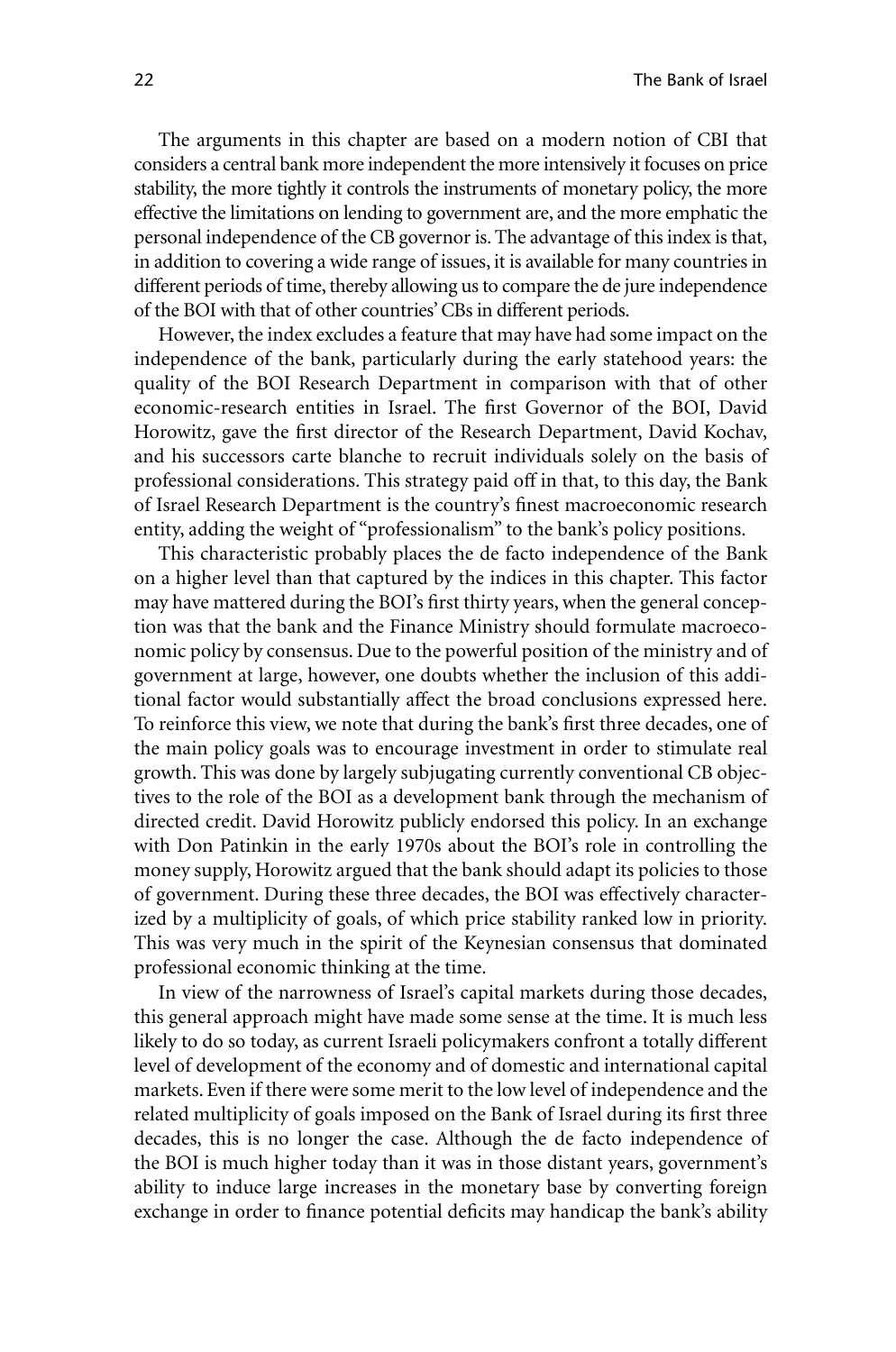The arguments in this chapter are based on a modern notion of CBI that considers a central bank more independent the more intensively it focuses on price stability, the more tightly it controls the instruments of monetary policy, the more effective the limitations on lending to government are, and the more emphatic the personal independence of the CB governor is. The advantage of this index is that, in addition to covering a wide range of issues, it is available for many countries in different periods of time, thereby allowing us to compare the de jure independence of the BOI with that of other countries' CBs in different periods.

However, the index excludes a feature that may have had some impact on the independence of the bank, particularly during the early statehood years: the quality of the BOI Research Department in comparison with that of other economic-research entities in Israel. The first Governor of the BOI, David Horowitz, gave the first director of the Research Department, David Kochav, and his successors carte blanche to recruit individuals solely on the basis of professional considerations. This strategy paid off in that, to this day, the Bank of Israel Research Department is the country's finest macroeconomic research entity, adding the weight of "professionalism" to the bank's policy positions.

This characteristic probably places the de facto independence of the Bank on a higher level than that captured by the indices in this chapter. This factor may have mattered during the BOI's first thirty years, when the general conception was that the bank and the Finance Ministry should formulate macroeconomic policy by consensus. Due to the powerful position of the ministry and of government at large, however, one doubts whether the inclusion of this additional factor would substantially affect the broad conclusions expressed here. To reinforce this view, we note that during the bank's first three decades, one of the main policy goals was to encourage investment in order to stimulate real growth. This was done by largely subjugating currently conventional CB objectives to the role of the BOI as a development bank through the mechanism of directed credit. David Horowitz publicly endorsed this policy. In an exchange with Don Patinkin in the early 1970s about the BOI's role in controlling the money supply, Horowitz argued that the bank should adapt its policies to those of government. During these three decades, the BOI was effectively characterized by a multiplicity of goals, of which price stability ranked low in priority. This was very much in the spirit of the Keynesian consensus that dominated professional economic thinking at the time.

In view of the narrowness of Israel's capital markets during those decades, this general approach might have made some sense at the time. It is much less likely to do so today, as current Israeli policymakers confront a totally different level of development of the economy and of domestic and international capital markets. Even if there were some merit to the low level of independence and the related multiplicity of goals imposed on the Bank of Israel during its first three decades, this is no longer the case. Although the de facto independence of the BOI is much higher today than it was in those distant years, government's ability to induce large increases in the monetary base by converting foreign exchange in order to finance potential deficits may handicap the bank's ability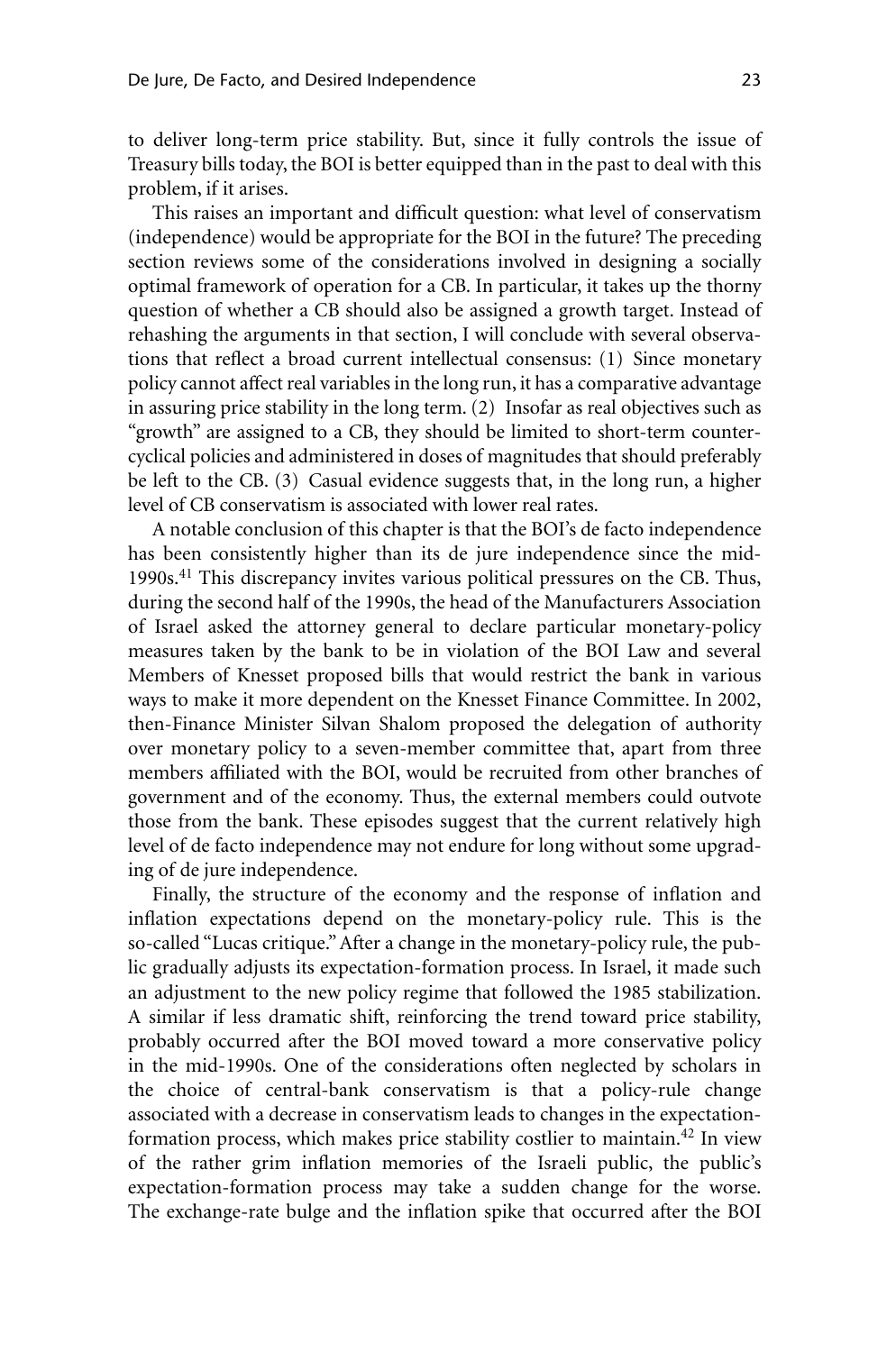to deliver long-term price stability. But, since it fully controls the issue of Treasury bills today, the BOI is better equipped than in the past to deal with this problem, if it arises.

This raises an important and difficult question: what level of conservatism (independence) would be appropriate for the BOI in the future? The preceding section reviews some of the considerations involved in designing a socially optimal framework of operation for a CB. In particular, it takes up the thorny question of whether a CB should also be assigned a growth target. Instead of rehashing the arguments in that section, I will conclude with several observations that reflect a broad current intellectual consensus: (1) Since monetary policy cannot affect real variables in the long run, it has a comparative advantage in assuring price stability in the long term. (2) Insofar as real objectives such as "growth" are assigned to a CB, they should be limited to short-term countercyclical policies and administered in doses of magnitudes that should preferably be left to the CB. (3) Casual evidence suggests that, in the long run, a higher level of CB conservatism is associated with lower real rates.

A notable conclusion of this chapter is that the BOI's de facto independence has been consistently higher than its de jure independence since the mid-1990s.41 This discrepancy invites various political pressures on the CB. Thus, during the second half of the 1990s, the head of the Manufacturers Association of Israel asked the attorney general to declare particular monetary-policy measures taken by the bank to be in violation of the BOI Law and several Members of Knesset proposed bills that would restrict the bank in various ways to make it more dependent on the Knesset Finance Committee. In 2002, then-Finance Minister Silvan Shalom proposed the delegation of authority over monetary policy to a seven-member committee that, apart from three members affiliated with the BOI, would be recruited from other branches of government and of the economy. Thus, the external members could outvote those from the bank. These episodes suggest that the current relatively high level of de facto independence may not endure for long without some upgrading of de jure independence.

Finally, the structure of the economy and the response of inflation and inflation expectations depend on the monetary-policy rule. This is the so-called "Lucas critique." After a change in the monetary-policy rule, the public gradually adjusts its expectation-formation process. In Israel, it made such an adjustment to the new policy regime that followed the 1985 stabilization. A similar if less dramatic shift, reinforcing the trend toward price stability, probably occurred after the BOI moved toward a more conservative policy in the mid-1990s. One of the considerations often neglected by scholars in the choice of central-bank conservatism is that a policy-rule change associated with a decrease in conservatism leads to changes in the expectationformation process, which makes price stability costlier to maintain.<sup>42</sup> In view of the rather grim inflation memories of the Israeli public, the public's expectation-formation process may take a sudden change for the worse. The exchange-rate bulge and the inflation spike that occurred after the BOI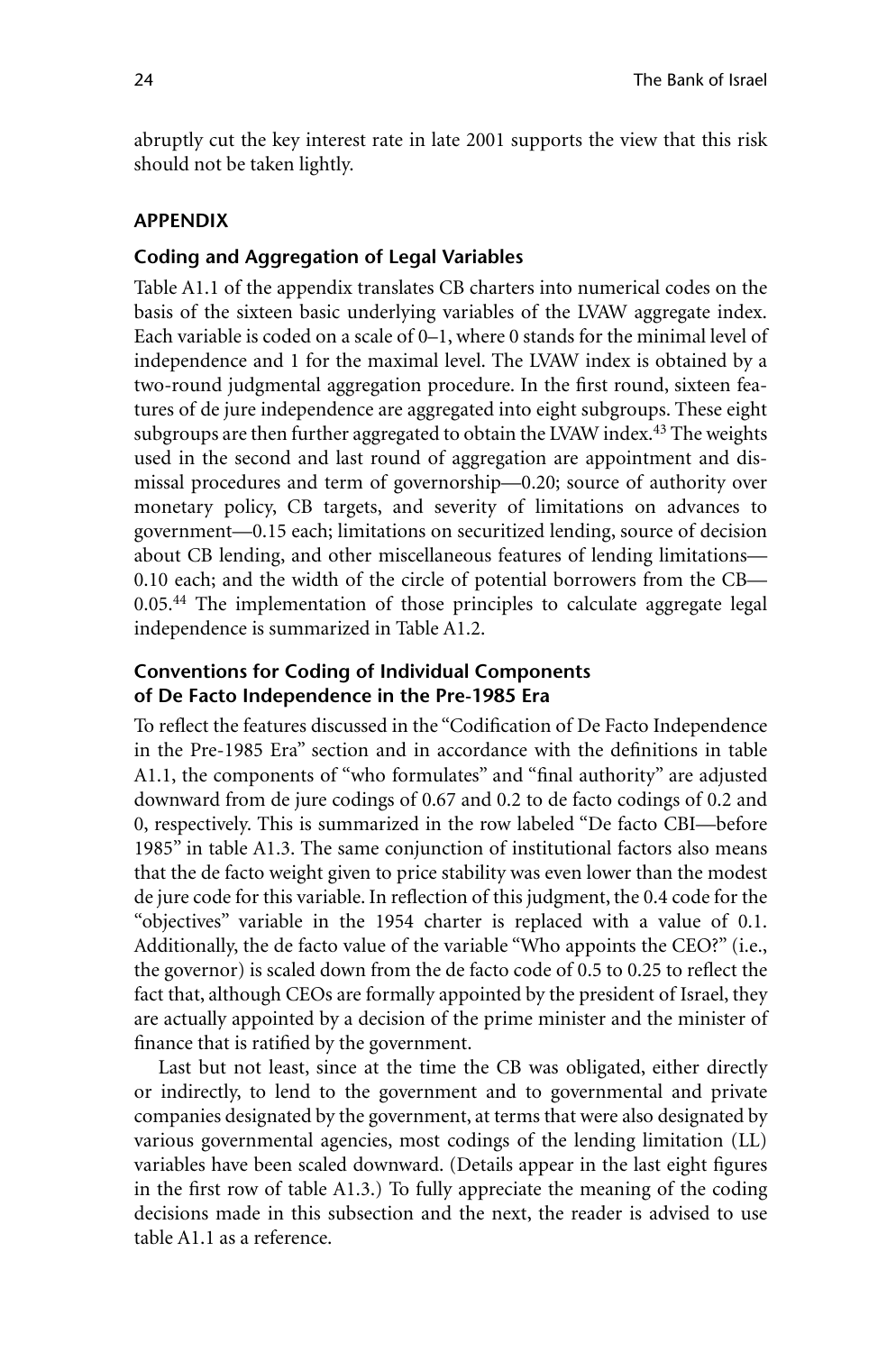abruptly cut the key interest rate in late 2001 supports the view that this risk should not be taken lightly.

### **APPENDIX**

#### **Coding and Aggregation of Legal Variables**

Table A1.1 of the appendix translates CB charters into numerical codes on the basis of the sixteen basic underlying variables of the LVAW aggregate index. Each variable is coded on a scale of 0–1, where 0 stands for the minimal level of independence and 1 for the maximal level. The LVAW index is obtained by a two-round judgmental aggregation procedure. In the first round, sixteen features of de jure independence are aggregated into eight subgroups. These eight subgroups are then further aggregated to obtain the LVAW index.<sup>43</sup> The weights used in the second and last round of aggregation are appointment and dismissal procedures and term of governorship—0.20; source of authority over monetary policy, CB targets, and severity of limitations on advances to government—0.15 each; limitations on securitized lending, source of decision about CB lending, and other miscellaneous features of lending limitations— 0.10 each; and the width of the circle of potential borrowers from the CB— 0.05.44 The implementation of those principles to calculate aggregate legal independence is summarized in Table A1.2.

# **Conventions for Coding of Individual Components of De Facto Independence in the Pre-1985 Era**

To reflect the features discussed in the "Codification of De Facto Independence in the Pre-1985 Era" section and in accordance with the definitions in table A1.1, the components of "who formulates" and "final authority" are adjusted downward from de jure codings of 0.67 and 0.2 to de facto codings of 0.2 and 0, respectively. This is summarized in the row labeled "De facto CBI—before 1985" in table A1.3. The same conjunction of institutional factors also means that the de facto weight given to price stability was even lower than the modest de jure code for this variable. In reflection of this judgment, the 0.4 code for the "objectives" variable in the 1954 charter is replaced with a value of 0.1. Additionally, the de facto value of the variable "Who appoints the CEO?" (i.e., the governor) is scaled down from the de facto code of 0.5 to 0.25 to reflect the fact that, although CEOs are formally appointed by the president of Israel, they are actually appointed by a decision of the prime minister and the minister of finance that is ratified by the government.

Last but not least, since at the time the CB was obligated, either directly or indirectly, to lend to the government and to governmental and private companies designated by the government, at terms that were also designated by various governmental agencies, most codings of the lending limitation (LL) variables have been scaled downward. (Details appear in the last eight figures in the first row of table A1.3.) To fully appreciate the meaning of the coding decisions made in this subsection and the next, the reader is advised to use table A1.1 as a reference.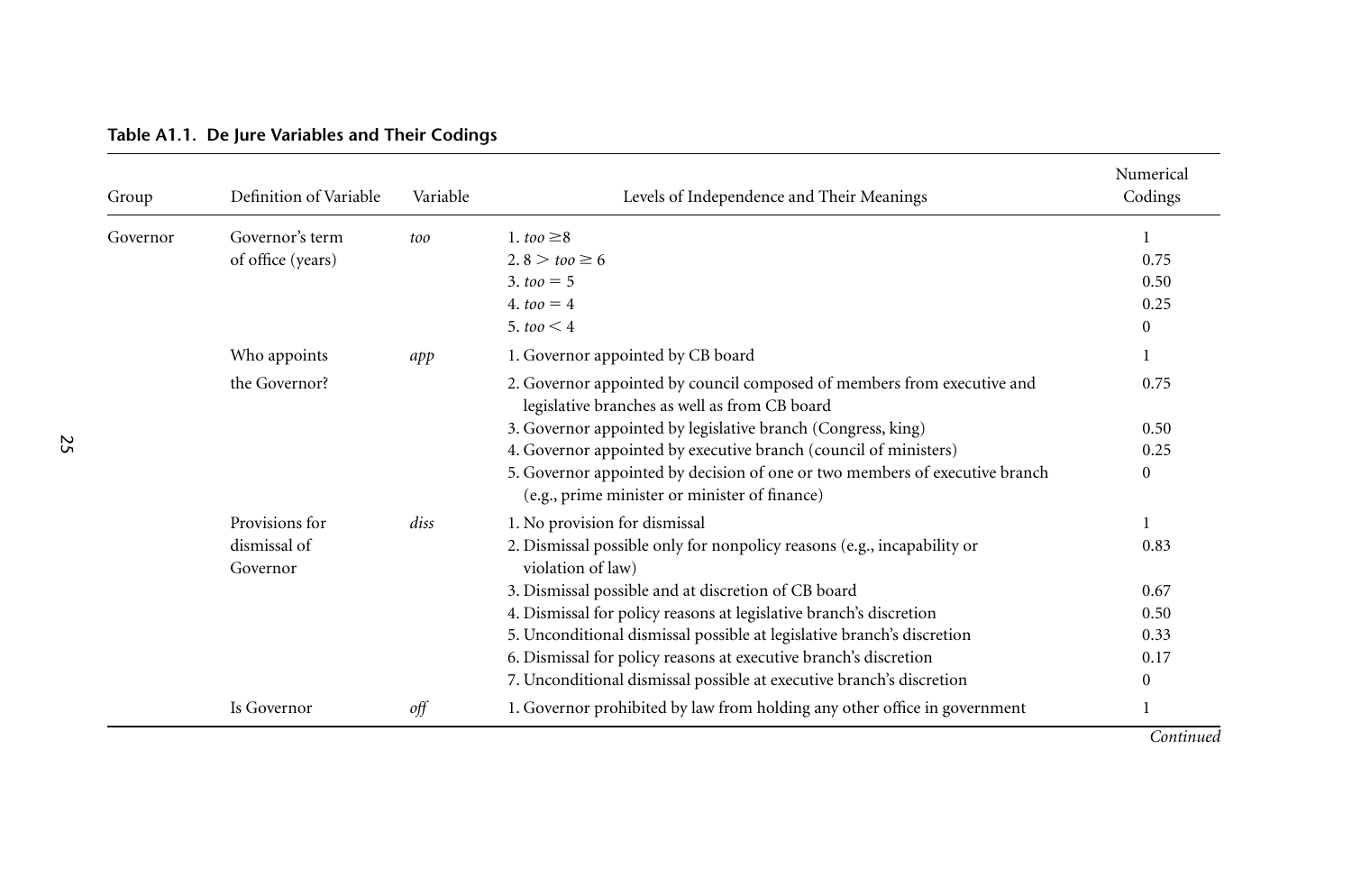| Group    | Definition of Variable   | Levels of Independence and Their Meanings | Numerical<br>Codings                                                                                                         |                |
|----------|--------------------------|-------------------------------------------|------------------------------------------------------------------------------------------------------------------------------|----------------|
| Governor | Governor's term          | too                                       | 1. too $\geq$ 8                                                                                                              |                |
|          | of office (years)        |                                           | $2.8 > \text{too} \geq 6$                                                                                                    | 0.75           |
|          |                          |                                           | 3. $too = 5$                                                                                                                 | 0.50           |
|          |                          |                                           | 4. $too = 4$                                                                                                                 | 0.25           |
|          |                          |                                           | 5. too $\leq 4$                                                                                                              | $\overline{0}$ |
|          | Who appoints             | app                                       | 1. Governor appointed by CB board                                                                                            |                |
|          | the Governor?            |                                           | 2. Governor appointed by council composed of members from executive and<br>legislative branches as well as from CB board     | 0.75           |
|          |                          |                                           | 3. Governor appointed by legislative branch (Congress, king)                                                                 | 0.50           |
|          |                          |                                           | 4. Governor appointed by executive branch (council of ministers)                                                             | 0.25           |
|          |                          |                                           | 5. Governor appointed by decision of one or two members of executive branch<br>(e.g., prime minister or minister of finance) | $\mathbf{0}$   |
|          | Provisions for           | diss                                      | 1. No provision for dismissal                                                                                                |                |
|          | dismissal of<br>Governor |                                           | 2. Dismissal possible only for nonpolicy reasons (e.g., incapability or<br>violation of law)                                 | 0.83           |
|          |                          |                                           | 3. Dismissal possible and at discretion of CB board                                                                          | 0.67           |
|          |                          |                                           | 4. Dismissal for policy reasons at legislative branch's discretion                                                           | 0.50           |
|          |                          |                                           | 5. Unconditional dismissal possible at legislative branch's discretion                                                       | 0.33           |
|          |                          |                                           | 6. Dismissal for policy reasons at executive branch's discretion                                                             | 0.17           |
|          |                          |                                           | 7. Unconditional dismissal possible at executive branch's discretion                                                         | $\mathbf{0}$   |
|          | Is Governor              | off                                       | 1. Governor prohibited by law from holding any other office in government                                                    | $\sim$ $\sim$  |

**Table A1.1. De Jure Variables and Their Codings**

*Continued*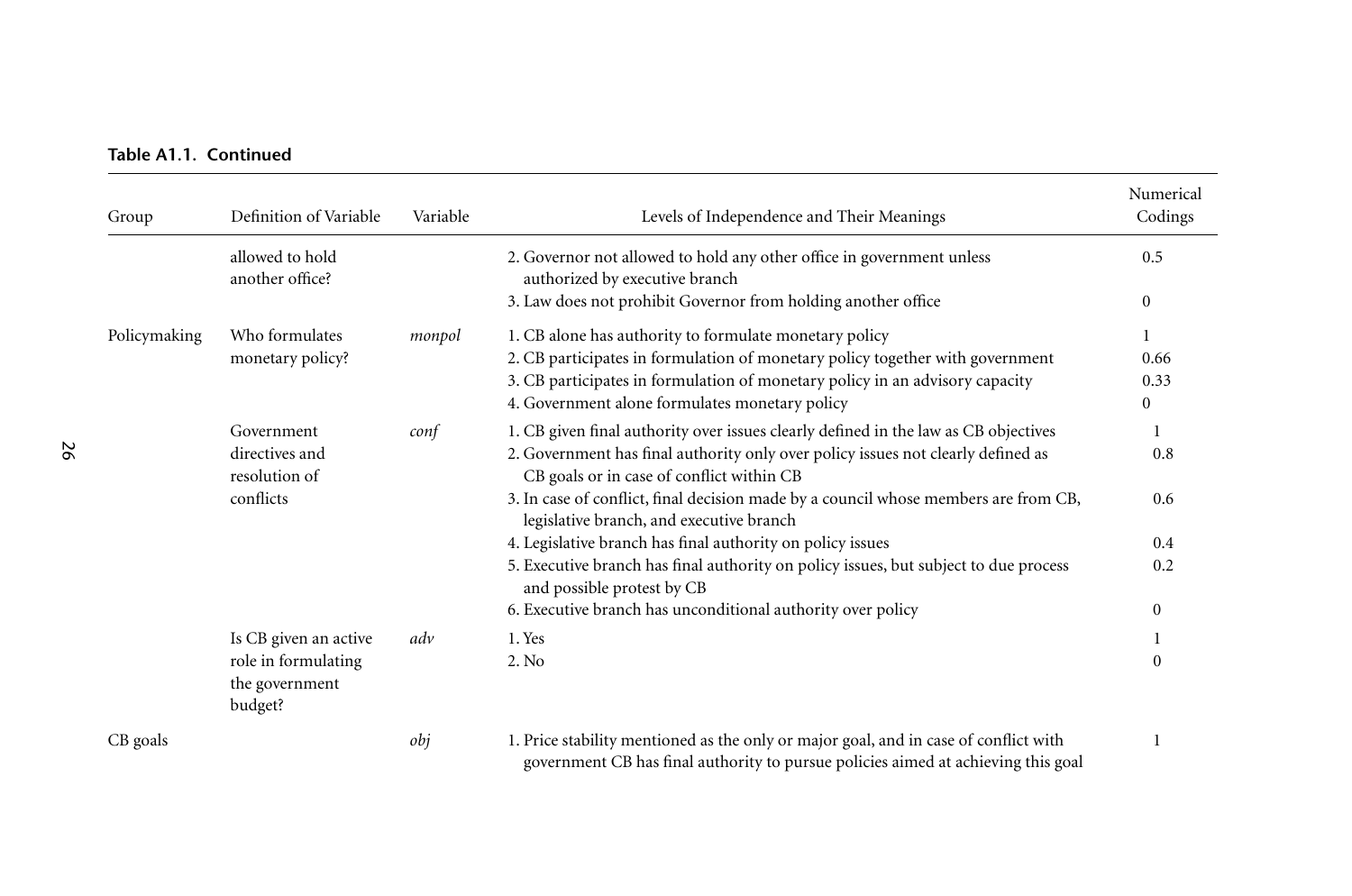|  |  | Table A1.1. Continued |
|--|--|-----------------------|
|--|--|-----------------------|

| Group        | Definition of Variable                           | Variable | Levels of Independence and Their Meanings                                                                                                                                 | Numerical<br>Codings |
|--------------|--------------------------------------------------|----------|---------------------------------------------------------------------------------------------------------------------------------------------------------------------------|----------------------|
|              | allowed to hold<br>another office?               |          | 2. Governor not allowed to hold any other office in government unless<br>authorized by executive branch                                                                   | 0.5                  |
|              |                                                  |          | 3. Law does not prohibit Governor from holding another office                                                                                                             | $\mathbf{0}$         |
| Policymaking | Who formulates                                   | monpol   | 1. CB alone has authority to formulate monetary policy                                                                                                                    |                      |
|              | monetary policy?                                 |          | 2. CB participates in formulation of monetary policy together with government                                                                                             | 0.66                 |
|              |                                                  |          | 3. CB participates in formulation of monetary policy in an advisory capacity                                                                                              | 0.33                 |
|              |                                                  |          | 4. Government alone formulates monetary policy                                                                                                                            | $\boldsymbol{0}$     |
|              | Government                                       | conf     | 1. CB given final authority over issues clearly defined in the law as CB objectives                                                                                       |                      |
|              | directives and<br>resolution of                  |          | 2. Government has final authority only over policy issues not clearly defined as<br>CB goals or in case of conflict within CB                                             | 0.8                  |
|              | conflicts                                        |          | 3. In case of conflict, final decision made by a council whose members are from CB,<br>legislative branch, and executive branch                                           | 0.6                  |
|              |                                                  |          | 4. Legislative branch has final authority on policy issues                                                                                                                | 0.4                  |
|              |                                                  |          | 5. Executive branch has final authority on policy issues, but subject to due process<br>and possible protest by CB                                                        | 0.2                  |
|              |                                                  |          | 6. Executive branch has unconditional authority over policy                                                                                                               | $\bf{0}$             |
|              | Is CB given an active                            | adv      | 1. Yes                                                                                                                                                                    | 1                    |
|              | role in formulating<br>the government<br>budget? |          | 2. No                                                                                                                                                                     | $\bf{0}$             |
| CB goals     |                                                  | obj      | 1. Price stability mentioned as the only or major goal, and in case of conflict with<br>government CB has final authority to pursue policies aimed at achieving this goal | 1                    |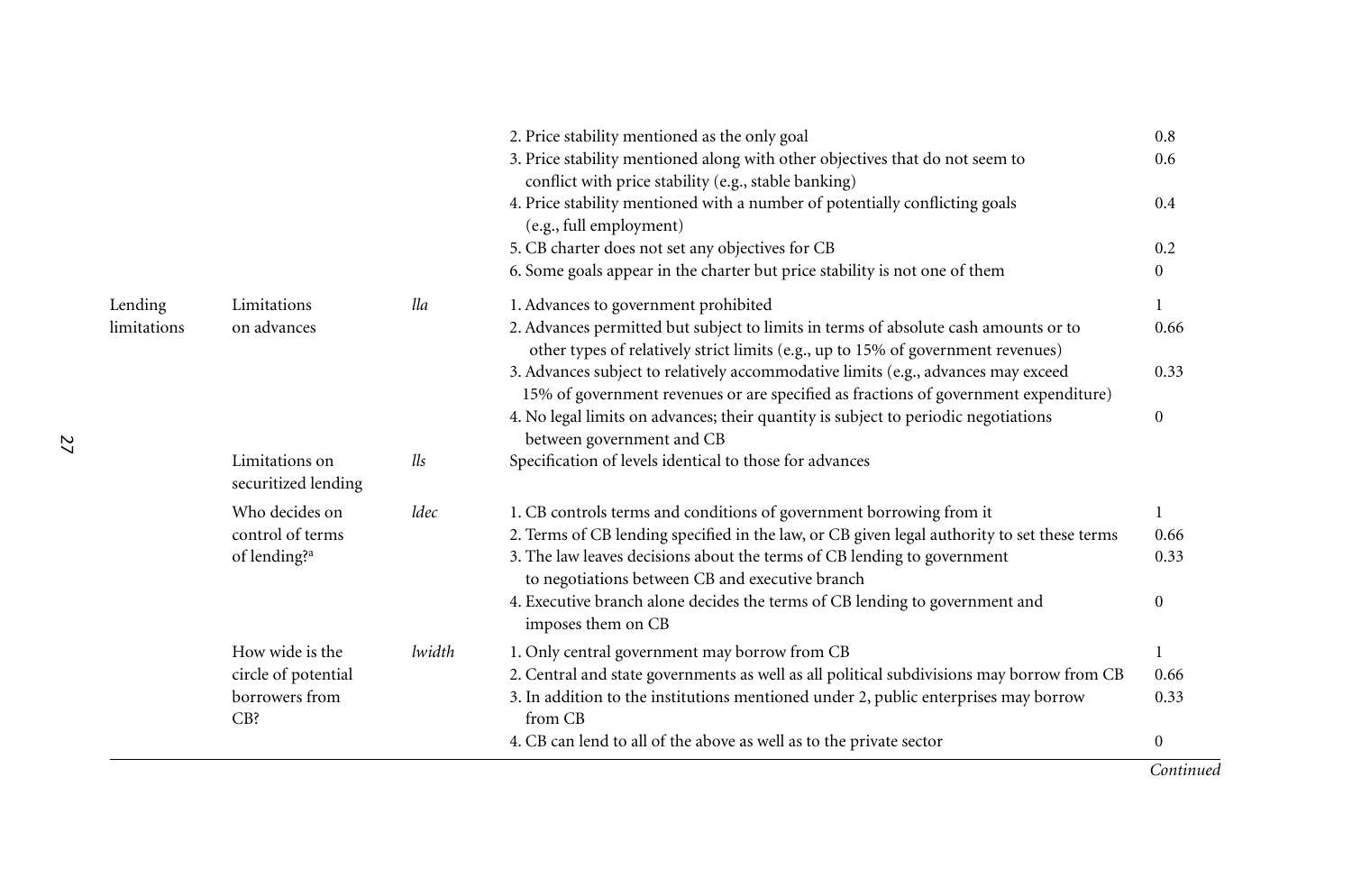|             |                                       |                 | 2. Price stability mentioned as the only goal                                                                                                                            | 0.8              |
|-------------|---------------------------------------|-----------------|--------------------------------------------------------------------------------------------------------------------------------------------------------------------------|------------------|
|             |                                       |                 | 3. Price stability mentioned along with other objectives that do not seem to                                                                                             | 0.6              |
|             |                                       |                 | conflict with price stability (e.g., stable banking)                                                                                                                     |                  |
|             |                                       |                 | 4. Price stability mentioned with a number of potentially conflicting goals<br>(e.g., full employment)                                                                   | 0.4              |
|             |                                       |                 | 5. CB charter does not set any objectives for CB                                                                                                                         | 0.2              |
|             |                                       |                 | 6. Some goals appear in the charter but price stability is not one of them                                                                                               | $\mathbf{0}$     |
| Lending     | Limitations                           | lla             | 1. Advances to government prohibited                                                                                                                                     | 1                |
| limitations | on advances                           |                 | 2. Advances permitted but subject to limits in terms of absolute cash amounts or to<br>other types of relatively strict limits (e.g., up to 15% of government revenues)  | 0.66             |
|             |                                       |                 | 3. Advances subject to relatively accommodative limits (e.g., advances may exceed<br>15% of government revenues or are specified as fractions of government expenditure) | 0.33             |
|             |                                       |                 | 4. No legal limits on advances; their quantity is subject to periodic negotiations<br>between government and CB                                                          | $\mathbf{0}$     |
|             | Limitations on<br>securitized lending | ll <sub>s</sub> | Specification of levels identical to those for advances                                                                                                                  |                  |
|             | Who decides on                        | ldec            | 1. CB controls terms and conditions of government borrowing from it                                                                                                      | 1                |
|             | control of terms                      |                 | 2. Terms of CB lending specified in the law, or CB given legal authority to set these terms                                                                              | 0.66             |
|             | of lending? <sup>a</sup>              |                 | 3. The law leaves decisions about the terms of CB lending to government<br>to negotiations between CB and executive branch                                               | 0.33             |
|             |                                       |                 | 4. Executive branch alone decides the terms of CB lending to government and<br>imposes them on CB                                                                        | $\bf{0}$         |
|             | How wide is the                       | lwidth          | 1. Only central government may borrow from CB                                                                                                                            | 1                |
|             | circle of potential                   |                 | 2. Central and state governments as well as all political subdivisions may borrow from CB                                                                                | 0.66             |
|             | borrowers from<br>CB?                 |                 | 3. In addition to the institutions mentioned under 2, public enterprises may borrow<br>from CB                                                                           | 0.33             |
|             |                                       |                 | 4. CB can lend to all of the above as well as to the private sector                                                                                                      | $\boldsymbol{0}$ |
|             |                                       |                 |                                                                                                                                                                          |                  |

*Continued*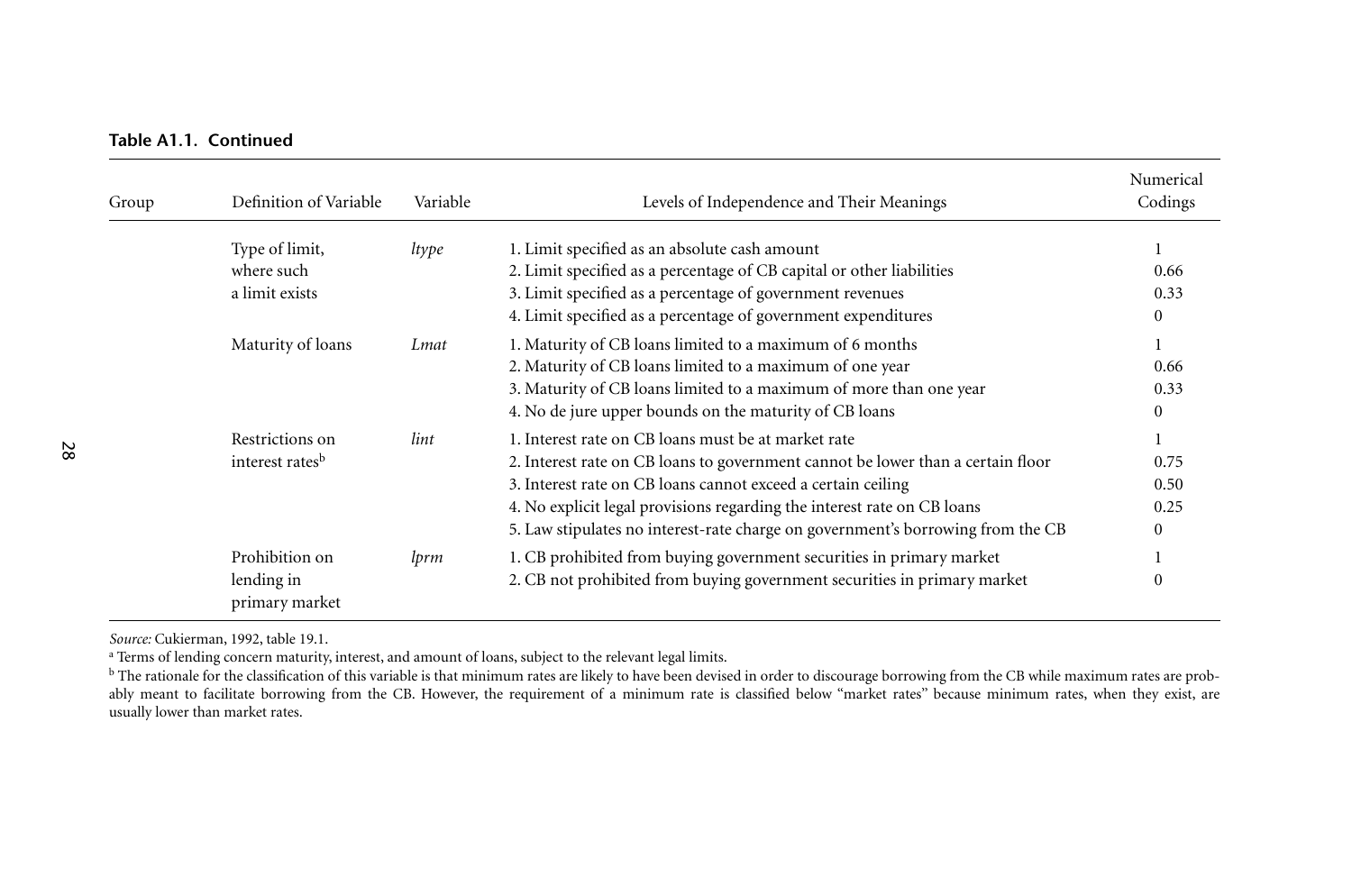**Table A1.1. Continued**

| Group | Definition of Variable       | Variable | Levels of Independence and Their Meanings                                       | Numerical<br>Codings |  |
|-------|------------------------------|----------|---------------------------------------------------------------------------------|----------------------|--|
|       | Type of limit,               | ltype    | 1. Limit specified as an absolute cash amount                                   |                      |  |
|       | where such                   |          | 2. Limit specified as a percentage of CB capital or other liabilities           | 0.66                 |  |
|       | a limit exists               |          | 3. Limit specified as a percentage of government revenues                       | 0.33                 |  |
|       |                              |          | 4. Limit specified as a percentage of government expenditures                   | $\mathbf{0}$         |  |
|       | Maturity of loans            | Lmat     | 1. Maturity of CB loans limited to a maximum of 6 months                        |                      |  |
|       |                              |          | 2. Maturity of CB loans limited to a maximum of one year                        | 0.66                 |  |
|       |                              |          | 3. Maturity of CB loans limited to a maximum of more than one year              | 0.33                 |  |
|       |                              |          | 4. No de jure upper bounds on the maturity of CB loans                          | $\mathbf{0}$         |  |
|       | Restrictions on              | lint     | 1. Interest rate on CB loans must be at market rate                             |                      |  |
|       | interest rates <sup>b</sup>  |          | 2. Interest rate on CB loans to government cannot be lower than a certain floor | 0.75                 |  |
|       |                              |          | 3. Interest rate on CB loans cannot exceed a certain ceiling                    | 0.50                 |  |
|       |                              |          | 4. No explicit legal provisions regarding the interest rate on CB loans         | 0.25                 |  |
|       |                              |          | 5. Law stipulates no interest-rate charge on government's borrowing from the CB | $\mathbf{0}$         |  |
|       | Prohibition on               | lprm     | 1. CB prohibited from buying government securities in primary market            |                      |  |
|       | lending in<br>primary market |          | 2. CB not prohibited from buying government securities in primary market        | $\mathbf 0$          |  |

*Source:* Cukierman, 1992, table 19.1.

a Terms of lending concern maturity, interest, and amount of loans, subject to the relevant legal limits.

<sup>b</sup> The rationale for the classification of this variable is that minimum rates are likely to have been devised in order to discourage borrowing from the CB while maximum rates are probably meant to facilitate borrowing from the CB. However, the requirement of a minimum rate is classified below "market rates" because minimum rates, when they exist, are usually lower than market rates.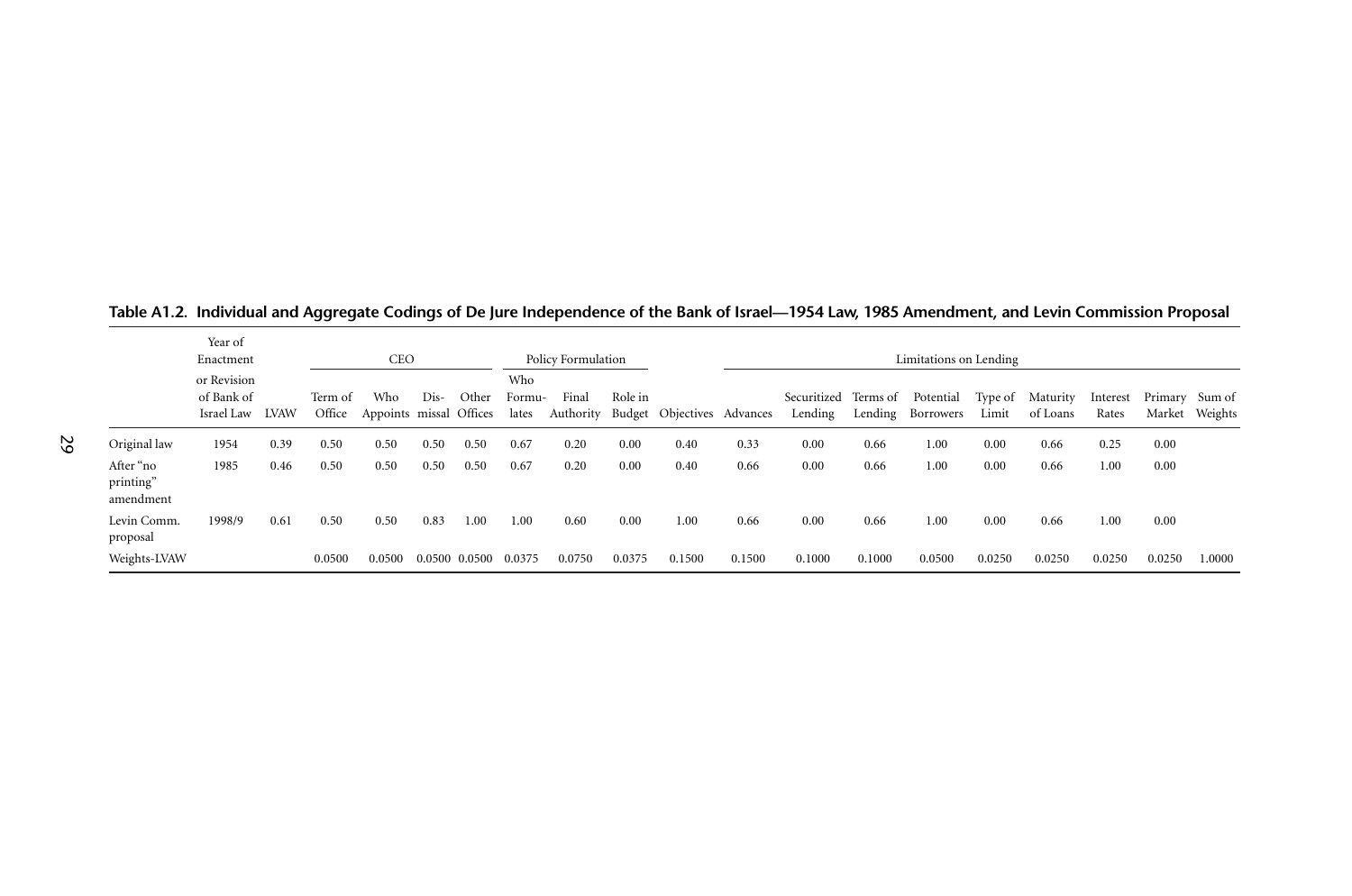|                                     | Year of                                 |      |                   |                                |        |        |                        |                    |         |                            |        |                        |                     |                        |                  |                      |                   |        |                                  |
|-------------------------------------|-----------------------------------------|------|-------------------|--------------------------------|--------|--------|------------------------|--------------------|---------|----------------------------|--------|------------------------|---------------------|------------------------|------------------|----------------------|-------------------|--------|----------------------------------|
|                                     | Enactment                               |      |                   | <b>CEO</b>                     |        |        |                        | Policy Formulation |         |                            |        |                        |                     | Limitations on Lending |                  |                      |                   |        |                                  |
|                                     | or Revision<br>of Bank of<br>Israel Law | LVAW | Term of<br>Office | Who<br>Appoints missal Offices | Dis-   | Other  | Who<br>Formu-<br>lates | Final<br>Authority | Role in | Budget Objectives Advances |        | Securitized<br>Lending | Terms of<br>Lending | Potential<br>Borrowers | Type of<br>Limit | Maturity<br>of Loans | Interest<br>Rates |        | Primary Sum of<br>Market Weights |
| Original law                        | 1954                                    | 0.39 | 0.50              | 0.50                           | 0.50   | 0.50   | 0.67                   | 0.20               | 0.00    | 0.40                       | 0.33   | 0.00                   | 0.66                | 1.00                   | 0.00             | 0.66                 | 0.25              | 0.00   |                                  |
| After "no<br>printing"<br>amendment | 1985                                    | 0.46 | 0.50              | 0.50                           | 0.50   | 0.50   | 0.67                   | 0.20               | 0.00    | 0.40                       | 0.66   | 0.00                   | 0.66                | 1.00                   | 0.00             | 0.66                 | 1.00              | 0.00   |                                  |
| Levin Comm.<br>proposal             | 1998/9                                  | 0.61 | 0.50              | 0.50                           | 0.83   | 1.00   | 1.00                   | 0.60               | 0.00    | 1.00                       | 0.66   | 0.00                   | 0.66                | 1.00                   | 0.00             | 0.66                 | 1.00              | 0.00   |                                  |
| Weights-LVAW                        |                                         |      | 0.0500            | 0.0500                         | 0.0500 | 0.0500 | 0.0375                 | 0.0750             | 0.0375  | 0.1500                     | 0.1500 | 0.1000                 | 0.1000              | 0.0500                 | 0.0250           | 0.0250               | 0.0250            | 0.0250 | 1.0000                           |

**Table A1.2. Individual and Aggregate Codings of De Jure Independence of the Bank of Israel—1954 Law, 1985 Amendment, and Levin Commission Proposal**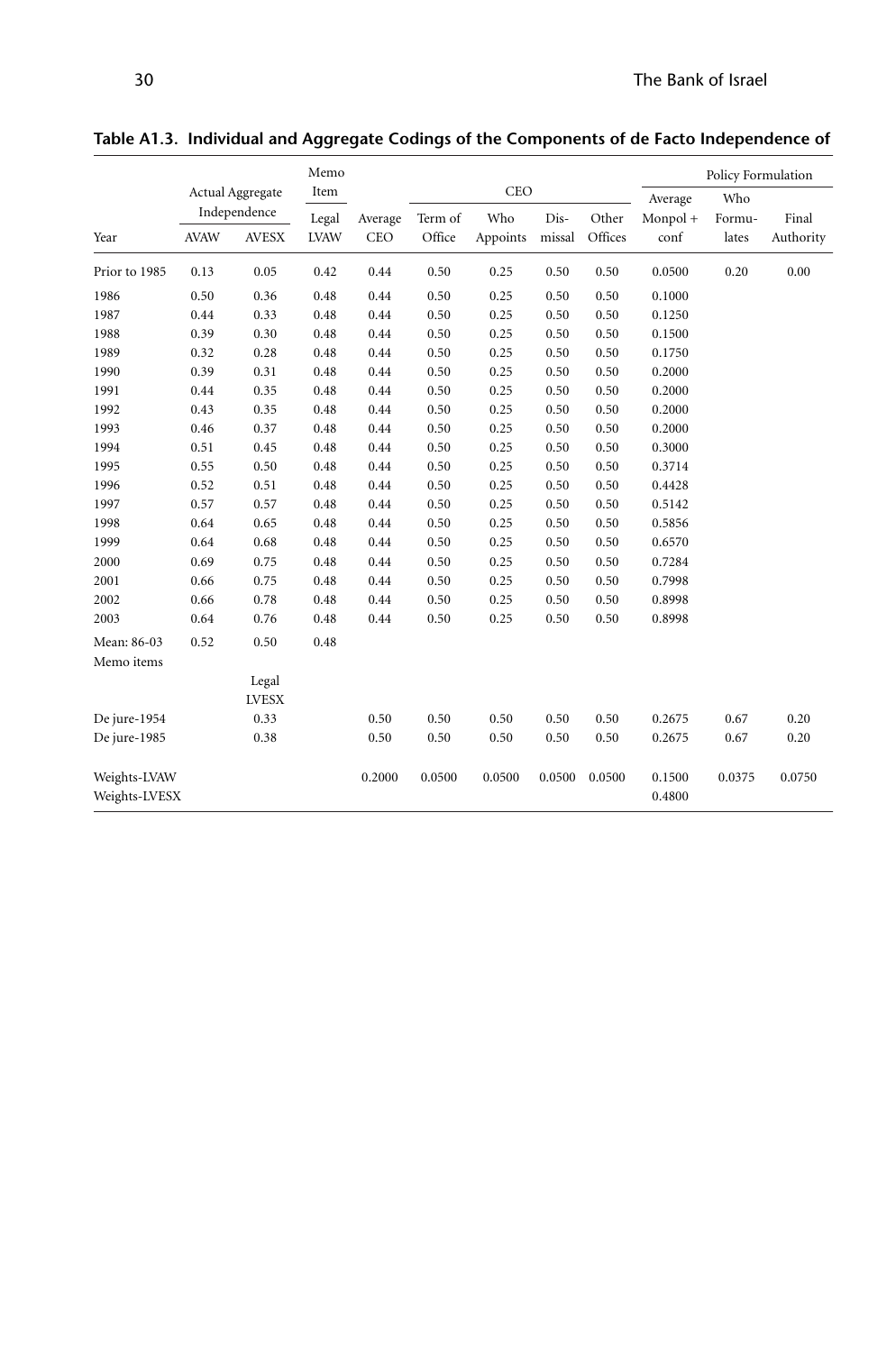|                               | Actual Aggregate |                       | Memo          |         |         | CEO      | Policy Formulation |         |                     |               |           |
|-------------------------------|------------------|-----------------------|---------------|---------|---------|----------|--------------------|---------|---------------------|---------------|-----------|
|                               |                  | Independence          | Item<br>Legal | Average | Term of | Who      | Dis-               | Other   | Average<br>Monpol + | Who<br>Formu- | Final     |
| Year                          | <b>AVAW</b>      | <b>AVESX</b>          | <b>LVAW</b>   | CEO     | Office  | Appoints | missal             | Offices | conf                | lates         | Authority |
| Prior to 1985                 | 0.13             | 0.05                  | 0.42          | 0.44    | 0.50    | 0.25     | 0.50               | 0.50    | 0.0500              | 0.20          | 0.00      |
| 1986                          | 0.50             | 0.36                  | 0.48          | 0.44    | 0.50    | 0.25     | 0.50               | 0.50    | 0.1000              |               |           |
| 1987                          | 0.44             | 0.33                  | 0.48          | 0.44    | 0.50    | 0.25     | 0.50               | 0.50    | 0.1250              |               |           |
| 1988                          | 0.39             | 0.30                  | $\rm 0.48$    | 0.44    | 0.50    | 0.25     | 0.50               | 0.50    | 0.1500              |               |           |
| 1989                          | 0.32             | 0.28                  | 0.48          | 0.44    | 0.50    | 0.25     | 0.50               | 0.50    | 0.1750              |               |           |
| 1990                          | 0.39             | 0.31                  | 0.48          | 0.44    | 0.50    | 0.25     | 0.50               | 0.50    | 0.2000              |               |           |
| 1991                          | 0.44             | 0.35                  | 0.48          | 0.44    | 0.50    | 0.25     | 0.50               | 0.50    | 0.2000              |               |           |
| 1992                          | 0.43             | 0.35                  | 0.48          | 0.44    | 0.50    | 0.25     | 0.50               | 0.50    | 0.2000              |               |           |
| 1993                          | 0.46             | 0.37                  | 0.48          | 0.44    | 0.50    | 0.25     | 0.50               | 0.50    | 0.2000              |               |           |
| 1994                          | 0.51             | 0.45                  | $\rm 0.48$    | 0.44    | 0.50    | 0.25     | 0.50               | 0.50    | 0.3000              |               |           |
| 1995                          | 0.55             | 0.50                  | 0.48          | 0.44    | 0.50    | 0.25     | 0.50               | 0.50    | 0.3714              |               |           |
| 1996                          | 0.52             | 0.51                  | 0.48          | 0.44    | 0.50    | 0.25     | 0.50               | 0.50    | 0.4428              |               |           |
| 1997                          | 0.57             | 0.57                  | 0.48          | 0.44    | 0.50    | 0.25     | 0.50               | 0.50    | 0.5142              |               |           |
| 1998                          | 0.64             | 0.65                  | 0.48          | 0.44    | 0.50    | 0.25     | 0.50               | 0.50    | 0.5856              |               |           |
| 1999                          | 0.64             | 0.68                  | 0.48          | 0.44    | 0.50    | 0.25     | 0.50               | 0.50    | 0.6570              |               |           |
| 2000                          | 0.69             | 0.75                  | 0.48          | 0.44    | 0.50    | 0.25     | 0.50               | 0.50    | 0.7284              |               |           |
| 2001                          | 0.66             | 0.75                  | 0.48          | 0.44    | 0.50    | 0.25     | 0.50               | 0.50    | 0.7998              |               |           |
| 2002                          | 0.66             | 0.78                  | 0.48          | 0.44    | 0.50    | 0.25     | 0.50               | 0.50    | 0.8998              |               |           |
| 2003                          | 0.64             | 0.76                  | 0.48          | 0.44    | 0.50    | 0.25     | 0.50               | 0.50    | 0.8998              |               |           |
| Mean: 86-03                   | 0.52             | 0.50                  | 0.48          |         |         |          |                    |         |                     |               |           |
| Memo items                    |                  |                       |               |         |         |          |                    |         |                     |               |           |
|                               |                  | Legal<br><b>LVESX</b> |               |         |         |          |                    |         |                     |               |           |
| De jure-1954                  |                  | 0.33                  |               | 0.50    | 0.50    | 0.50     | 0.50               | 0.50    | 0.2675              | 0.67          | 0.20      |
| De jure-1985                  |                  | 0.38                  |               | 0.50    | 0.50    | 0.50     | 0.50               | 0.50    | 0.2675              | 0.67          | 0.20      |
| Weights-LVAW<br>Weights-LVESX |                  |                       |               | 0.2000  | 0.0500  | 0.0500   | 0.0500             | 0.0500  | 0.1500<br>0.4800    | 0.0375        | 0.0750    |

**Table A1.3. Individual and Aggregate Codings of the Components of de Facto Independence of**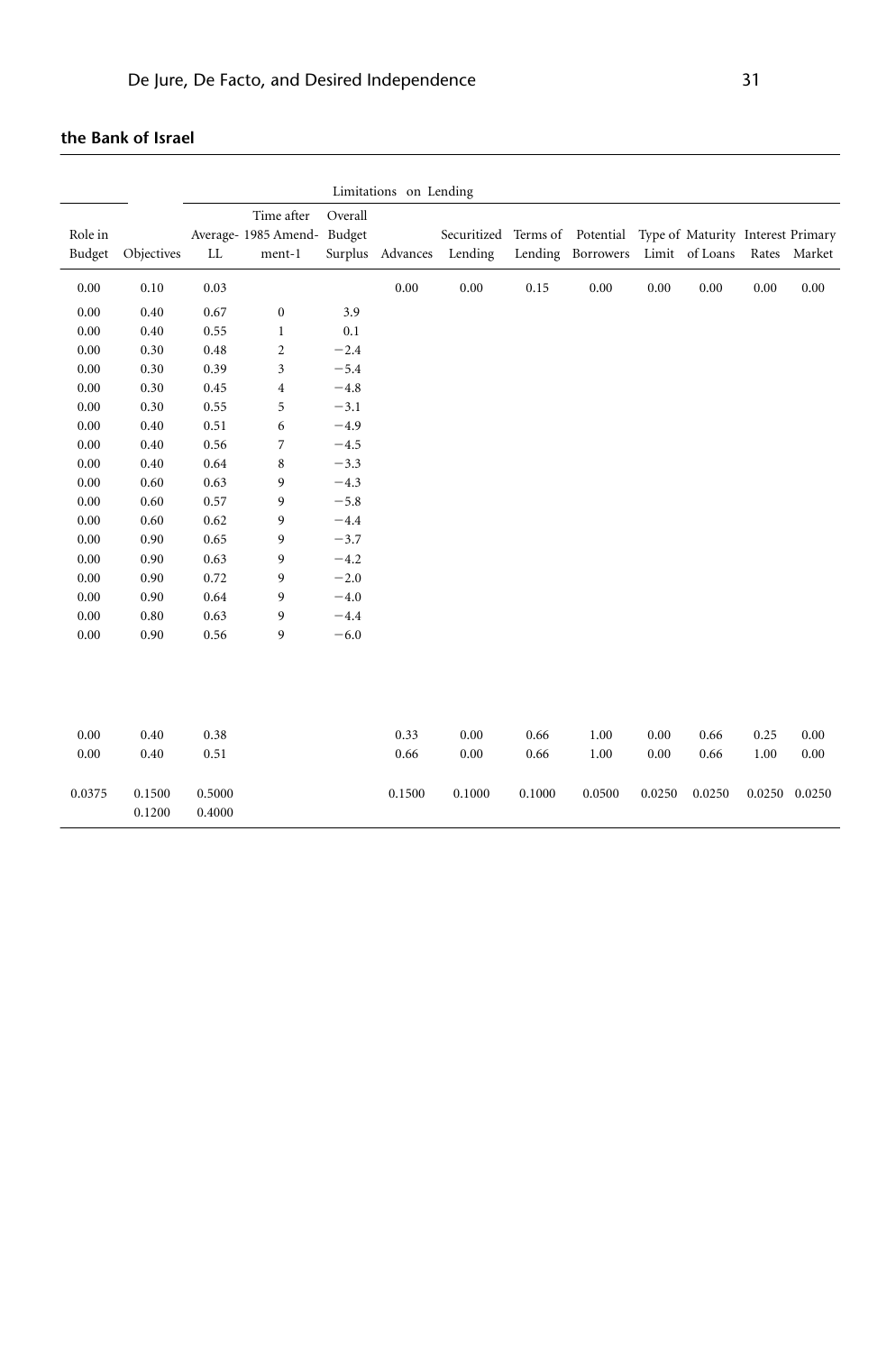# **the Bank of Israel**

|         | Limitations on Lending |        |                             |         |                  |                                |        |                   |        |                                   |      |               |
|---------|------------------------|--------|-----------------------------|---------|------------------|--------------------------------|--------|-------------------|--------|-----------------------------------|------|---------------|
|         |                        |        | Time after                  | Overall |                  |                                |        |                   |        |                                   |      |               |
| Role in |                        |        | Average- 1985 Amend- Budget |         |                  | Securitized Terms of Potential |        |                   |        | Type of Maturity Interest Primary |      |               |
| Budget  | Objectives             | LL     | ment-1                      |         | Surplus Advances | Lending                        |        | Lending Borrowers |        | Limit of Loans                    |      | Rates Market  |
| 0.00    | 0.10                   | 0.03   |                             |         | 0.00             | 0.00                           | 0.15   | 0.00              | 0.00   | 0.00                              | 0.00 | 0.00          |
| 0.00    | 0.40                   | 0.67   | $\boldsymbol{0}$            | 3.9     |                  |                                |        |                   |        |                                   |      |               |
| 0.00    | 0.40                   | 0.55   | $\mathbf{1}$                | 0.1     |                  |                                |        |                   |        |                                   |      |               |
| 0.00    | 0.30                   | 0.48   | $\overline{c}$              | $-2.4$  |                  |                                |        |                   |        |                                   |      |               |
| 0.00    | 0.30                   | 0.39   | 3                           | $-5.4$  |                  |                                |        |                   |        |                                   |      |               |
| 0.00    | 0.30                   | 0.45   | $\overline{4}$              | $-4.8$  |                  |                                |        |                   |        |                                   |      |               |
| 0.00    | 0.30                   | 0.55   | 5                           | $-3.1$  |                  |                                |        |                   |        |                                   |      |               |
| 0.00    | 0.40                   | 0.51   | 6                           | $-4.9$  |                  |                                |        |                   |        |                                   |      |               |
| 0.00    | 0.40                   | 0.56   | 7                           | $-4.5$  |                  |                                |        |                   |        |                                   |      |               |
| 0.00    | 0.40                   | 0.64   | 8                           | $-3.3$  |                  |                                |        |                   |        |                                   |      |               |
| 0.00    | 0.60                   | 0.63   | 9                           | $-4.3$  |                  |                                |        |                   |        |                                   |      |               |
| 0.00    | 0.60                   | 0.57   | 9                           | $-5.8$  |                  |                                |        |                   |        |                                   |      |               |
| 0.00    | 0.60                   | 0.62   | 9                           | $-4.4$  |                  |                                |        |                   |        |                                   |      |               |
| 0.00    | 0.90                   | 0.65   | 9                           | $-3.7$  |                  |                                |        |                   |        |                                   |      |               |
| 0.00    | 0.90                   | 0.63   | 9                           | $-4.2$  |                  |                                |        |                   |        |                                   |      |               |
| 0.00    | 0.90                   | 0.72   | 9                           | $-2.0$  |                  |                                |        |                   |        |                                   |      |               |
| 0.00    | 0.90                   | 0.64   | 9                           | $-4.0$  |                  |                                |        |                   |        |                                   |      |               |
| 0.00    | 0.80                   | 0.63   | 9                           | $-4.4$  |                  |                                |        |                   |        |                                   |      |               |
| 0.00    | 0.90                   | 0.56   | 9                           | $-6.0$  |                  |                                |        |                   |        |                                   |      |               |
|         |                        |        |                             |         |                  |                                |        |                   |        |                                   |      |               |
| 0.00    | 0.40                   | 0.38   |                             |         | 0.33             | 0.00                           | 0.66   | 1.00              | 0.00   | 0.66                              | 0.25 | 0.00          |
| 0.00    | 0.40                   | 0.51   |                             |         | 0.66             | 0.00                           | 0.66   | 1.00              | 0.00   | 0.66                              | 1.00 | 0.00          |
|         |                        |        |                             |         |                  |                                |        |                   |        |                                   |      |               |
| 0.0375  | 0.1500                 | 0.5000 |                             |         | 0.1500           | 0.1000                         | 0.1000 | 0.0500            | 0.0250 | 0.0250                            |      | 0.0250 0.0250 |
|         | 0.1200                 | 0.4000 |                             |         |                  |                                |        |                   |        |                                   |      |               |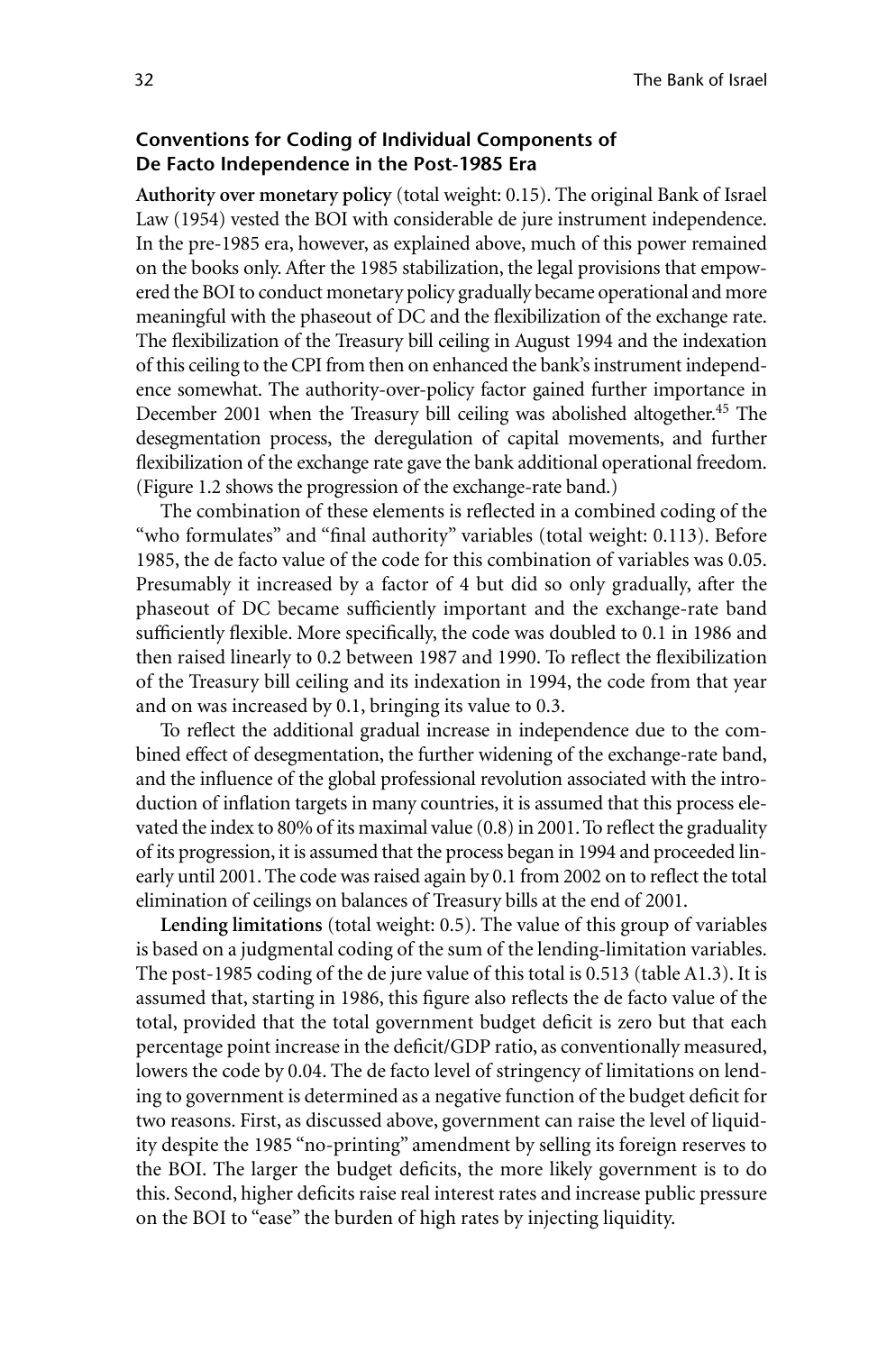# **Conventions for Coding of Individual Components of De Facto Independence in the Post-1985 Era**

**Authority over monetary policy** (total weight: 0.15). The original Bank of Israel Law (1954) vested the BOI with considerable de jure instrument independence. In the pre-1985 era, however, as explained above, much of this power remained on the books only. After the 1985 stabilization, the legal provisions that empowered the BOI to conduct monetary policy gradually became operational and more meaningful with the phaseout of DC and the flexibilization of the exchange rate. The flexibilization of the Treasury bill ceiling in August 1994 and the indexation of this ceiling to the CPI from then on enhanced the bank's instrument independence somewhat. The authority-over-policy factor gained further importance in December 2001 when the Treasury bill ceiling was abolished altogether.<sup>45</sup> The desegmentation process, the deregulation of capital movements, and further flexibilization of the exchange rate gave the bank additional operational freedom. (Figure 1.2 shows the progression of the exchange-rate band.)

The combination of these elements is reflected in a combined coding of the "who formulates" and "final authority" variables (total weight: 0.113). Before 1985, the de facto value of the code for this combination of variables was 0.05. Presumably it increased by a factor of 4 but did so only gradually, after the phaseout of DC became sufficiently important and the exchange-rate band sufficiently flexible. More specifically, the code was doubled to 0.1 in 1986 and then raised linearly to 0.2 between 1987 and 1990. To reflect the flexibilization of the Treasury bill ceiling and its indexation in 1994, the code from that year and on was increased by 0.1, bringing its value to 0.3.

To reflect the additional gradual increase in independence due to the combined effect of desegmentation, the further widening of the exchange-rate band, and the influence of the global professional revolution associated with the introduction of inflation targets in many countries, it is assumed that this process elevated the index to 80% of its maximal value (0.8) in 2001. To reflect the graduality of its progression, it is assumed that the process began in 1994 and proceeded linearly until 2001. The code was raised again by 0.1 from 2002 on to reflect the total elimination of ceilings on balances of Treasury bills at the end of 2001.

**Lending limitations** (total weight: 0.5). The value of this group of variables is based on a judgmental coding of the sum of the lending-limitation variables. The post-1985 coding of the de jure value of this total is 0.513 (table A1.3). It is assumed that, starting in 1986, this figure also reflects the de facto value of the total, provided that the total government budget deficit is zero but that each percentage point increase in the deficit/GDP ratio, as conventionally measured, lowers the code by 0.04. The de facto level of stringency of limitations on lending to government is determined as a negative function of the budget deficit for two reasons. First, as discussed above, government can raise the level of liquidity despite the 1985 "no-printing" amendment by selling its foreign reserves to the BOI. The larger the budget deficits, the more likely government is to do this. Second, higher deficits raise real interest rates and increase public pressure on the BOI to "ease" the burden of high rates by injecting liquidity.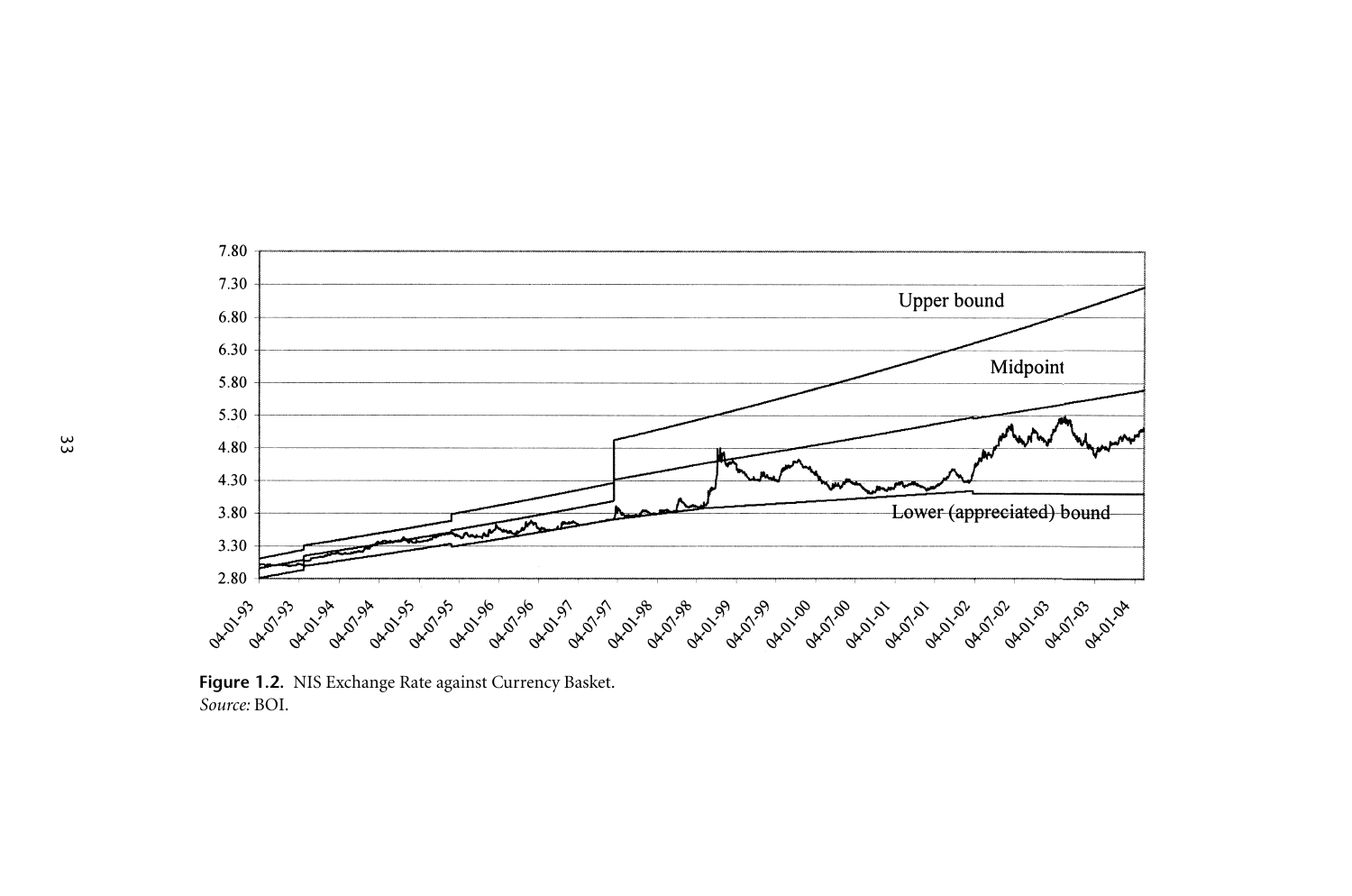

**Figure 1.2.** NIS Exchange Rate against Currency Basket. *Source:* BOI.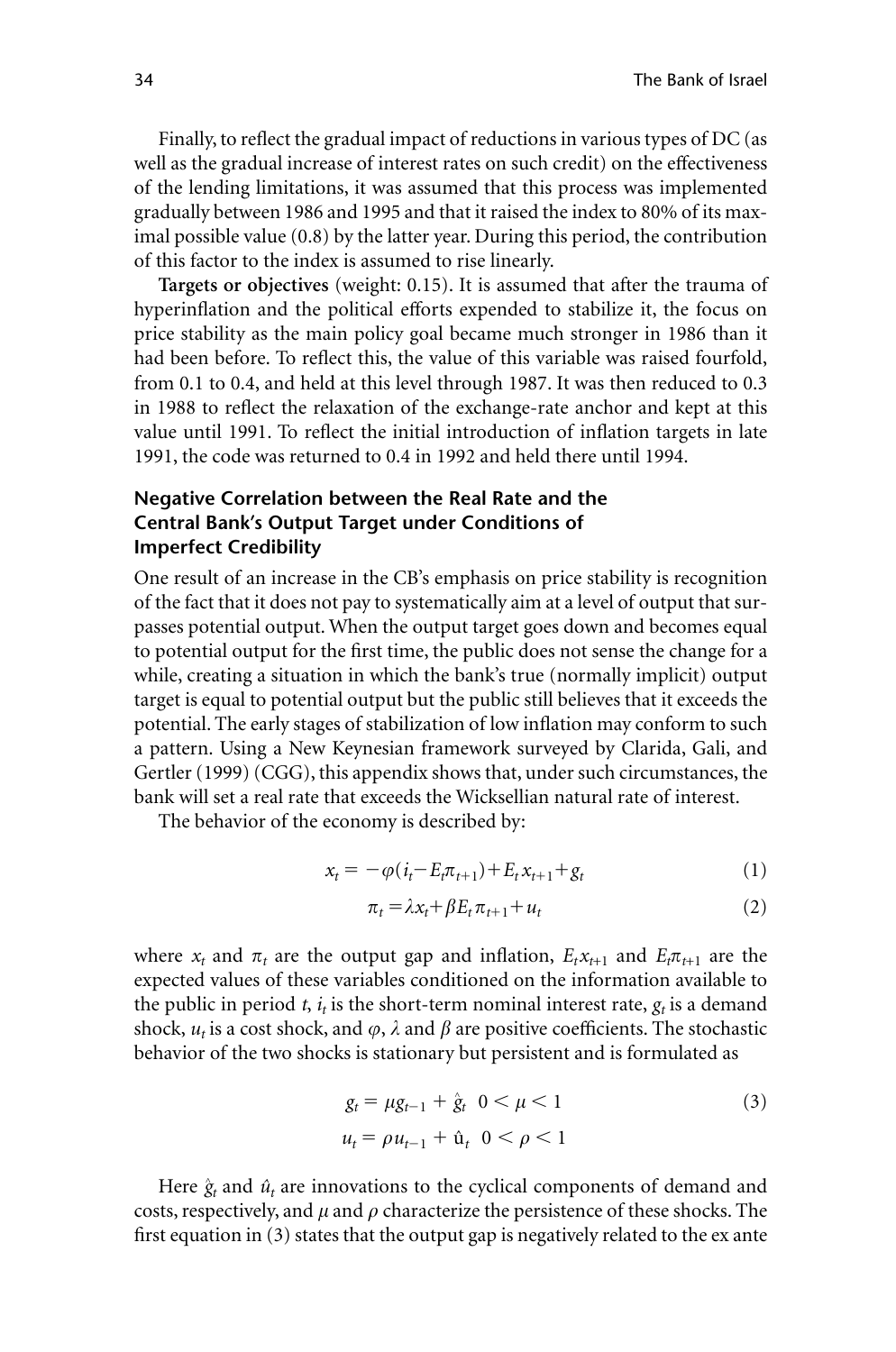Finally, to reflect the gradual impact of reductions in various types of DC (as well as the gradual increase of interest rates on such credit) on the effectiveness of the lending limitations, it was assumed that this process was implemented gradually between 1986 and 1995 and that it raised the index to 80% of its maximal possible value (0.8) by the latter year. During this period, the contribution of this factor to the index is assumed to rise linearly.

**Targets or objectives** (weight: 0.15). It is assumed that after the trauma of hyperinflation and the political efforts expended to stabilize it, the focus on price stability as the main policy goal became much stronger in 1986 than it had been before. To reflect this, the value of this variable was raised fourfold, from 0.1 to 0.4, and held at this level through 1987. It was then reduced to 0.3 in 1988 to reflect the relaxation of the exchange-rate anchor and kept at this value until 1991. To reflect the initial introduction of inflation targets in late 1991, the code was returned to 0.4 in 1992 and held there until 1994.

# **Negative Correlation between the Real Rate and the Central Bank's Output Target under Conditions of Imperfect Credibility**

One result of an increase in the CB's emphasis on price stability is recognition of the fact that it does not pay to systematically aim at a level of output that surpasses potential output. When the output target goes down and becomes equal to potential output for the first time, the public does not sense the change for a while, creating a situation in which the bank's true (normally implicit) output target is equal to potential output but the public still believes that it exceeds the potential. The early stages of stabilization of low inflation may conform to such a pattern. Using a New Keynesian framework surveyed by Clarida, Gali, and Gertler (1999) (CGG), this appendix shows that, under such circumstances, the bank will set a real rate that exceeds the Wicksellian natural rate of interest.

The behavior of the economy is described by:

$$
x_{t} = -\varphi(i_{t} - E_{t}\pi_{t+1}) + E_{t}x_{t+1} + g_{t}
$$
 (1)

$$
\pi_t = \lambda x_t + \beta E_t \pi_{t+1} + u_t \tag{2}
$$

where  $x_t$  and  $\pi_t$  are the output gap and inflation,  $E_t x_{t+1}$  and  $E_t \pi_{t+1}$  are the expected values of these variables conditioned on the information available to the public in period  $t$ ,  $i_t$  is the short-term nominal interest rate,  $g_t$  is a demand shock,  $u_t$  is a cost shock, and  $\varphi$ ,  $\lambda$  and  $\beta$  are positive coefficients. The stochastic behavior of the two shocks is stationary but persistent and is formulated as

$$
g_t = \mu g_{t-1} + \hat{g}_t \quad 0 < \mu < 1 \tag{3}
$$
\n
$$
u_t = \rho u_{t-1} + \hat{u}_t \quad 0 < \rho < 1
$$

Here  $\hat{g}_t$  and  $\hat{u}_t$  are innovations to the cyclical components of demand and costs, respectively, and  $\mu$  and  $\rho$  characterize the persistence of these shocks. The first equation in (3) states that the output gap is negatively related to the ex ante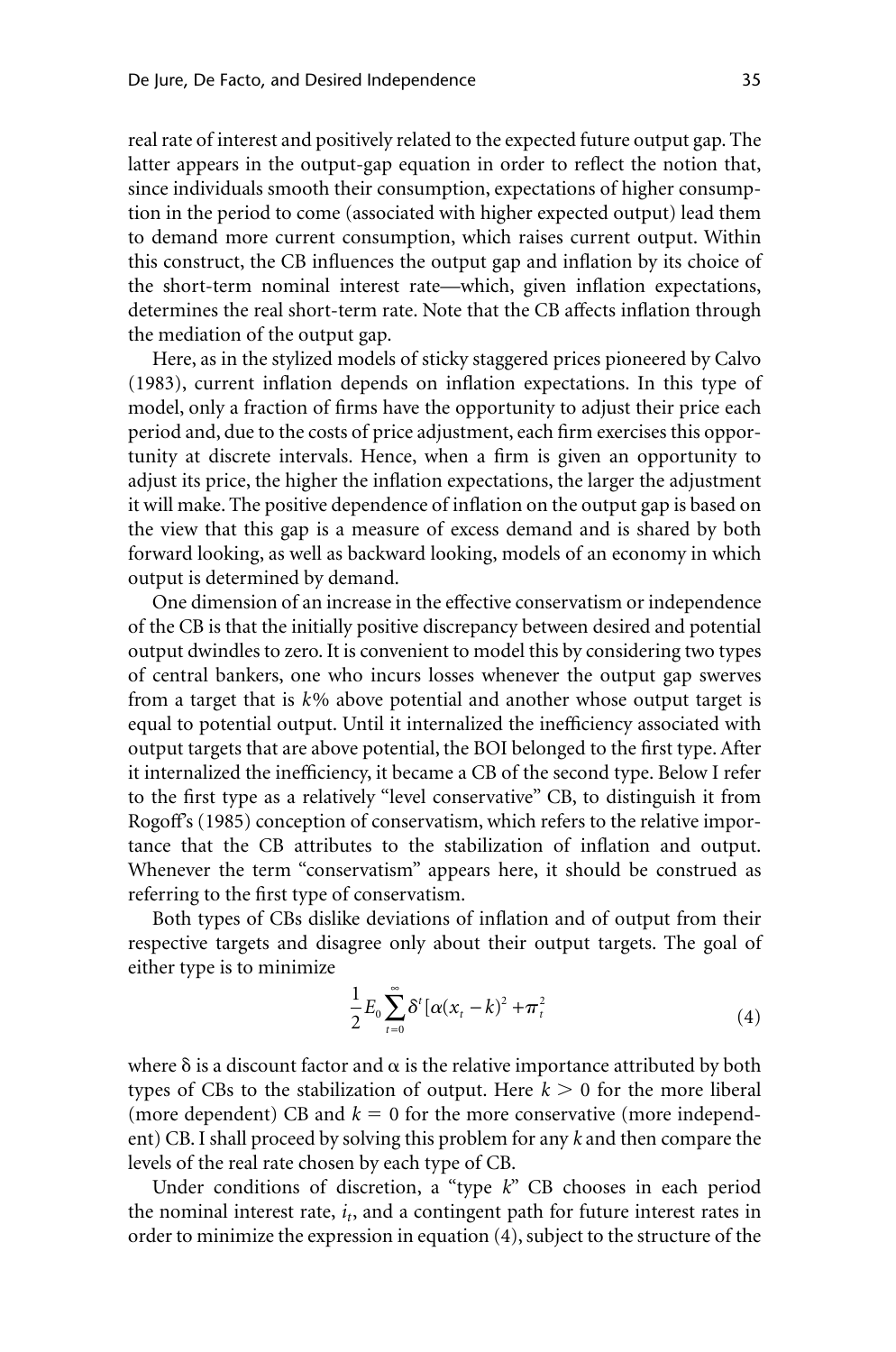real rate of interest and positively related to the expected future output gap. The latter appears in the output-gap equation in order to reflect the notion that, since individuals smooth their consumption, expectations of higher consumption in the period to come (associated with higher expected output) lead them to demand more current consumption, which raises current output. Within this construct, the CB influences the output gap and inflation by its choice of the short-term nominal interest rate—which, given inflation expectations, determines the real short-term rate. Note that the CB affects inflation through the mediation of the output gap.

Here, as in the stylized models of sticky staggered prices pioneered by Calvo (1983), current inflation depends on inflation expectations. In this type of model, only a fraction of firms have the opportunity to adjust their price each period and, due to the costs of price adjustment, each firm exercises this opportunity at discrete intervals. Hence, when a firm is given an opportunity to adjust its price, the higher the inflation expectations, the larger the adjustment it will make. The positive dependence of inflation on the output gap is based on the view that this gap is a measure of excess demand and is shared by both forward looking, as well as backward looking, models of an economy in which output is determined by demand.

One dimension of an increase in the effective conservatism or independence of the CB is that the initially positive discrepancy between desired and potential output dwindles to zero. It is convenient to model this by considering two types of central bankers, one who incurs losses whenever the output gap swerves from a target that is *k*% above potential and another whose output target is equal to potential output. Until it internalized the inefficiency associated with output targets that are above potential, the BOI belonged to the first type. After it internalized the inefficiency, it became a CB of the second type. Below I refer to the first type as a relatively "level conservative" CB, to distinguish it from Rogoff's (1985) conception of conservatism, which refers to the relative importance that the CB attributes to the stabilization of inflation and output. Whenever the term "conservatism" appears here, it should be construed as referring to the first type of conservatism.

Both types of CBs dislike deviations of inflation and of output from their respective targets and disagree only about their output targets. The goal of either type is to minimize

$$
\frac{1}{2}E_0\sum_{t=0}^{\infty}\delta^t[\alpha(x_t-k)^2+\pi_t^2]
$$
\n(4)

where  $\delta$  is a discount factor and  $\alpha$  is the relative importance attributed by both types of CBs to the stabilization of output. Here  $k > 0$  for the more liberal (more dependent) CB and  $k = 0$  for the more conservative (more independent) CB. I shall proceed by solving this problem for any *k* and then compare the levels of the real rate chosen by each type of CB.

Under conditions of discretion, a "type *k*" CB chooses in each period the nominal interest rate,  $i_t$ , and a contingent path for future interest rates in order to minimize the expression in equation (4), subject to the structure of the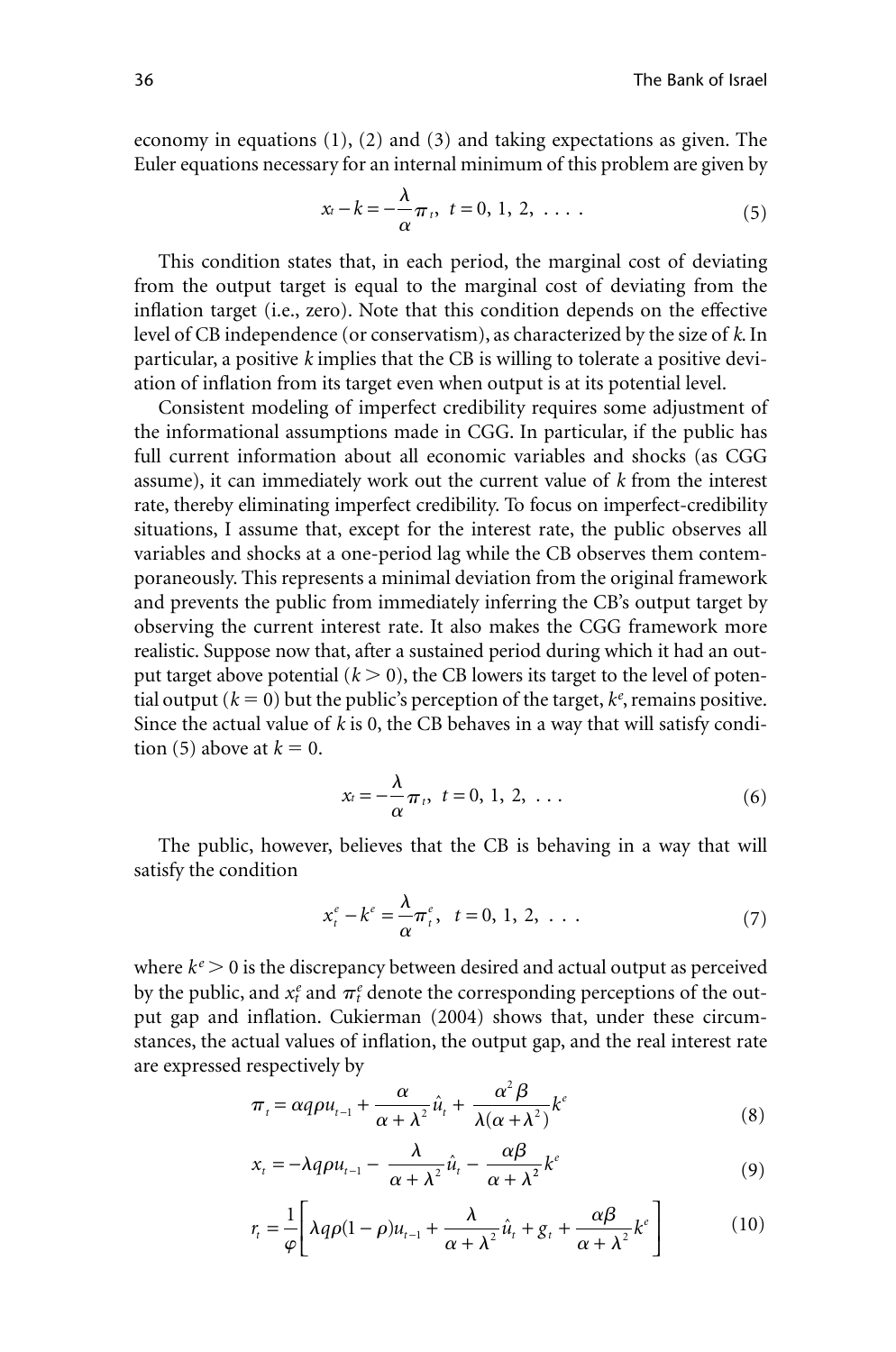economy in equations (1), (2) and (3) and taking expectations as given. The Euler equations necessary for an internal minimum of this problem are given by

$$
x_t - k = -\frac{\lambda}{\alpha} \pi_t, \ t = 0, 1, 2, \ \ldots \ . \tag{5}
$$

This condition states that, in each period, the marginal cost of deviating from the output target is equal to the marginal cost of deviating from the inflation target (i.e., zero). Note that this condition depends on the effective level of CB independence (or conservatism), as characterized by the size of *k*. In particular, a positive *k* implies that the CB is willing to tolerate a positive deviation of inflation from its target even when output is at its potential level.

Consistent modeling of imperfect credibility requires some adjustment of the informational assumptions made in CGG. In particular, if the public has full current information about all economic variables and shocks (as CGG assume), it can immediately work out the current value of *k* from the interest rate, thereby eliminating imperfect credibility. To focus on imperfect-credibility situations, I assume that, except for the interest rate, the public observes all variables and shocks at a one-period lag while the CB observes them contemporaneously. This represents a minimal deviation from the original framework and prevents the public from immediately inferring the CB's output target by observing the current interest rate. It also makes the CGG framework more realistic. Suppose now that, after a sustained period during which it had an output target above potential  $(k > 0)$ , the CB lowers its target to the level of potential output ( $k = 0$ ) but the public's perception of the target,  $k^e$ , remains positive. Since the actual value of  $k$  is 0, the CB behaves in a way that will satisfy condition (5) above at  $k = 0$ .

$$
x_t = -\frac{\lambda}{\alpha} \pi_t, \ t = 0, 1, 2, \ \ldots \tag{6}
$$

The public, however, believes that the CB is behaving in a way that will satisfy the condition

$$
x_t^e - k^e = \frac{\lambda}{\alpha} \pi_t^e, \quad t = 0, 1, 2, \ldots \tag{7}
$$

where  $k^e > 0$  is the discrepancy between desired and actual output as perceived by the public, and  $x_t^e$  and  $\pi_t^e$  denote the corresponding perceptions of the output gap and inflation. Cukierman (2004) shows that, under these circumstances, the actual values of inflation, the output gap, and the real interest rate are expressed respectively by

$$
\pi_{t} = \alpha q \rho u_{t-1} + \frac{\alpha}{\alpha + \lambda^{2}} \hat{u}_{t} + \frac{\alpha^{2} \beta}{\lambda(\alpha + \lambda^{2})} k^{e}
$$
\n(8)

$$
x_{t} = -\lambda q \rho u_{t-1} - \frac{\lambda}{\alpha + \lambda^{2}} \hat{u}_{t} - \frac{\alpha \beta}{\alpha + \lambda^{2}} k^{e}
$$
\n
$$
(9)
$$

$$
r_{t} = \frac{1}{\varphi} \left[ \lambda q \rho (1 - \rho) u_{t-1} + \frac{\lambda}{\alpha + \lambda^{2}} \hat{u}_{t} + g_{t} + \frac{\alpha \beta}{\alpha + \lambda^{2}} k^{e} \right]
$$
(10)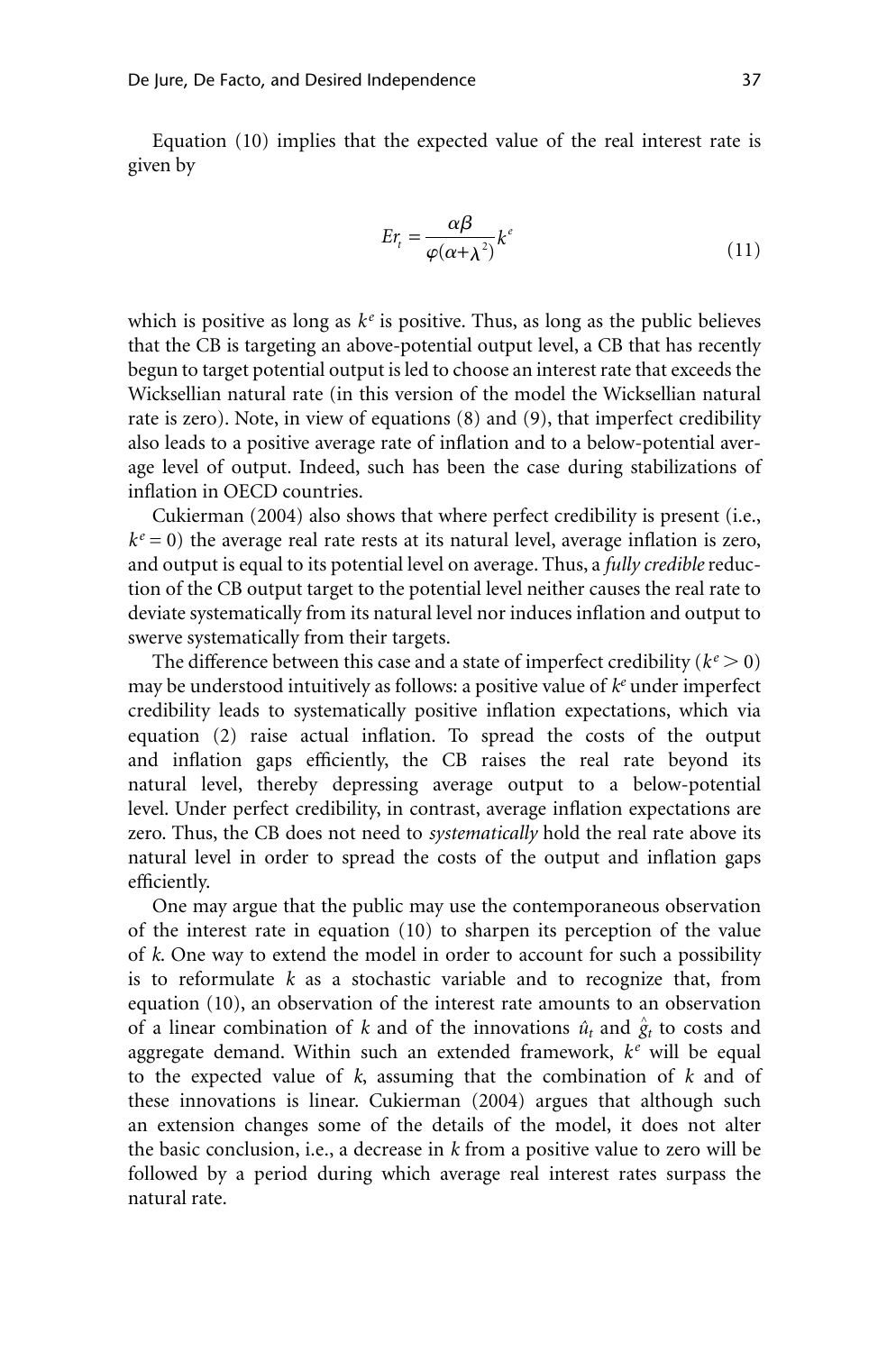Equation (10) implies that the expected value of the real interest rate is given by

$$
Er_{t} = \frac{\alpha\beta}{\varphi(\alpha + \lambda^{2})}k^{e}
$$
\n(11)

which is positive as long as  $k^e$  is positive. Thus, as long as the public believes that the CB is targeting an above-potential output level, a CB that has recently begun to target potential output is led to choose an interest rate that exceeds the Wicksellian natural rate (in this version of the model the Wicksellian natural rate is zero). Note, in view of equations (8) and (9), that imperfect credibility also leads to a positive average rate of inflation and to a below-potential average level of output. Indeed, such has been the case during stabilizations of inflation in OECD countries.

Cukierman (2004) also shows that where perfect credibility is present (i.e.,  $k^e = 0$ ) the average real rate rests at its natural level, average inflation is zero, and output is equal to its potential level on average. Thus, a *fully credible* reduction of the CB output target to the potential level neither causes the real rate to deviate systematically from its natural level nor induces inflation and output to swerve systematically from their targets.

The difference between this case and a state of imperfect credibility  $(k^e > 0)$ may be understood intuitively as follows: a positive value of *ke* under imperfect credibility leads to systematically positive inflation expectations, which via equation (2) raise actual inflation. To spread the costs of the output and inflation gaps efficiently, the CB raises the real rate beyond its natural level, thereby depressing average output to a below-potential level. Under perfect credibility, in contrast, average inflation expectations are zero. Thus, the CB does not need to *systematically* hold the real rate above its natural level in order to spread the costs of the output and inflation gaps efficiently.

One may argue that the public may use the contemporaneous observation of the interest rate in equation (10) to sharpen its perception of the value of *k*. One way to extend the model in order to account for such a possibility is to reformulate *k* as a stochastic variable and to recognize that, from equation (10), an observation of the interest rate amounts to an observation of a linear combination of *k* and of the innovations  $\hat{u}_t$  and  $\hat{g}_t$  to costs and aggregate demand. Within such an extended framework, *k<sup>e</sup>* will be equal to the expected value of *k*, assuming that the combination of *k* and of these innovations is linear. Cukierman (2004) argues that although such an extension changes some of the details of the model, it does not alter the basic conclusion, i.e., a decrease in *k* from a positive value to zero will be followed by a period during which average real interest rates surpass the natural rate.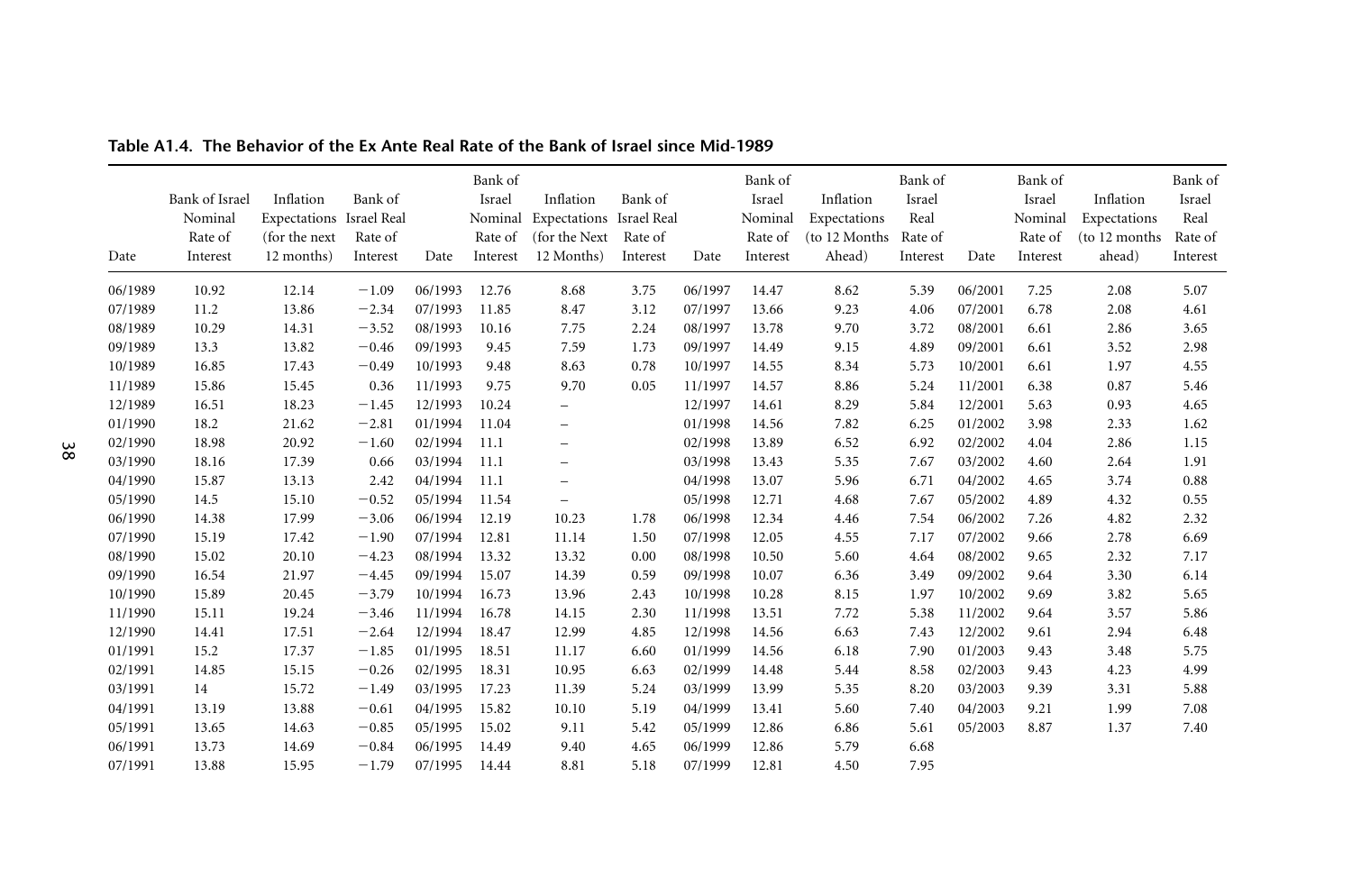| Date    | <b>Bank of Israel</b><br>Nominal<br>Rate of<br>Interest | Inflation<br>Expectations Israel Real<br>(for the next)<br>12 months) | Bank of<br>Rate of<br>Interest | Date    | Bank of<br>Israel<br>Nominal<br>Rate of<br>Interest | Inflation<br>Expectations Israel Real<br>(for the Next)<br>12 Months) | Bank of<br>Rate of<br>Interest | Date    | Bank of<br>Israel<br>Nominal<br>Rate of<br>Interest | Inflation<br>Expectations<br>(to 12 Months)<br>Ahead) | Bank of<br>Israel<br>Real<br>Rate of<br>Interest | Date    | Bank of<br>Israel<br>Nominal<br>Rate of<br>Interest | Inflation<br>Expectations<br>(to 12 months)<br>ahead) | Bank of<br>Israel<br>Real<br>Rate of<br>Interest |
|---------|---------------------------------------------------------|-----------------------------------------------------------------------|--------------------------------|---------|-----------------------------------------------------|-----------------------------------------------------------------------|--------------------------------|---------|-----------------------------------------------------|-------------------------------------------------------|--------------------------------------------------|---------|-----------------------------------------------------|-------------------------------------------------------|--------------------------------------------------|
| 06/1989 | 10.92                                                   | 12.14                                                                 | $-1.09$                        | 06/1993 | 12.76                                               | 8.68                                                                  | 3.75                           | 06/1997 | 14.47                                               | 8.62                                                  | 5.39                                             | 06/2001 | 7.25                                                | 2.08                                                  | 5.07                                             |
| 07/1989 | 11.2                                                    | 13.86                                                                 | $-2.34$                        | 07/1993 | 11.85                                               | 8.47                                                                  | 3.12                           | 07/1997 | 13.66                                               | 9.23                                                  | 4.06                                             | 07/2001 | 6.78                                                | 2.08                                                  | 4.61                                             |
| 08/1989 | 10.29                                                   | 14.31                                                                 | $-3.52$                        | 08/1993 | 10.16                                               | 7.75                                                                  | 2.24                           | 08/1997 | 13.78                                               | 9.70                                                  | 3.72                                             | 08/2001 | 6.61                                                | 2.86                                                  | 3.65                                             |
| 09/1989 | 13.3                                                    | 13.82                                                                 | $-0.46$                        | 09/1993 | 9.45                                                | 7.59                                                                  | 1.73                           | 09/1997 | 14.49                                               | 9.15                                                  | 4.89                                             | 09/2001 | 6.61                                                | 3.52                                                  | 2.98                                             |
| 10/1989 | 16.85                                                   | 17.43                                                                 | $-0.49$                        | 10/1993 | 9.48                                                | 8.63                                                                  | 0.78                           | 10/1997 | 14.55                                               | 8.34                                                  | 5.73                                             | 10/2001 | 6.61                                                | 1.97                                                  | 4.55                                             |
| 11/1989 | 15.86                                                   | 15.45                                                                 | 0.36                           | 11/1993 | 9.75                                                | 9.70                                                                  | 0.05                           | 11/1997 | 14.57                                               | 8.86                                                  | 5.24                                             | 11/2001 | 6.38                                                | 0.87                                                  | 5.46                                             |
| 12/1989 | 16.51                                                   | 18.23                                                                 | $-1.45$                        | 12/1993 | 10.24                                               | $\qquad \qquad -$                                                     |                                | 12/1997 | 14.61                                               | 8.29                                                  | 5.84                                             | 12/2001 | 5.63                                                | 0.93                                                  | 4.65                                             |
| 01/1990 | 18.2                                                    | 21.62                                                                 | $-2.81$                        | 01/1994 | 11.04                                               | $\qquad \qquad -$                                                     |                                | 01/1998 | 14.56                                               | 7.82                                                  | 6.25                                             | 01/2002 | 3.98                                                | 2.33                                                  | 1.62                                             |
| 02/1990 | 18.98                                                   | 20.92                                                                 | $-1.60$                        | 02/1994 | 11.1                                                | $\qquad \qquad -$                                                     |                                | 02/1998 | 13.89                                               | 6.52                                                  | 6.92                                             | 02/2002 | 4.04                                                | 2.86                                                  | 1.15                                             |
| 03/1990 | 18.16                                                   | 17.39                                                                 | 0.66                           | 03/1994 | 11.1                                                | $\qquad \qquad -$                                                     |                                | 03/1998 | 13.43                                               | 5.35                                                  | 7.67                                             | 03/2002 | 4.60                                                | 2.64                                                  | 1.91                                             |
| 04/1990 | 15.87                                                   | 13.13                                                                 | 2.42                           | 04/1994 | 11.1                                                | $\qquad \qquad -$                                                     |                                | 04/1998 | 13.07                                               | 5.96                                                  | 6.71                                             | 04/2002 | 4.65                                                | 3.74                                                  | 0.88                                             |
| 05/1990 | 14.5                                                    | 15.10                                                                 | $-0.52$                        | 05/1994 | 11.54                                               | $\qquad \qquad -$                                                     |                                | 05/1998 | 12.71                                               | 4.68                                                  | 7.67                                             | 05/2002 | 4.89                                                | 4.32                                                  | 0.55                                             |
| 06/1990 | 14.38                                                   | 17.99                                                                 | $-3.06$                        | 06/1994 | 12.19                                               | 10.23                                                                 | 1.78                           | 06/1998 | 12.34                                               | 4.46                                                  | 7.54                                             | 06/2002 | 7.26                                                | 4.82                                                  | 2.32                                             |
| 07/1990 | 15.19                                                   | 17.42                                                                 | $-1.90$                        | 07/1994 | 12.81                                               | 11.14                                                                 | 1.50                           | 07/1998 | 12.05                                               | 4.55                                                  | 7.17                                             | 07/2002 | 9.66                                                | 2.78                                                  | 6.69                                             |
| 08/1990 | 15.02                                                   | 20.10                                                                 | $-4.23$                        | 08/1994 | 13.32                                               | 13.32                                                                 | 0.00                           | 08/1998 | 10.50                                               | 5.60                                                  | 4.64                                             | 08/2002 | 9.65                                                | 2.32                                                  | 7.17                                             |
| 09/1990 | 16.54                                                   | 21.97                                                                 | $-4.45$                        | 09/1994 | 15.07                                               | 14.39                                                                 | 0.59                           | 09/1998 | 10.07                                               | 6.36                                                  | 3.49                                             | 09/2002 | 9.64                                                | 3.30                                                  | 6.14                                             |
| 10/1990 | 15.89                                                   | 20.45                                                                 | $-3.79$                        | 10/1994 | 16.73                                               | 13.96                                                                 | 2.43                           | 10/1998 | 10.28                                               | 8.15                                                  | 1.97                                             | 10/2002 | 9.69                                                | 3.82                                                  | 5.65                                             |
| 11/1990 | 15.11                                                   | 19.24                                                                 | $-3.46$                        | 11/1994 | 16.78                                               | 14.15                                                                 | 2.30                           | 11/1998 | 13.51                                               | 7.72                                                  | 5.38                                             | 11/2002 | 9.64                                                | 3.57                                                  | 5.86                                             |
| 12/1990 | 14.41                                                   | 17.51                                                                 | $-2.64$                        | 12/1994 | 18.47                                               | 12.99                                                                 | 4.85                           | 12/1998 | 14.56                                               | 6.63                                                  | 7.43                                             | 12/2002 | 9.61                                                | 2.94                                                  | 6.48                                             |
| 01/1991 | 15.2                                                    | 17.37                                                                 | $-1.85$                        | 01/1995 | 18.51                                               | 11.17                                                                 | 6.60                           | 01/1999 | 14.56                                               | 6.18                                                  | 7.90                                             | 01/2003 | 9.43                                                | 3.48                                                  | 5.75                                             |
| 02/1991 | 14.85                                                   | 15.15                                                                 | $-0.26$                        | 02/1995 | 18.31                                               | 10.95                                                                 | 6.63                           | 02/1999 | 14.48                                               | 5.44                                                  | 8.58                                             | 02/2003 | 9.43                                                | 4.23                                                  | 4.99                                             |
| 03/1991 | 14                                                      | 15.72                                                                 | $-1.49$                        | 03/1995 | 17.23                                               | 11.39                                                                 | 5.24                           | 03/1999 | 13.99                                               | 5.35                                                  | 8.20                                             | 03/2003 | 9.39                                                | 3.31                                                  | 5.88                                             |
| 04/1991 | 13.19                                                   | 13.88                                                                 | $-0.61$                        | 04/1995 | 15.82                                               | 10.10                                                                 | 5.19                           | 04/1999 | 13.41                                               | 5.60                                                  | 7.40                                             | 04/2003 | 9.21                                                | 1.99                                                  | 7.08                                             |
| 05/1991 | 13.65                                                   | 14.63                                                                 | $-0.85$                        | 05/1995 | 15.02                                               | 9.11                                                                  | 5.42                           | 05/1999 | 12.86                                               | 6.86                                                  | 5.61                                             | 05/2003 | 8.87                                                | 1.37                                                  | 7.40                                             |
| 06/1991 | 13.73                                                   | 14.69                                                                 | $-0.84$                        | 06/1995 | 14.49                                               | 9.40                                                                  | 4.65                           | 06/1999 | 12.86                                               | 5.79                                                  | 6.68                                             |         |                                                     |                                                       |                                                  |
| 07/1991 | 13.88                                                   | 15.95                                                                 | $-1.79$                        | 07/1995 | 14.44                                               | 8.81                                                                  | 5.18                           | 07/1999 | 12.81                                               | 4.50                                                  | 7.95                                             |         |                                                     |                                                       |                                                  |

**Table A1.4. The Behavior of the Ex Ante Real Rate of the Bank of Israel since Mid-1989**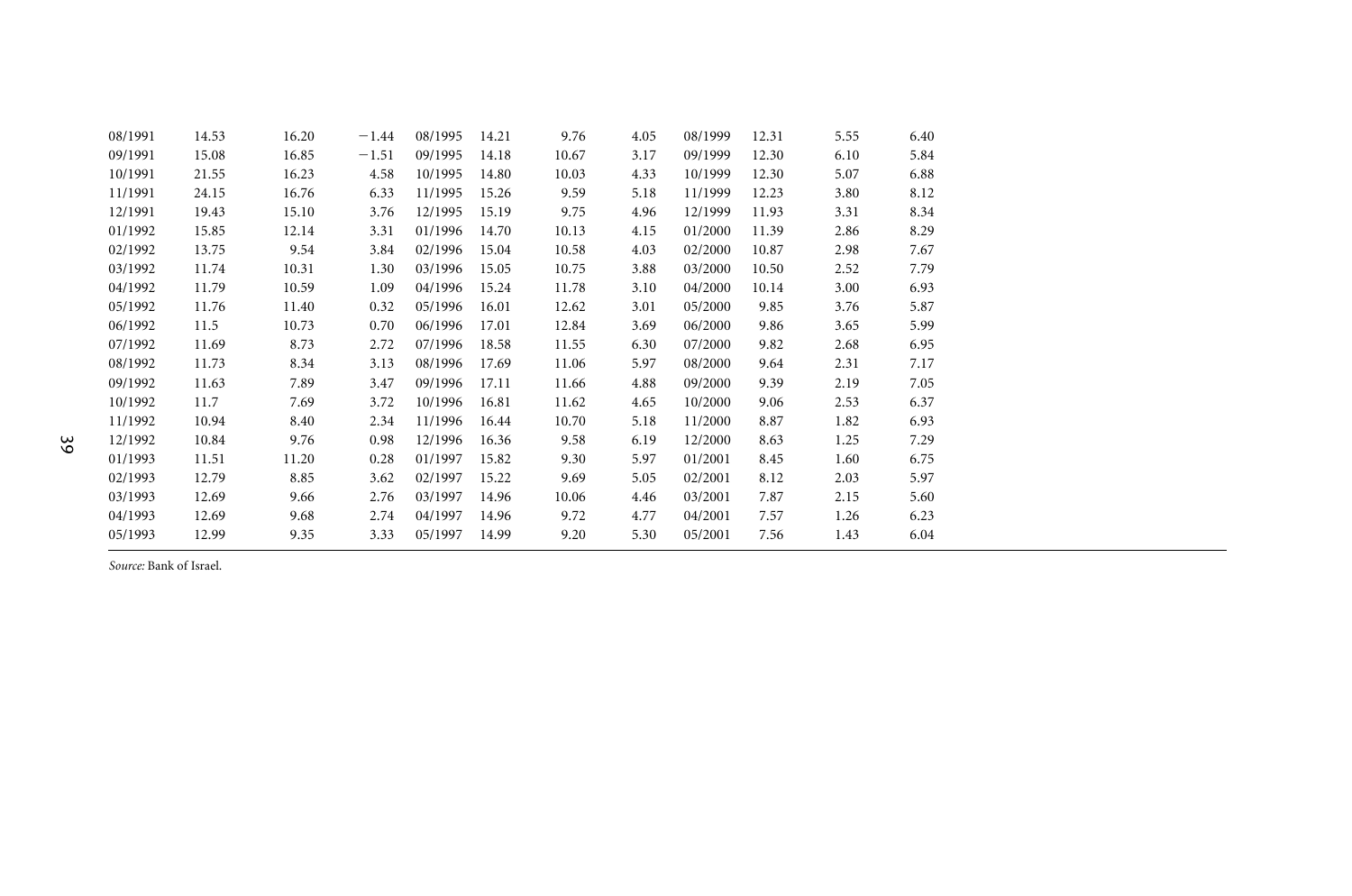| 08/1991 | 14.53 | 16.20 | $-1.44$ | 08/1995 | 14.21 | 9.76  | 4.05 | 08/1999 | 12.31 | 5.55 | 6.40 |
|---------|-------|-------|---------|---------|-------|-------|------|---------|-------|------|------|
| 09/1991 | 15.08 | 16.85 | $-1.51$ | 09/1995 | 14.18 | 10.67 | 3.17 | 09/1999 | 12.30 | 6.10 | 5.84 |
| 10/1991 | 21.55 | 16.23 | 4.58    | 10/1995 | 14.80 | 10.03 | 4.33 | 10/1999 | 12.30 | 5.07 | 6.88 |
| 11/1991 | 24.15 | 16.76 | 6.33    | 11/1995 | 15.26 | 9.59  | 5.18 | 11/1999 | 12.23 | 3.80 | 8.12 |
| 12/1991 | 19.43 | 15.10 | 3.76    | 12/1995 | 15.19 | 9.75  | 4.96 | 12/1999 | 11.93 | 3.31 | 8.34 |
| 01/1992 | 15.85 | 12.14 | 3.31    | 01/1996 | 14.70 | 10.13 | 4.15 | 01/2000 | 11.39 | 2.86 | 8.29 |
| 02/1992 | 13.75 | 9.54  | 3.84    | 02/1996 | 15.04 | 10.58 | 4.03 | 02/2000 | 10.87 | 2.98 | 7.67 |
| 03/1992 | 11.74 | 10.31 | 1.30    | 03/1996 | 15.05 | 10.75 | 3.88 | 03/2000 | 10.50 | 2.52 | 7.79 |
| 04/1992 | 11.79 | 10.59 | 1.09    | 04/1996 | 15.24 | 11.78 | 3.10 | 04/2000 | 10.14 | 3.00 | 6.93 |
| 05/1992 | 11.76 | 11.40 | 0.32    | 05/1996 | 16.01 | 12.62 | 3.01 | 05/2000 | 9.85  | 3.76 | 5.87 |
| 06/1992 | 11.5  | 10.73 | 0.70    | 06/1996 | 17.01 | 12.84 | 3.69 | 06/2000 | 9.86  | 3.65 | 5.99 |
| 07/1992 | 11.69 | 8.73  | 2.72    | 07/1996 | 18.58 | 11.55 | 6.30 | 07/2000 | 9.82  | 2.68 | 6.95 |
| 08/1992 | 11.73 | 8.34  | 3.13    | 08/1996 | 17.69 | 11.06 | 5.97 | 08/2000 | 9.64  | 2.31 | 7.17 |
| 09/1992 | 11.63 | 7.89  | 3.47    | 09/1996 | 17.11 | 11.66 | 4.88 | 09/2000 | 9.39  | 2.19 | 7.05 |
| 10/1992 | 11.7  | 7.69  | 3.72    | 10/1996 | 16.81 | 11.62 | 4.65 | 10/2000 | 9.06  | 2.53 | 6.37 |
| 11/1992 | 10.94 | 8.40  | 2.34    | 11/1996 | 16.44 | 10.70 | 5.18 | 11/2000 | 8.87  | 1.82 | 6.93 |
| 12/1992 | 10.84 | 9.76  | 0.98    | 12/1996 | 16.36 | 9.58  | 6.19 | 12/2000 | 8.63  | 1.25 | 7.29 |
| 01/1993 | 11.51 | 11.20 | 0.28    | 01/1997 | 15.82 | 9.30  | 5.97 | 01/2001 | 8.45  | 1.60 | 6.75 |
| 02/1993 | 12.79 | 8.85  | 3.62    | 02/1997 | 15.22 | 9.69  | 5.05 | 02/2001 | 8.12  | 2.03 | 5.97 |
| 03/1993 | 12.69 | 9.66  | 2.76    | 03/1997 | 14.96 | 10.06 | 4.46 | 03/2001 | 7.87  | 2.15 | 5.60 |
| 04/1993 | 12.69 | 9.68  | 2.74    | 04/1997 | 14.96 | 9.72  | 4.77 | 04/2001 | 7.57  | 1.26 | 6.23 |
| 05/1993 | 12.99 | 9.35  | 3.33    | 05/1997 | 14.99 | 9.20  | 5.30 | 05/2001 | 7.56  | 1.43 | 6.04 |

*Source:* Bank of Israel.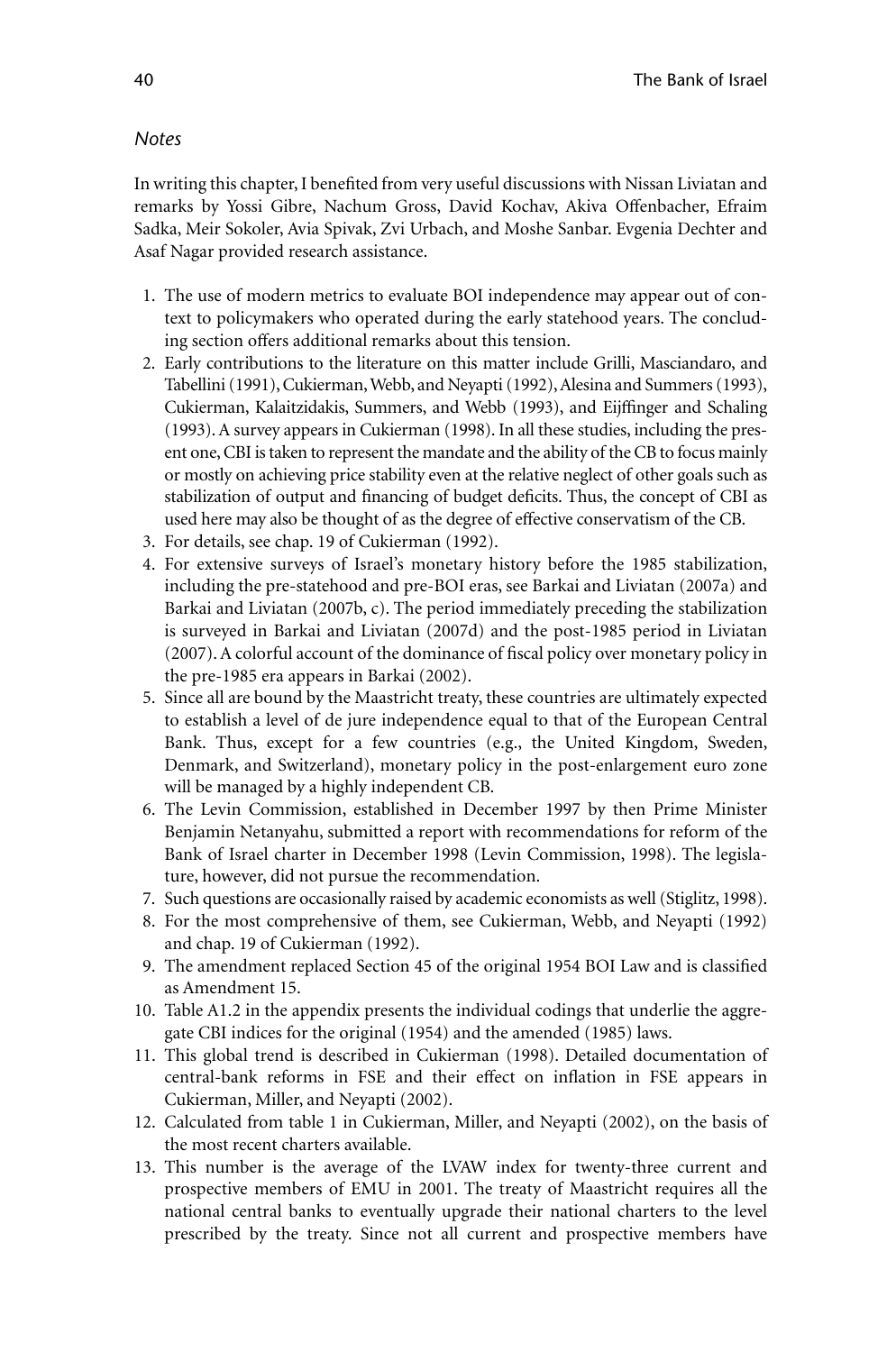#### *Notes*

In writing this chapter, I benefited from very useful discussions with Nissan Liviatan and remarks by Yossi Gibre, Nachum Gross, David Kochav, Akiva Offenbacher, Efraim Sadka, Meir Sokoler, Avia Spivak, Zvi Urbach, and Moshe Sanbar. Evgenia Dechter and Asaf Nagar provided research assistance.

- 1. The use of modern metrics to evaluate BOI independence may appear out of context to policymakers who operated during the early statehood years. The concluding section offers additional remarks about this tension.
- 2. Early contributions to the literature on this matter include Grilli, Masciandaro, and Tabellini (1991), Cukierman, Webb, and Neyapti (1992), Alesina and Summers (1993), Cukierman, Kalaitzidakis, Summers, and Webb (1993), and Eijffinger and Schaling (1993). A survey appears in Cukierman (1998). In all these studies, including the present one, CBI is taken to represent the mandate and the ability of the CB to focus mainly or mostly on achieving price stability even at the relative neglect of other goals such as stabilization of output and financing of budget deficits. Thus, the concept of CBI as used here may also be thought of as the degree of effective conservatism of the CB.
- 3. For details, see chap. 19 of Cukierman (1992).
- 4. For extensive surveys of Israel's monetary history before the 1985 stabilization, including the pre-statehood and pre-BOI eras, see Barkai and Liviatan (2007a) and Barkai and Liviatan (2007b, c). The period immediately preceding the stabilization is surveyed in Barkai and Liviatan (2007d) and the post-1985 period in Liviatan (2007). A colorful account of the dominance of fiscal policy over monetary policy in the pre-1985 era appears in Barkai (2002).
- 5. Since all are bound by the Maastricht treaty, these countries are ultimately expected to establish a level of de jure independence equal to that of the European Central Bank. Thus, except for a few countries (e.g., the United Kingdom, Sweden, Denmark, and Switzerland), monetary policy in the post-enlargement euro zone will be managed by a highly independent CB.
- 6. The Levin Commission, established in December 1997 by then Prime Minister Benjamin Netanyahu, submitted a report with recommendations for reform of the Bank of Israel charter in December 1998 (Levin Commission, 1998). The legislature, however, did not pursue the recommendation.
- 7. Such questions are occasionally raised by academic economists as well (Stiglitz, 1998).
- 8. For the most comprehensive of them, see Cukierman, Webb, and Neyapti (1992) and chap. 19 of Cukierman (1992).
- 9. The amendment replaced Section 45 of the original 1954 BOI Law and is classified as Amendment 15.
- 10. Table A1.2 in the appendix presents the individual codings that underlie the aggregate CBI indices for the original (1954) and the amended (1985) laws.
- 11. This global trend is described in Cukierman (1998). Detailed documentation of central-bank reforms in FSE and their effect on inflation in FSE appears in Cukierman, Miller, and Neyapti (2002).
- 12. Calculated from table 1 in Cukierman, Miller, and Neyapti (2002), on the basis of the most recent charters available.
- 13. This number is the average of the LVAW index for twenty-three current and prospective members of EMU in 2001. The treaty of Maastricht requires all the national central banks to eventually upgrade their national charters to the level prescribed by the treaty. Since not all current and prospective members have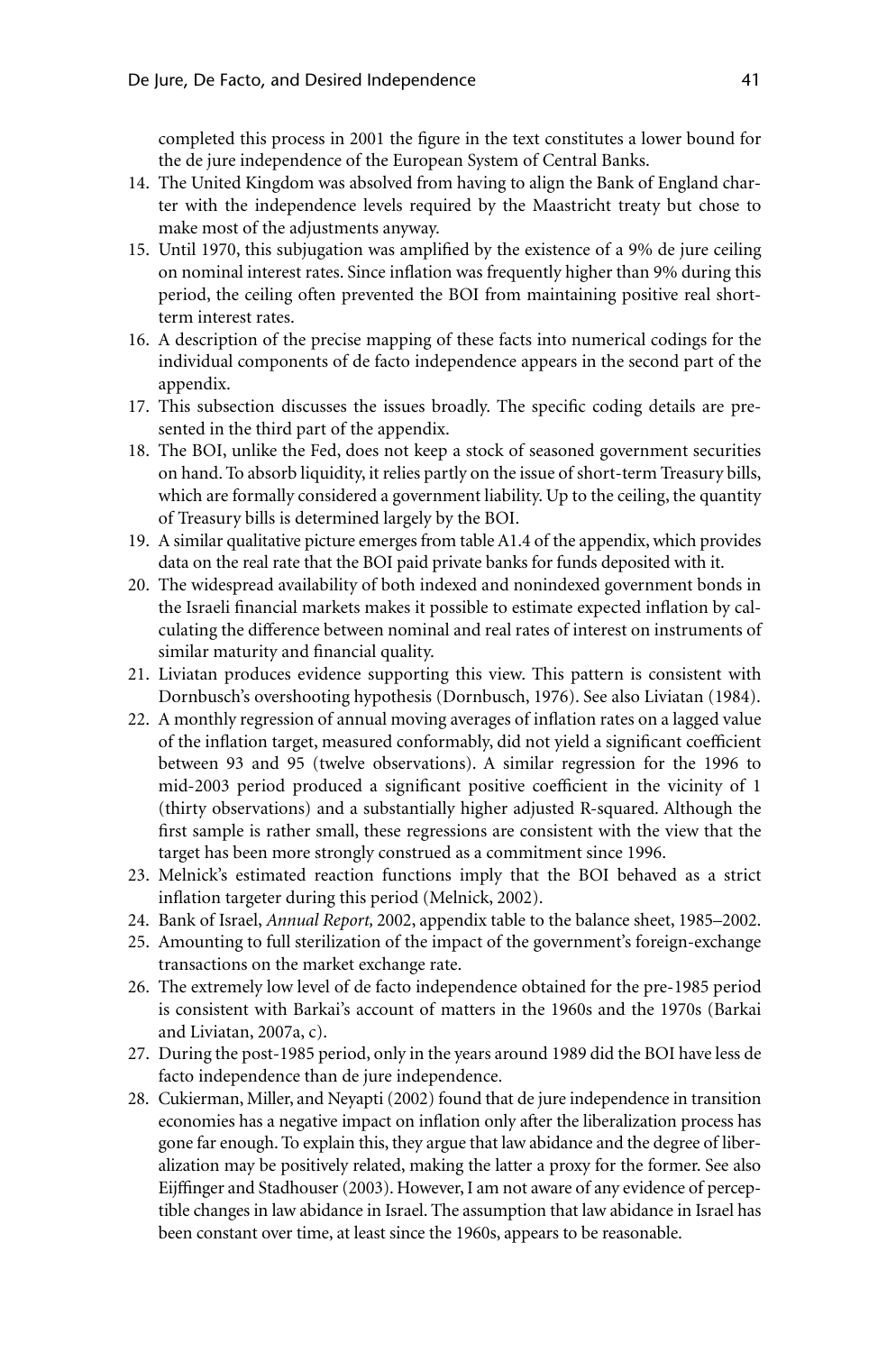completed this process in 2001 the figure in the text constitutes a lower bound for the de jure independence of the European System of Central Banks.

- 14. The United Kingdom was absolved from having to align the Bank of England charter with the independence levels required by the Maastricht treaty but chose to make most of the adjustments anyway.
- 15. Until 1970, this subjugation was amplified by the existence of a 9% de jure ceiling on nominal interest rates. Since inflation was frequently higher than 9% during this period, the ceiling often prevented the BOI from maintaining positive real shortterm interest rates.
- 16. A description of the precise mapping of these facts into numerical codings for the individual components of de facto independence appears in the second part of the appendix.
- 17. This subsection discusses the issues broadly. The specific coding details are presented in the third part of the appendix.
- 18. The BOI, unlike the Fed, does not keep a stock of seasoned government securities on hand. To absorb liquidity, it relies partly on the issue of short-term Treasury bills, which are formally considered a government liability. Up to the ceiling, the quantity of Treasury bills is determined largely by the BOI.
- 19. A similar qualitative picture emerges from table A1.4 of the appendix, which provides data on the real rate that the BOI paid private banks for funds deposited with it.
- 20. The widespread availability of both indexed and nonindexed government bonds in the Israeli financial markets makes it possible to estimate expected inflation by calculating the difference between nominal and real rates of interest on instruments of similar maturity and financial quality.
- 21. Liviatan produces evidence supporting this view. This pattern is consistent with Dornbusch's overshooting hypothesis (Dornbusch, 1976). See also Liviatan (1984).
- 22. A monthly regression of annual moving averages of inflation rates on a lagged value of the inflation target, measured conformably, did not yield a significant coefficient between 93 and 95 (twelve observations). A similar regression for the 1996 to mid-2003 period produced a significant positive coefficient in the vicinity of 1 (thirty observations) and a substantially higher adjusted R-squared. Although the first sample is rather small, these regressions are consistent with the view that the target has been more strongly construed as a commitment since 1996.
- 23. Melnick's estimated reaction functions imply that the BOI behaved as a strict inflation targeter during this period (Melnick, 2002).
- 24. Bank of Israel, *Annual Report,* 2002, appendix table to the balance sheet, 1985–2002.
- 25. Amounting to full sterilization of the impact of the government's foreign-exchange transactions on the market exchange rate.
- 26. The extremely low level of de facto independence obtained for the pre-1985 period is consistent with Barkai's account of matters in the 1960s and the 1970s (Barkai and Liviatan, 2007a, c).
- 27. During the post-1985 period, only in the years around 1989 did the BOI have less de facto independence than de jure independence.
- 28. Cukierman, Miller, and Neyapti (2002) found that de jure independence in transition economies has a negative impact on inflation only after the liberalization process has gone far enough. To explain this, they argue that law abidance and the degree of liberalization may be positively related, making the latter a proxy for the former. See also Eijffinger and Stadhouser (2003). However, I am not aware of any evidence of perceptible changes in law abidance in Israel. The assumption that law abidance in Israel has been constant over time, at least since the 1960s, appears to be reasonable.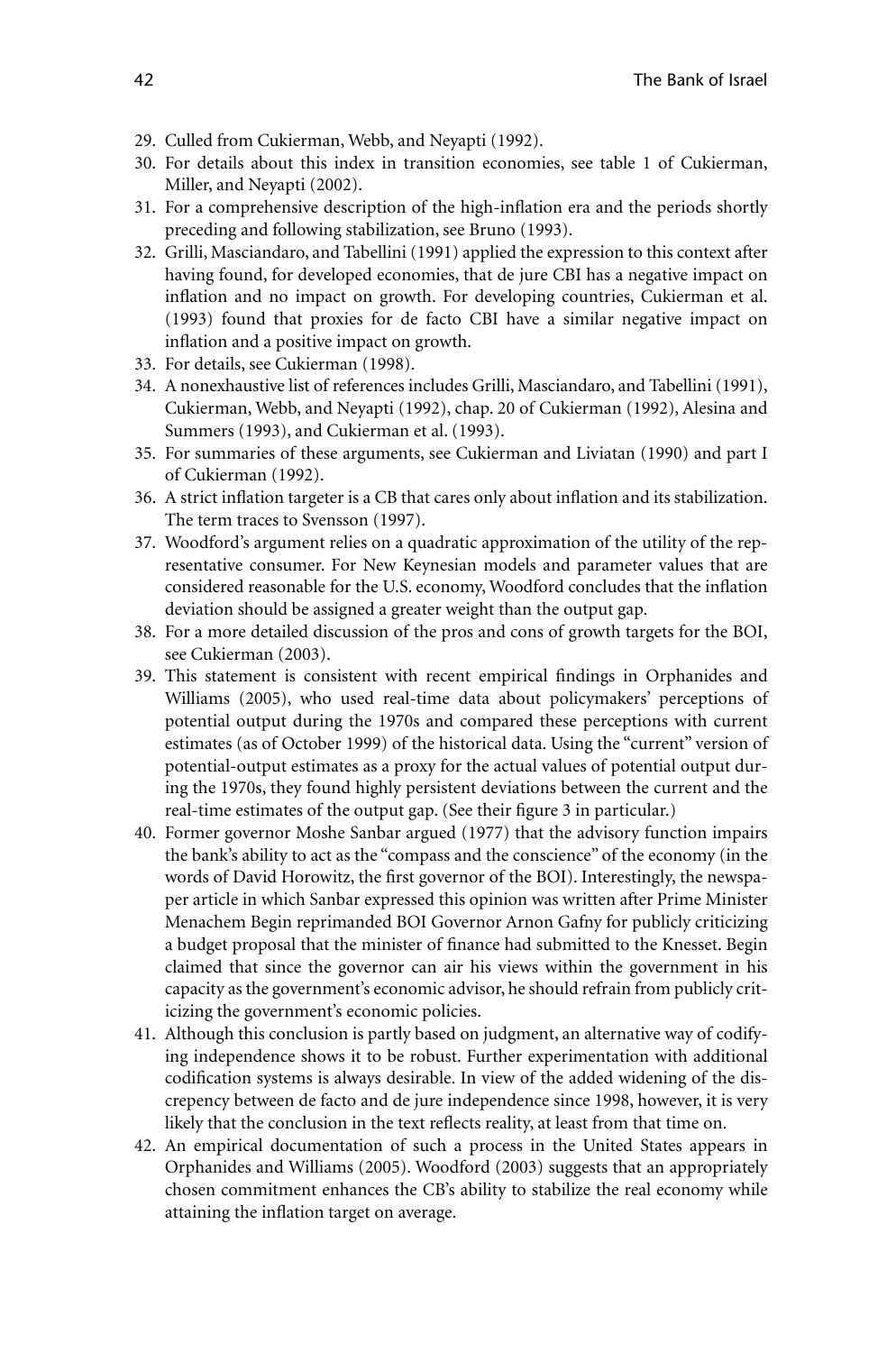- 29. Culled from Cukierman, Webb, and Neyapti (1992).
- 30. For details about this index in transition economies, see table 1 of Cukierman, Miller, and Neyapti (2002).
- 31. For a comprehensive description of the high-inflation era and the periods shortly preceding and following stabilization, see Bruno (1993).
- 32. Grilli, Masciandaro, and Tabellini (1991) applied the expression to this context after having found, for developed economies, that de jure CBI has a negative impact on inflation and no impact on growth. For developing countries, Cukierman et al. (1993) found that proxies for de facto CBI have a similar negative impact on inflation and a positive impact on growth.
- 33. For details, see Cukierman (1998).
- 34. A nonexhaustive list of references includes Grilli, Masciandaro, and Tabellini (1991), Cukierman, Webb, and Neyapti (1992), chap. 20 of Cukierman (1992), Alesina and Summers (1993), and Cukierman et al. (1993).
- 35. For summaries of these arguments, see Cukierman and Liviatan (1990) and part I of Cukierman (1992).
- 36. A strict inflation targeter is a CB that cares only about inflation and its stabilization. The term traces to Svensson (1997).
- 37. Woodford's argument relies on a quadratic approximation of the utility of the representative consumer. For New Keynesian models and parameter values that are considered reasonable for the U.S. economy, Woodford concludes that the inflation deviation should be assigned a greater weight than the output gap.
- 38. For a more detailed discussion of the pros and cons of growth targets for the BOI, see Cukierman (2003).
- 39. This statement is consistent with recent empirical findings in Orphanides and Williams (2005), who used real-time data about policymakers' perceptions of potential output during the 1970s and compared these perceptions with current estimates (as of October 1999) of the historical data. Using the "current" version of potential-output estimates as a proxy for the actual values of potential output during the 1970s, they found highly persistent deviations between the current and the real-time estimates of the output gap. (See their figure 3 in particular.)
- 40. Former governor Moshe Sanbar argued (1977) that the advisory function impairs the bank's ability to act as the "compass and the conscience" of the economy (in the words of David Horowitz, the first governor of the BOI). Interestingly, the newspaper article in which Sanbar expressed this opinion was written after Prime Minister Menachem Begin reprimanded BOI Governor Arnon Gafny for publicly criticizing a budget proposal that the minister of finance had submitted to the Knesset. Begin claimed that since the governor can air his views within the government in his capacity as the government's economic advisor, he should refrain from publicly criticizing the government's economic policies.
- 41. Although this conclusion is partly based on judgment, an alternative way of codifying independence shows it to be robust. Further experimentation with additional codification systems is always desirable. In view of the added widening of the discrepency between de facto and de jure independence since 1998, however, it is very likely that the conclusion in the text reflects reality, at least from that time on.
- 42. An empirical documentation of such a process in the United States appears in Orphanides and Williams (2005). Woodford (2003) suggests that an appropriately chosen commitment enhances the CB's ability to stabilize the real economy while attaining the inflation target on average.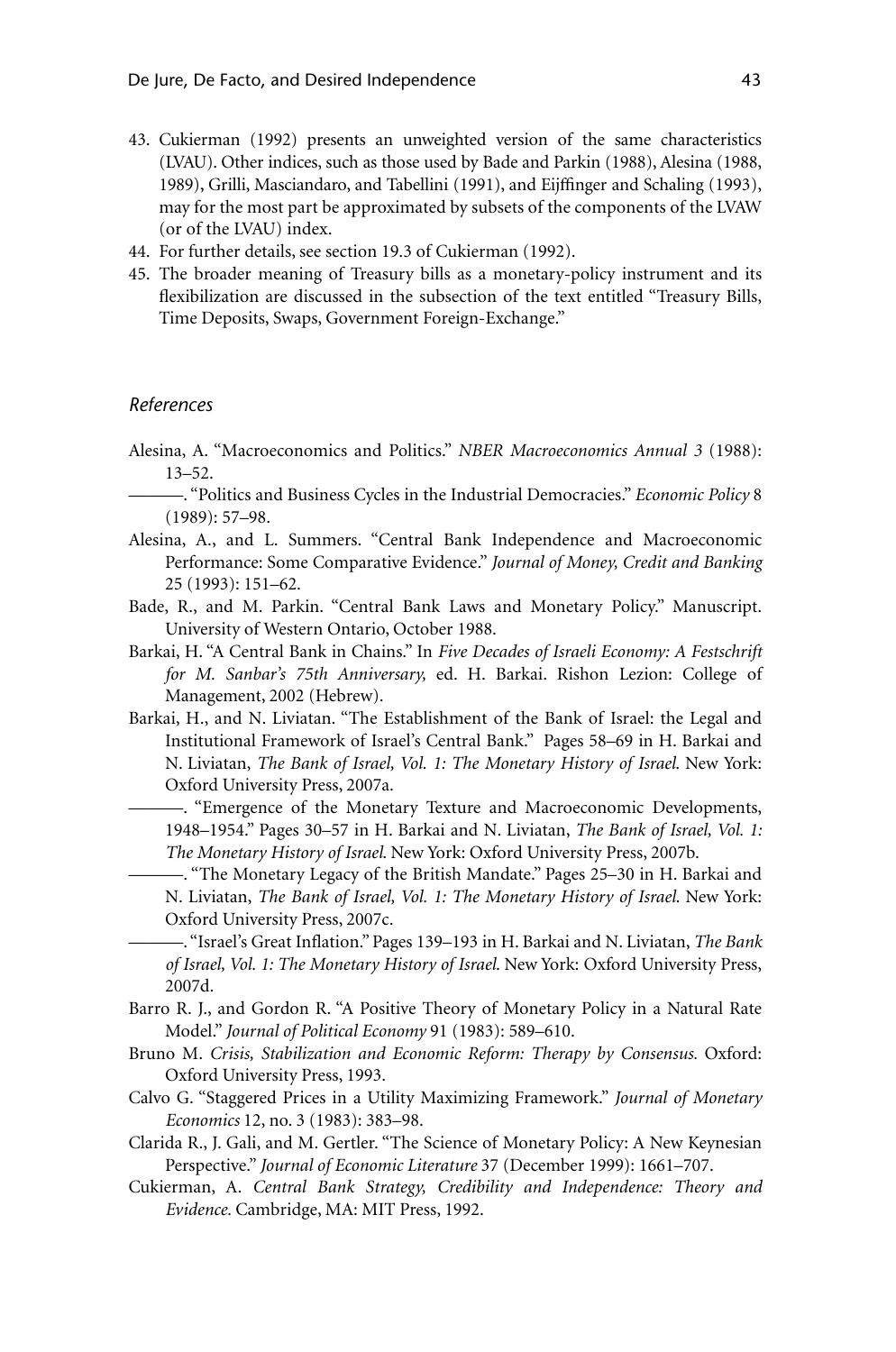- 43. Cukierman (1992) presents an unweighted version of the same characteristics (LVAU). Other indices, such as those used by Bade and Parkin (1988), Alesina (1988, 1989), Grilli, Masciandaro, and Tabellini (1991), and Eijffinger and Schaling (1993), may for the most part be approximated by subsets of the components of the LVAW (or of the LVAU) index.
- 44. For further details, see section 19.3 of Cukierman (1992).
- 45. The broader meaning of Treasury bills as a monetary-policy instrument and its flexibilization are discussed in the subsection of the text entitled "Treasury Bills, Time Deposits, Swaps, Government Foreign-Exchange."

#### *References*

Alesina, A. "Macroeconomics and Politics." *NBER Macroeconomics Annual 3* (1988): 13–52.

———. "Politics and Business Cycles in the Industrial Democracies." *Economic Policy* 8 (1989): 57–98.

- Alesina, A., and L. Summers. "Central Bank Independence and Macroeconomic Performance: Some Comparative Evidence." *Journal of Money, Credit and Banking* 25 (1993): 151–62.
- Bade, R., and M. Parkin. "Central Bank Laws and Monetary Policy." Manuscript. University of Western Ontario, October 1988.
- Barkai, H. "A Central Bank in Chains." In *Five Decades of Israeli Economy: A Festschrift for M. Sanbar's 75th Anniversary,* ed. H. Barkai. Rishon Lezion: College of Management, 2002 (Hebrew).
- Barkai, H., and N. Liviatan. "The Establishment of the Bank of Israel: the Legal and Institutional Framework of Israel's Central Bank." Pages 58–69 in H. Barkai and N. Liviatan, *The Bank of Israel, Vol. 1: The Monetary History of Israel*. New York: Oxford University Press, 2007a.

———. "Emergence of the Monetary Texture and Macroeconomic Developments, 1948–1954." Pages 30–57 in H. Barkai and N. Liviatan, *The Bank of Israel, Vol. 1: The Monetary History of Israel*. New York: Oxford University Press, 2007b.

———. "The Monetary Legacy of the British Mandate." Pages 25–30 in H. Barkai and N. Liviatan, *The Bank of Israel, Vol. 1: The Monetary History of Israel*. New York: Oxford University Press, 2007c.

———. "Israel's Great Inflation." Pages 139–193 in H. Barkai and N. Liviatan, *The Bank of Israel, Vol. 1: The Monetary History of Israel*. New York: Oxford University Press, 2007d.

- Barro R. J., and Gordon R. "A Positive Theory of Monetary Policy in a Natural Rate Model." *Journal of Political Economy* 91 (1983): 589–610.
- Bruno M. *Crisis, Stabilization and Economic Reform: Therapy by Consensus.* Oxford: Oxford University Press, 1993.
- Calvo G. "Staggered Prices in a Utility Maximizing Framework." *Journal of Monetary Economics* 12, no. 3 (1983): 383–98.
- Clarida R., J. Gali, and M. Gertler. "The Science of Monetary Policy: A New Keynesian Perspective." *Journal of Economic Literature* 37 (December 1999): 1661–707.
- Cukierman, A. *Central Bank Strategy, Credibility and Independence: Theory and Evidence.* Cambridge, MA: MIT Press, 1992.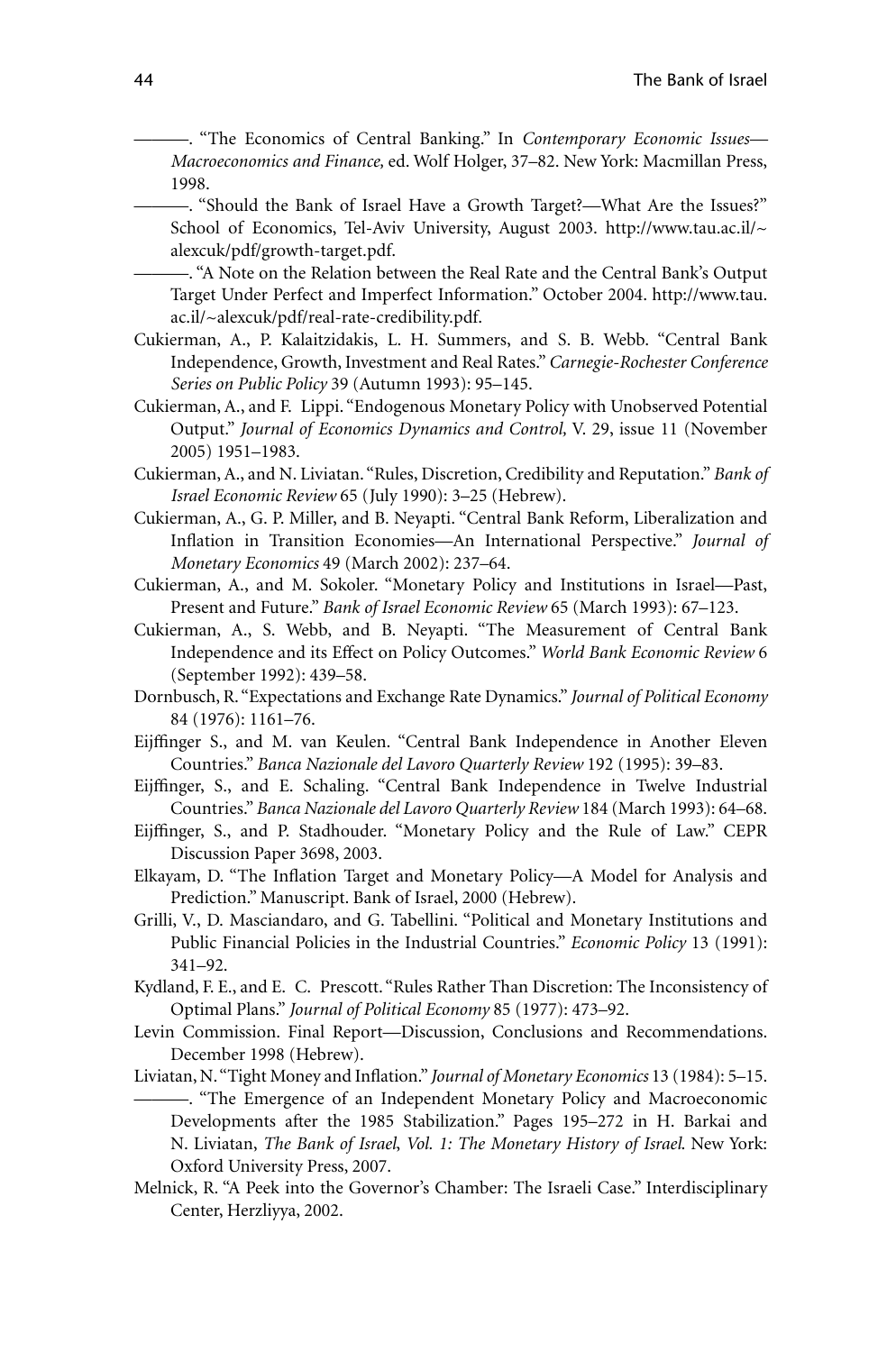———. "The Economics of Central Banking." In *Contemporary Economic Issues— Macroeconomics and Finance,* ed. Wolf Holger, 37–82. New York: Macmillan Press, 1998.

———. "Should the Bank of Israel Have a Growth Target?—What Are the Issues?" School of Economics, Tel-Aviv University, August 2003. http://www.tau.ac.il/~ alexcuk/pdf/growth-target.pdf.

———. "A Note on the Relation between the Real Rate and the Central Bank's Output Target Under Perfect and Imperfect Information." October 2004. http://www.tau. ac.il/~alexcuk/pdf/real-rate-credibility.pdf.

- Cukierman, A., P. Kalaitzidakis, L. H. Summers, and S. B. Webb. "Central Bank Independence, Growth, Investment and Real Rates."*Carnegie-Rochester Conference Series on Public Policy* 39 (Autumn 1993): 95–145.
- Cukierman, A., and F. Lippi. "Endogenous Monetary Policy with Unobserved Potential Output." *Journal of Economics Dynamics and Control,* V. 29, issue 11 (November 2005) 1951–1983.
- Cukierman, A., and N. Liviatan. "Rules, Discretion, Credibility and Reputation." *Bank of Israel Economic Review* 65 (July 1990): 3–25 (Hebrew).
- Cukierman, A., G. P. Miller, and B. Neyapti. "Central Bank Reform, Liberalization and Inflation in Transition Economies—An International Perspective." *Journal of Monetary Economics* 49 (March 2002): 237–64.
- Cukierman, A., and M. Sokoler. "Monetary Policy and Institutions in Israel—Past, Present and Future." *Bank of Israel Economic Review* 65 (March 1993): 67–123.
- Cukierman, A., S. Webb, and B. Neyapti. "The Measurement of Central Bank Independence and its Effect on Policy Outcomes." *World Bank Economic Review* 6 (September 1992): 439–58.
- Dornbusch, R."Expectations and Exchange Rate Dynamics." *Journal of Political Economy* 84 (1976): 1161–76.
- Eijffinger S., and M. van Keulen. "Central Bank Independence in Another Eleven Countries." *Banca Nazionale del Lavoro Quarterly Review* 192 (1995): 39–83.
- Eijffinger, S., and E. Schaling. "Central Bank Independence in Twelve Industrial Countries."*Banca Nazionale del Lavoro Quarterly Review* 184 (March 1993): 64–68.
- Eijffinger, S., and P. Stadhouder. "Monetary Policy and the Rule of Law." CEPR Discussion Paper 3698, 2003.
- Elkayam, D. "The Inflation Target and Monetary Policy—A Model for Analysis and Prediction." Manuscript. Bank of Israel, 2000 (Hebrew).
- Grilli, V., D. Masciandaro, and G. Tabellini. "Political and Monetary Institutions and Public Financial Policies in the Industrial Countries." *Economic Policy* 13 (1991): 341–92.
- Kydland, F. E., and E. C. Prescott. "Rules Rather Than Discretion: The Inconsistency of Optimal Plans." *Journal of Political Economy* 85 (1977): 473–92.
- Levin Commission. Final Report—Discussion, Conclusions and Recommendations. December 1998 (Hebrew).
- Liviatan, N."Tight Money and Inflation." *Journal of Monetary Economics* 13 (1984): 5–15. ———. "The Emergence of an Independent Monetary Policy and Macroeconomic Developments after the 1985 Stabilization." Pages 195–272 in H. Barkai and N. Liviatan, *The Bank of Israel*, *Vol. 1: The Monetary History of Israel*. New York: Oxford University Press, 2007.
- Melnick, R. "A Peek into the Governor's Chamber: The Israeli Case." Interdisciplinary Center, Herzliyya, 2002.